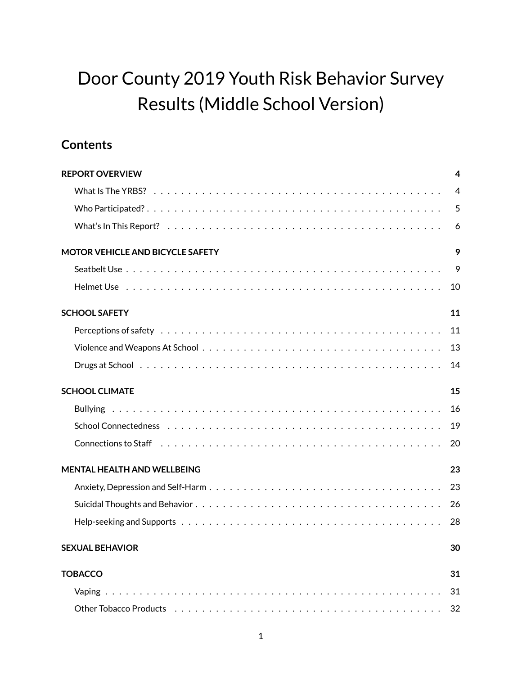# Door County 2019 Youth Risk Behavior Survey Results (Middle School Version)

# **Contents**

| <b>REPORT OVERVIEW</b>                  | $\overline{4}$ |
|-----------------------------------------|----------------|
|                                         | $\overline{4}$ |
|                                         | 5              |
|                                         | 6              |
| <b>MOTOR VEHICLE AND BICYCLE SAFETY</b> | 9              |
|                                         | 9              |
|                                         | 10             |
| <b>SCHOOL SAFETY</b>                    | 11             |
|                                         | 11             |
|                                         | 13             |
|                                         | 14             |
| <b>SCHOOL CLIMATE</b>                   | 15             |
|                                         | 16             |
|                                         | 19             |
|                                         | 20             |
| <b>MENTAL HEALTH AND WELLBEING</b>      | 23             |
|                                         | 23             |
|                                         | 26             |
|                                         | 28             |
| <b>SEXUAL BEHAVIOR</b>                  | 30             |
| <b>TOBACCO</b>                          | 31             |
|                                         | 31             |
|                                         | 32             |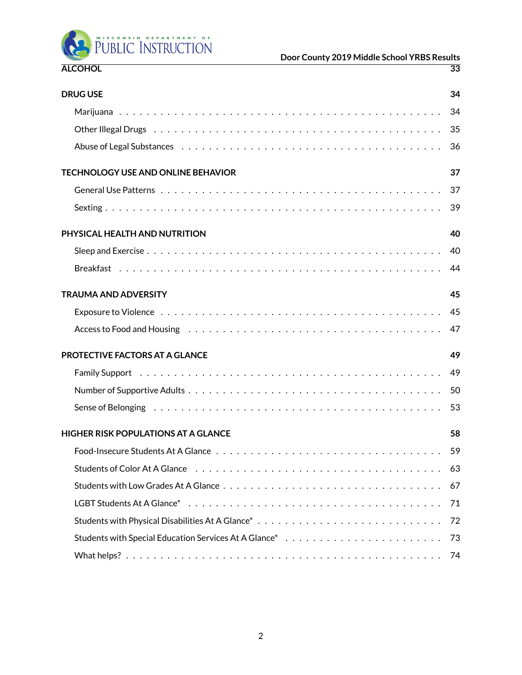

# **Door County 2019 Middle School YRBS Results**

| <b>DRUG USE</b>                                                                                                                                                                                                                | 34 |
|--------------------------------------------------------------------------------------------------------------------------------------------------------------------------------------------------------------------------------|----|
|                                                                                                                                                                                                                                |    |
| Other Illegal Drugs (and all and all and all and all and all and all and all and all and all and all and all a                                                                                                                 |    |
|                                                                                                                                                                                                                                | 36 |
| <b>TECHNOLOGY USE AND ONLINE BEHAVIOR</b>                                                                                                                                                                                      | 37 |
|                                                                                                                                                                                                                                | 37 |
|                                                                                                                                                                                                                                |    |
| PHYSICAL HEALTH AND NUTRITION                                                                                                                                                                                                  | 40 |
|                                                                                                                                                                                                                                | 40 |
|                                                                                                                                                                                                                                | 44 |
| <b>TRAUMA AND ADVERSITY</b>                                                                                                                                                                                                    | 45 |
|                                                                                                                                                                                                                                | 45 |
| Access to Food and Housing enterprise in the content of the content of the content of the content of the content of the content of the content of the content of the content of the content of the content of the content of t | 47 |
| PROTECTIVE FACTORS AT A GLANCE                                                                                                                                                                                                 | 49 |
|                                                                                                                                                                                                                                | 49 |
|                                                                                                                                                                                                                                | 50 |
| Sense of Belonging responses to the series of the series of the series of the series of the series of the series of the series of the series of the series of the series of the series of the series of the series of the seri | 53 |
| <b>HIGHER RISK POPULATIONS AT A GLANCE</b>                                                                                                                                                                                     | 58 |
|                                                                                                                                                                                                                                |    |
|                                                                                                                                                                                                                                | 63 |
|                                                                                                                                                                                                                                | 67 |
|                                                                                                                                                                                                                                | 71 |
|                                                                                                                                                                                                                                | 72 |
|                                                                                                                                                                                                                                | 73 |
|                                                                                                                                                                                                                                |    |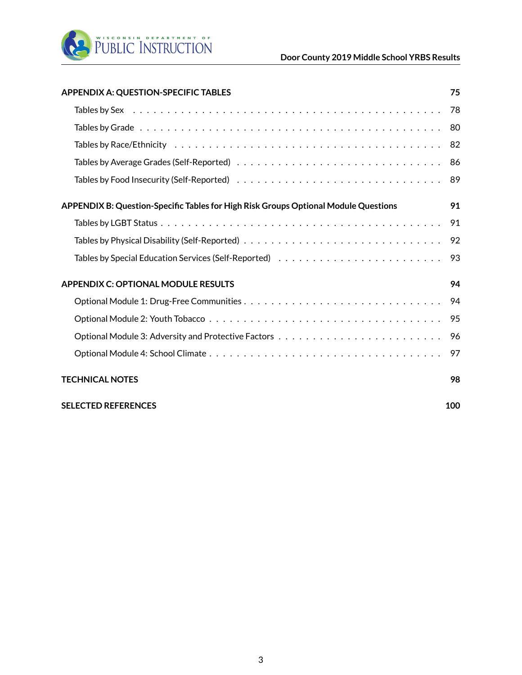

| <b>APPENDIX A: QUESTION-SPECIFIC TABLES</b>                                                                              | 75  |
|--------------------------------------------------------------------------------------------------------------------------|-----|
|                                                                                                                          | 78  |
|                                                                                                                          | 80  |
|                                                                                                                          | 82  |
|                                                                                                                          | 86  |
| Tables by Food Insecurity (Self-Reported) $\ldots \ldots \ldots \ldots \ldots \ldots \ldots \ldots \ldots \ldots \ldots$ | 89  |
| APPENDIX B: Question-Specific Tables for High Risk Groups Optional Module Questions                                      | 91  |
|                                                                                                                          | 91  |
|                                                                                                                          | 92  |
|                                                                                                                          | 93  |
| <b>APPENDIX C: OPTIONAL MODULE RESULTS</b>                                                                               | 94  |
|                                                                                                                          | 94  |
|                                                                                                                          | 95  |
|                                                                                                                          | 96  |
|                                                                                                                          | 97  |
| <b>TECHNICAL NOTES</b>                                                                                                   | 98  |
| <b>SELECTED REFERENCES</b>                                                                                               | 100 |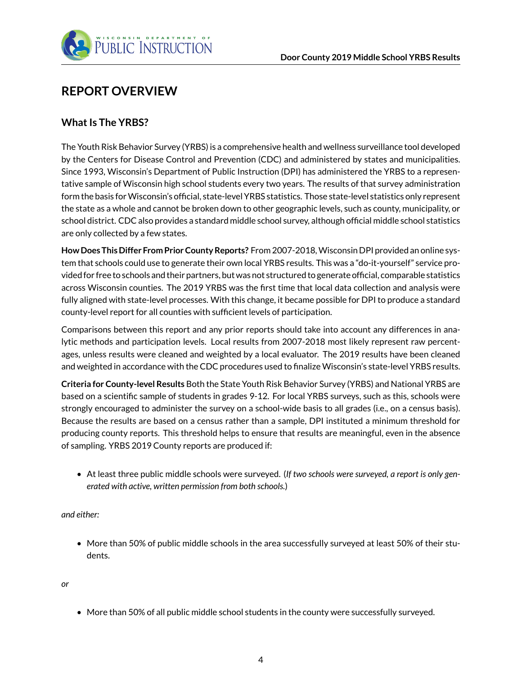

# <span id="page-3-0"></span>**REPORT OVERVIEW**

#### <span id="page-3-1"></span>**What Is The YRBS?**

The Youth Risk Behavior Survey (YRBS) is a comprehensive health and wellness surveillance tool developed by the Centers for Disease Control and Prevention (CDC) and administered by states and municipalities. Since 1993, Wisconsin's Department of Public Instruction (DPI) has administered the YRBS to a representative sample of Wisconsin high school students every two years. The results of that survey administration form the basis forWisconsin's official, state-level YRBS statistics. Those state-level statistics only represent the state as a whole and cannot be broken down to other geographic levels, such as county, municipality, or school district. CDC also provides a standard middle school survey, although official middle school statistics are only collected by a few states.

**How Does This Differ From Prior County Reports?** From 2007-2018,Wisconsin DPI provided an online system that schools could use to generate their own local YRBS results. This was a "do-it-yourself" service provided for free to schools and their partners, but was not structured to generate official, comparable statistics across Wisconsin counties. The 2019 YRBS was the first time that local data collection and analysis were fully aligned with state-level processes. With this change, it became possible for DPI to produce a standard county-level report for all counties with sufficient levels of participation.

Comparisons between this report and any prior reports should take into account any differences in analytic methods and participation levels. Local results from 2007-2018 most likely represent raw percentages, unless results were cleaned and weighted by a local evaluator. The 2019 results have been cleaned and weighted in accordance with the CDC procedures used to finalize Wisconsin's state-level YRBS results.

**Criteria for County-level Results** Both the State Youth Risk Behavior Survey (YRBS) and National YRBS are based on a scientific sample of students in grades 9-12. For local YRBS surveys, such as this, schools were strongly encouraged to administer the survey on a school-wide basis to all grades (i.e., on a census basis). Because the results are based on a census rather than a sample, DPI instituted a minimum threshold for producing county reports. This threshold helps to ensure that results are meaningful, even in the absence of sampling. YRBS 2019 County reports are produced if:

• At least three public middle schools were surveyed. (*If two schools were surveyed, a report is only generated with active, written permission from both schools.*)

*and either:*

• More than 50% of public middle schools in the area successfully surveyed at least 50% of their students.

*or*

• More than 50% of all public middle school students in the county were successfully surveyed.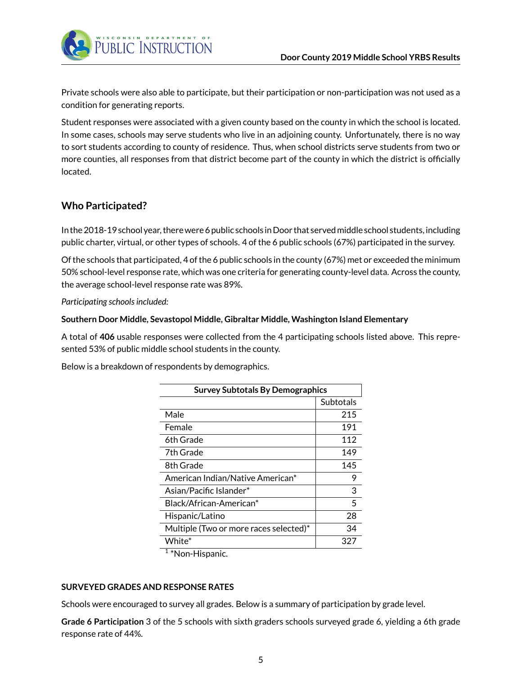

Private schools were also able to participate, but their participation or non-participation was not used as a condition for generating reports.

Student responses were associated with a given county based on the county in which the school is located. In some cases, schools may serve students who live in an adjoining county. Unfortunately, there is no way to sort students according to county of residence. Thus, when school districts serve students from two or more counties, all responses from that district become part of the county in which the district is officially located.

#### <span id="page-4-0"></span>**Who Participated?**

In the 2018-19 school year, there were 6 public schools in Door that servedmiddle school students, including public charter, virtual, or other types of schools. 4 of the 6 public schools (67%) participated in the survey.

Of the schools that participated, 4 of the 6 public schools in the county (67%) met or exceeded the minimum 50% school-level response rate, which was one criteria for generating county-level data. Across the county, the average school-level response rate was 89%.

*Participating schools included:*

#### **Southern Door Middle, Sevastopol Middle, Gibraltar Middle, Washington Island Elementary**

A total of **406** usable responses were collected from the 4 participating schools listed above. This represented 53% of public middle school students in the county.

Below is a breakdown of respondents by demographics.

| <b>Survey Subtotals By Demographics</b> |           |  |
|-----------------------------------------|-----------|--|
|                                         | Subtotals |  |
| Male                                    | 215       |  |
| Female                                  | 191       |  |
| 6th Grade                               | 112       |  |
| 7th Grade                               | 149       |  |
| 8th Grade                               | 145       |  |
| American Indian/Native American*        | 9         |  |
| Asian/Pacific Islander*                 | 3         |  |
| Black/African-American*                 | 5         |  |
| Hispanic/Latino                         | 28        |  |
| Multiple (Two or more races selected)*  | 34        |  |
| White*                                  | 327       |  |

<sup>1</sup> \*Non-Hispanic.

#### **SURVEYED GRADES AND RESPONSE RATES**

Schools were encouraged to survey all grades. Below is a summary of participation by grade level.

**Grade 6 Participation** 3 of the 5 schools with sixth graders schools surveyed grade 6, yielding a 6th grade response rate of 44%.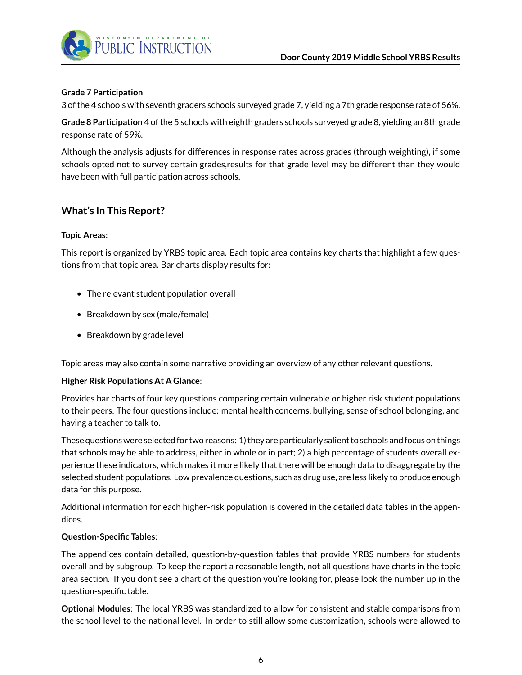

#### **Grade 7 Participation**

3 of the 4 schools with seventh graders schools surveyed grade 7, yielding a 7th grade response rate of 56%.

**Grade 8 Participation** 4 of the 5 schools with eighth graders schools surveyed grade 8, yielding an 8th grade response rate of 59%.

Although the analysis adjusts for differences in response rates across grades (through weighting), if some schools opted not to survey certain grades,results for that grade level may be different than they would have been with full participation across schools.

#### <span id="page-5-0"></span>**What's In This Report?**

#### **Topic Areas**:

This report is organized by YRBS topic area. Each topic area contains key charts that highlight a few questions from that topic area. Bar charts display results for:

- The relevant student population overall
- Breakdown by sex (male/female)
- Breakdown by grade level

Topic areas may also contain some narrative providing an overview of any other relevant questions.

#### **Higher Risk Populations At A Glance**:

Provides bar charts of four key questions comparing certain vulnerable or higher risk student populations to their peers. The four questions include: mental health concerns, bullying, sense of school belonging, and having a teacher to talk to.

These questions were selected for two reasons: 1) they are particularly salient to schools and focus on things that schools may be able to address, either in whole or in part; 2) a high percentage of students overall experience these indicators, which makes it more likely that there will be enough data to disaggregate by the selected student populations. Low prevalence questions, such as drug use, are less likely to produce enough data for this purpose.

Additional information for each higher-risk population is covered in the detailed data tables in the appendices.

#### **Question-Specific Tables**:

The appendices contain detailed, question-by-question tables that provide YRBS numbers for students overall and by subgroup. To keep the report a reasonable length, not all questions have charts in the topic area section. If you don't see a chart of the question you're looking for, please look the number up in the question-specific table.

**Optional Modules**: The local YRBS was standardized to allow for consistent and stable comparisons from the school level to the national level. In order to still allow some customization, schools were allowed to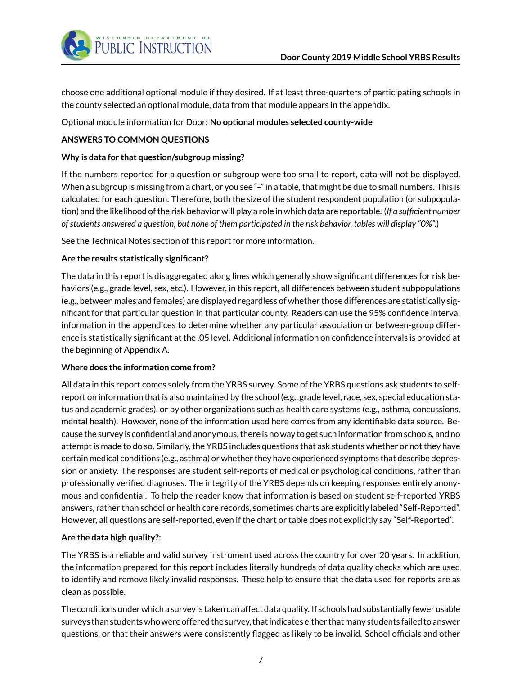

choose one additional optional module if they desired. If at least three-quarters of participating schools in the county selected an optional module, data from that module appears in the appendix.

Optional module information for Door: **No optional modules selected county-wide**

#### **ANSWERS TO COMMON QUESTIONS**

#### **Why is data for that question/subgroup missing?**

If the numbers reported for a question or subgroup were too small to report, data will not be displayed. When a subgroup is missing from a chart, or you see "-" in a table, that might be due to small numbers. This is calculated for each question. Therefore, both the size of the student respondent population (or subpopulation) and the likelihood of the risk behavior will play a role in which data are reportable. (*If a sufficient number of students answered a question, but none of them participated in the risk behavior, tables will display "0%".*)

See the Technical Notes section of this report for more information.

#### **Are the results statistically significant?**

The data in this report is disaggregated along lines which generally show significant differences for risk behaviors (e.g., grade level, sex, etc.). However, in this report, all differences between student subpopulations (e.g., between males and females) are displayed regardless of whether those differences are statistically significant for that particular question in that particular county. Readers can use the 95% confidence interval information in the appendices to determine whether any particular association or between-group difference is statistically significant at the .05 level. Additional information on confidence intervals is provided at the beginning of Appendix A.

#### **Where does the information come from?**

All data in this report comes solely from the YRBS survey. Some of the YRBS questions ask students to selfreport on information that is also maintained by the school (e.g., grade level, race, sex, special education status and academic grades), or by other organizations such as health care systems (e.g., asthma, concussions, mental health). However, none of the information used here comes from any identifiable data source. Because the survey is confidential and anonymous, there is no way to get such information from schools, and no attempt is made to do so. Similarly, the YRBS includes questions that ask students whether or not they have certain medical conditions (e.g., asthma) or whether they have experienced symptoms that describe depression or anxiety. The responses are student self-reports of medical or psychological conditions, rather than professionally verified diagnoses. The integrity of the YRBS depends on keeping responses entirely anonymous and confidential. To help the reader know that information is based on student self-reported YRBS answers, rather than school or health care records, sometimes charts are explicitly labeled "Self-Reported". However, all questions are self-reported, even if the chart or table does not explicitly say "Self-Reported".

#### **Are the data high quality?**:

The YRBS is a reliable and valid survey instrument used across the country for over 20 years. In addition, the information prepared for this report includes literally hundreds of data quality checks which are used to identify and remove likely invalid responses. These help to ensure that the data used for reports are as clean as possible.

The conditions under which a survey is taken can affect data quality. If schools had substantially fewer usable surveys than students who were offered the survey, that indicates either thatmany students failed to answer questions, or that their answers were consistently flagged as likely to be invalid. School officials and other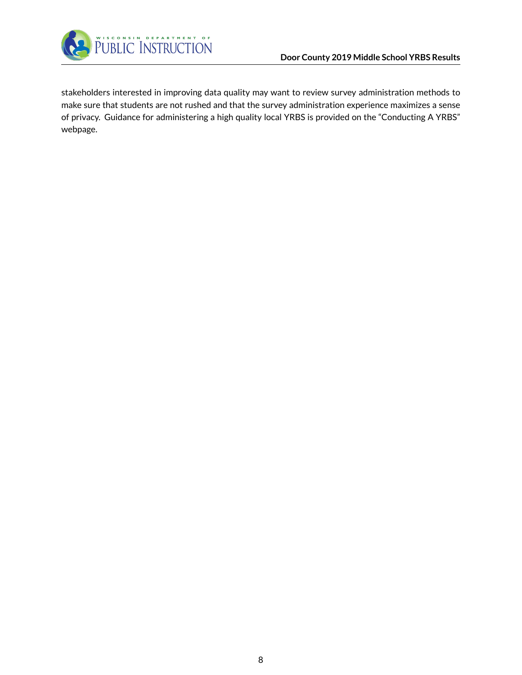

stakeholders interested in improving data quality may want to review survey administration methods to make sure that students are not rushed and that the survey administration experience maximizes a sense of privacy. Guidance for administering a high quality local YRBS is provided on the "Conducting A YRBS" webpage.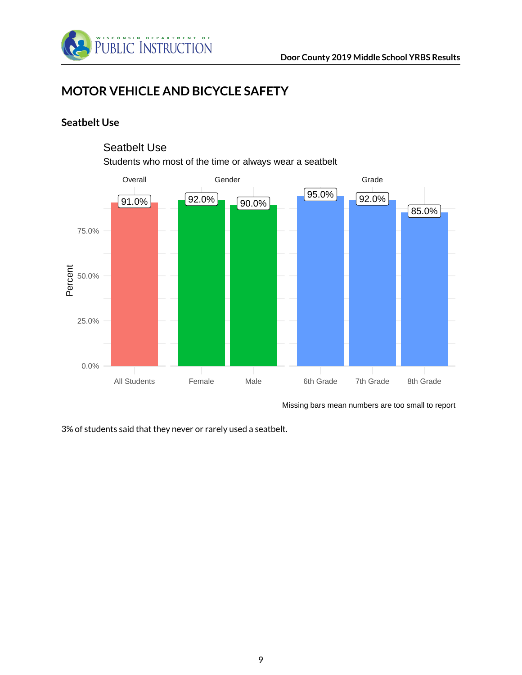

# <span id="page-8-0"></span>**MOTOR VEHICLE AND BICYCLE SAFETY**

#### <span id="page-8-1"></span>**Seatbelt Use**



#### Seatbelt Use

Students who most of the time or always wear a seatbelt

Missing bars mean numbers are too small to report

3% of students said that they never or rarely used a seatbelt.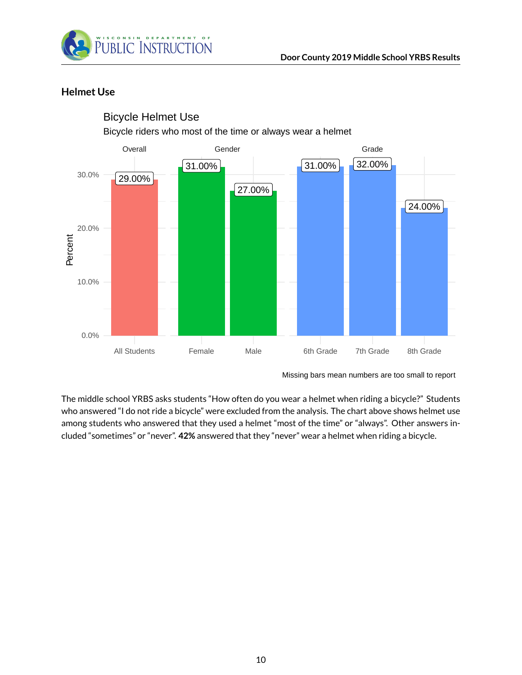

#### <span id="page-9-0"></span>**Helmet Use**



#### Bicycle Helmet Use

Bicycle riders who most of the time or always wear a helmet

The middle school YRBS asks students "How often do you wear a helmet when riding a bicycle?" Students who answered "I do not ride a bicycle" were excluded from the analysis. The chart above shows helmet use among students who answered that they used a helmet "most of the time" or "always". Other answers included "sometimes" or "never". **42%** answered that they "never" wear a helmet when riding a bicycle.

Missing bars mean numbers are too small to report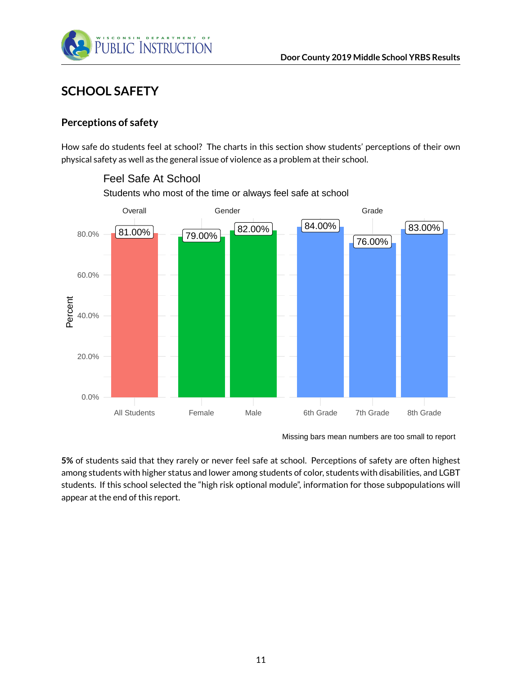

Feel Safe At School

# <span id="page-10-0"></span>**SCHOOL SAFETY**

#### <span id="page-10-1"></span>**Perceptions of safety**

How safe do students feel at school? The charts in this section show students' perceptions of their own physical safety as well as the general issue of violence as a problem at their school.



Students who most of the time or always feel safe at school

**5%** of students said that they rarely or never feel safe at school. Perceptions of safety are often highest among students with higher status and lower among students of color, students with disabilities, and LGBT students. If this school selected the "high risk optional module", information for those subpopulations will appear at the end of this report.

Missing bars mean numbers are too small to report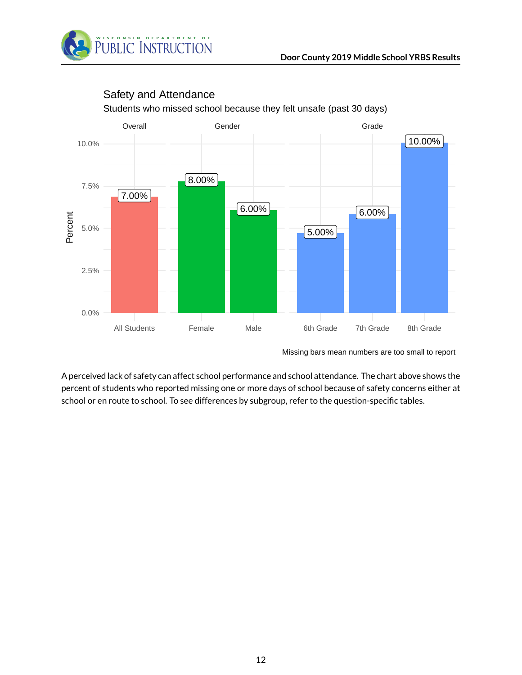



#### Safety and Attendance

Students who missed school because they felt unsafe (past 30 days)

A perceived lack of safety can affect school performance and school attendance. The chart above shows the percent of students who reported missing one or more days of school because of safety concerns either at school or en route to school. To see differences by subgroup, refer to the question-specific tables.

Missing bars mean numbers are too small to report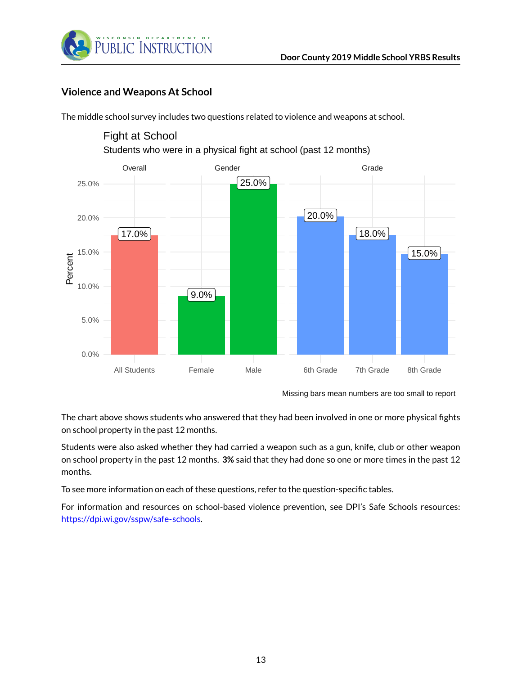

#### <span id="page-12-0"></span>**Violence and Weapons At School**

The middle school survey includes two questions related to violence and weapons at school.



Fight at School

The chart above shows students who answered that they had been involved in one or more physical fights on school property in the past 12 months.

Students were also asked whether they had carried a weapon such as a gun, knife, club or other weapon on school property in the past 12 months. **3%** said that they had done so one or more times in the past 12 months.

To see more information on each of these questions, refer to the question-specific tables.

For information and resources on school-based violence prevention, see DPI's Safe Schools resources: [https://dpi.wi.gov/sspw/safe-schools.](https://dpi.wi.gov/sspw/safe-schools)

Missing bars mean numbers are too small to report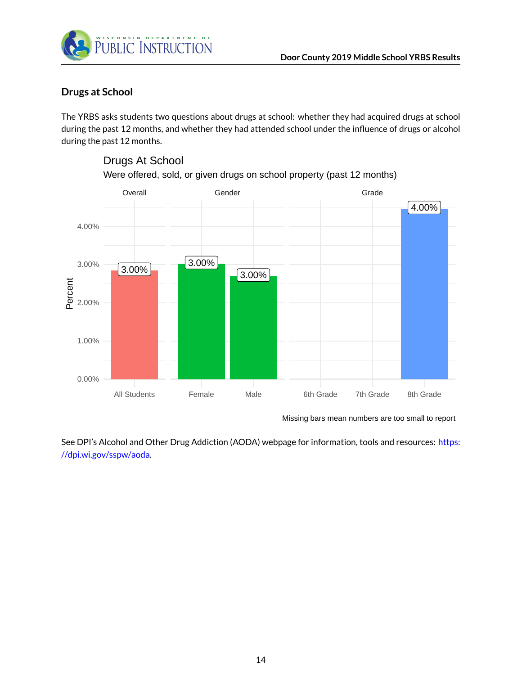

Drugs At School

#### <span id="page-13-0"></span>**Drugs at School**

The YRBS asks students two questions about drugs at school: whether they had acquired drugs at school during the past 12 months, and whether they had attended school under the influence of drugs or alcohol during the past 12 months.



## Were offered, sold, or given drugs on school property (past 12 months)

Missing bars mean numbers are too small to report

See DPI's Alcohol and Other Drug Addiction (AODA) webpage for information, tools and resources: [https:](https://dpi.wi.gov/sspw/aoda) [//dpi.wi.gov/sspw/aoda.](https://dpi.wi.gov/sspw/aoda)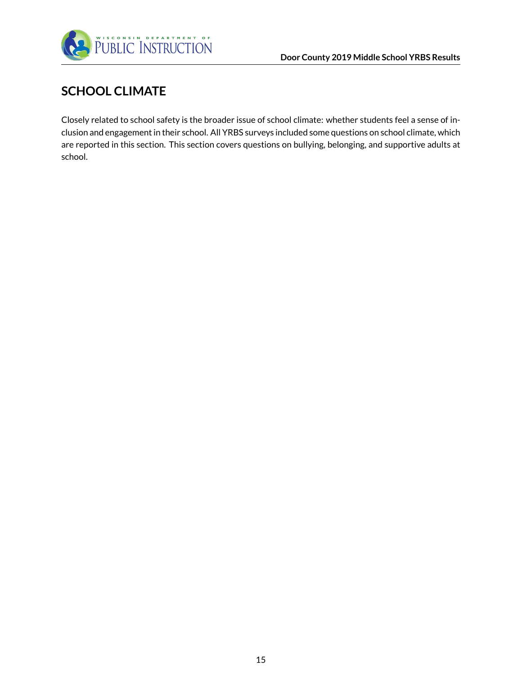

# <span id="page-14-0"></span>**SCHOOL CLIMATE**

Closely related to school safety is the broader issue of school climate: whether students feel a sense of inclusion and engagement in their school. All YRBS surveys included some questions on school climate, which are reported in this section. This section covers questions on bullying, belonging, and supportive adults at school.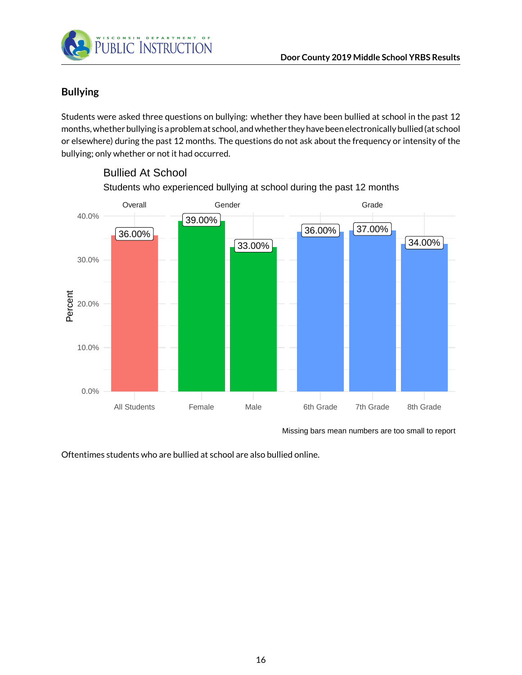

#### <span id="page-15-0"></span>**Bullying**

Students were asked three questions on bullying: whether they have been bullied at school in the past 12 months, whether bullying is a problem at school, and whether they have been electronically bullied (at school or elsewhere) during the past 12 months. The questions do not ask about the frequency or intensity of the bullying; only whether or not it had occurred.



Students who experienced bullying at school during the past 12 months Bullied At School

Missing bars mean numbers are too small to report

Oftentimes students who are bullied at school are also bullied online.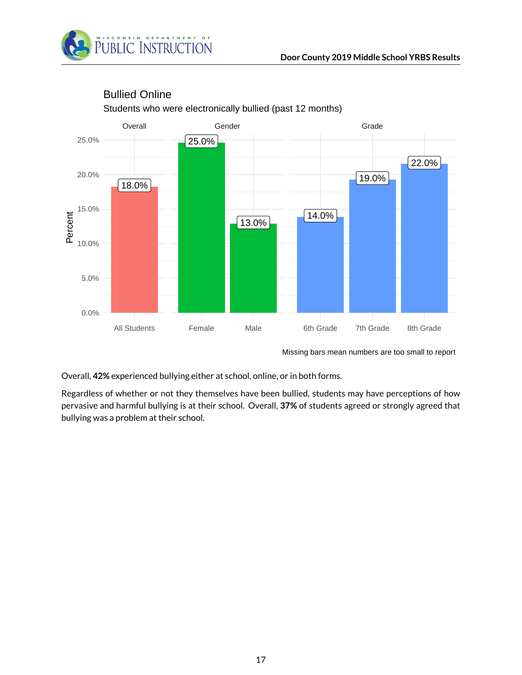



## Bullied Online

Students who were electronically bullied (past 12 months)

Missing bars mean numbers are too small to report

Overall, **42%** experienced bullying either at school, online, or in both forms.

Regardless of whether or not they themselves have been bullied, students may have perceptions of how pervasive and harmful bullying is at their school. Overall, **37%** of students agreed or strongly agreed that bullying was a problem at their school.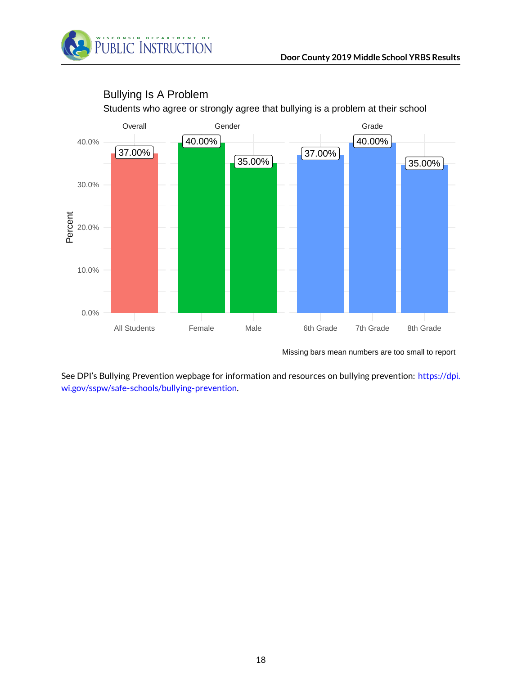



#### Bullying Is A Problem

Students who agree or strongly agree that bullying is a problem at their school

Missing bars mean numbers are too small to report

See DPI's Bullying Prevention wepbage for information and resources on bullying prevention: [https://dpi.](https://dpi.wi.gov/sspw/safe-schools/bullying-prevention) [wi.gov/sspw/safe-schools/bullying-prevention.](https://dpi.wi.gov/sspw/safe-schools/bullying-prevention)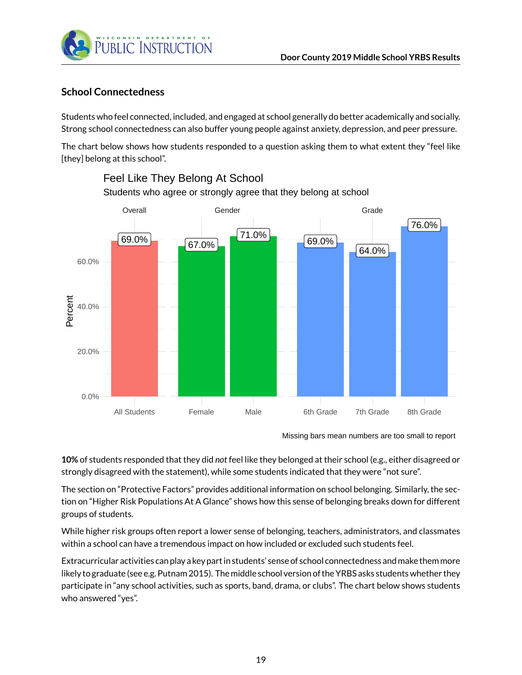

#### <span id="page-18-0"></span>**School Connectedness**

Students who feel connected, included, and engaged at school generally do better academically and socially. Strong school connectedness can also buffer young people against anxiety, depression, and peer pressure.

The chart below shows how students responded to a question asking them to what extent they "feel like [they] belong at this school".



### Students who agree or strongly agree that they belong at school Feel Like They Belong At School

**10%** of students responded that they did *not* feel like they belonged at their school (e.g., either disagreed or strongly disagreed with the statement), while some students indicated that they were "not sure".

The section on "Protective Factors" provides additional information on school belonging. Similarly, the section on "Higher Risk Populations At A Glance" shows how this sense of belonging breaks down for different groups of students.

While higher risk groups often report a lower sense of belonging, teachers, administrators, and classmates within a school can have a tremendous impact on how included or excluded such students feel.

Extracurricular activities can play a key part in students' sense of school connectedness andmake themmore likely to graduate (see e.g. Putnam 2015). The middle school version of the YRBS asks students whether they participate in "any school activities, such as sports, band, drama, or clubs". The chart below shows students who answered "yes".

Missing bars mean numbers are too small to report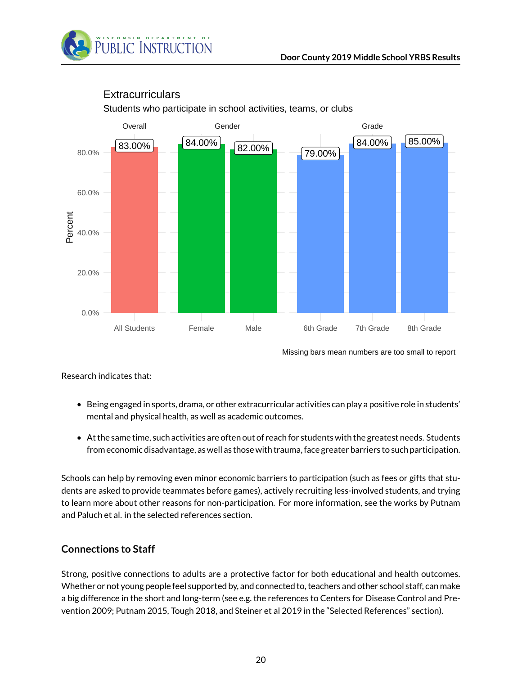



#### **Extracurriculars**

Students who participate in school activities, teams, or clubs

Missing bars mean numbers are too small to report

Research indicates that:

- Being engaged in sports, drama, or other extracurricular activities can play a positive role in students' mental and physical health, as well as academic outcomes.
- At the same time, such activities are often out of reach for students with the greatest needs. Students from economic disadvantage, as well as those with trauma, face greater barriers to such participation.

Schools can help by removing even minor economic barriers to participation (such as fees or gifts that students are asked to provide teammates before games), actively recruiting less-involved students, and trying to learn more about other reasons for non-participation. For more information, see the works by Putnam and Paluch et al. in the selected references section.

#### <span id="page-19-0"></span>**Connections to Staff**

Strong, positive connections to adults are a protective factor for both educational and health outcomes. Whether or not young people feel supported by, and connected to, teachers and other school staff, can make a big difference in the short and long-term (see e.g. the references to Centers for Disease Control and Prevention 2009; Putnam 2015, Tough 2018, and Steiner et al 2019 in the "Selected References" section).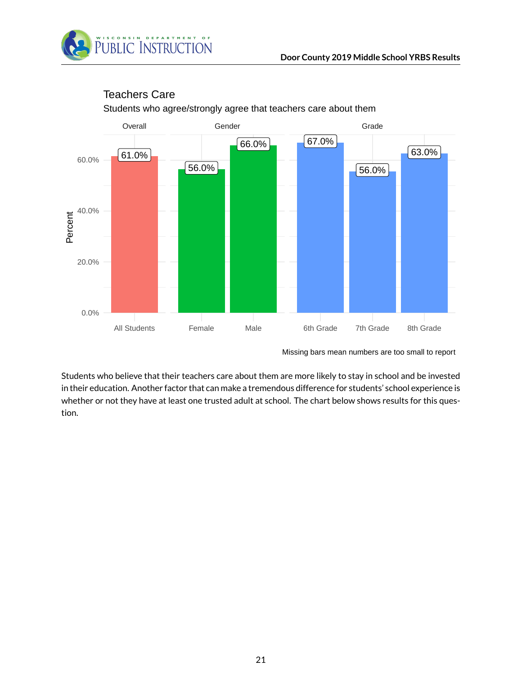



#### Students who agree/strongly agree that teachers care about them Teachers Care

Missing bars mean numbers are too small to report

Students who believe that their teachers care about them are more likely to stay in school and be invested in their education. Another factor that can make a tremendous difference for students' school experience is whether or not they have at least one trusted adult at school. The chart below shows results for this question.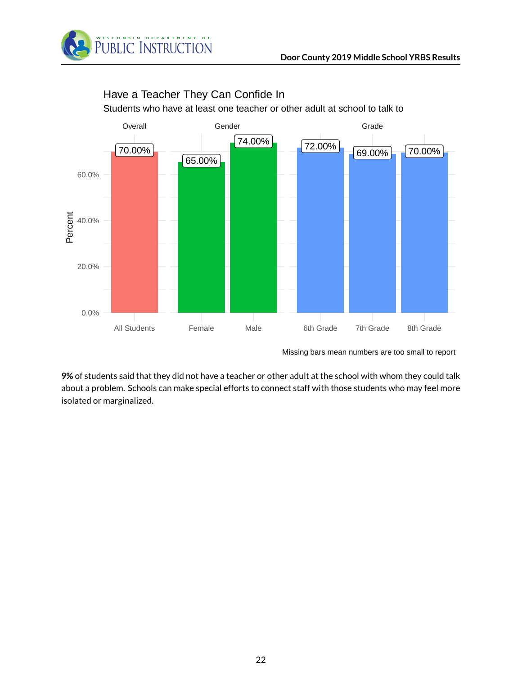



# Have a Teacher They Can Confide In

Students who have at least one teacher or other adult at school to talk to

Missing bars mean numbers are too small to report

**9%** of students said that they did not have a teacher or other adult at the school with whom they could talk about a problem. Schools can make special efforts to connect staff with those students who may feel more isolated or marginalized.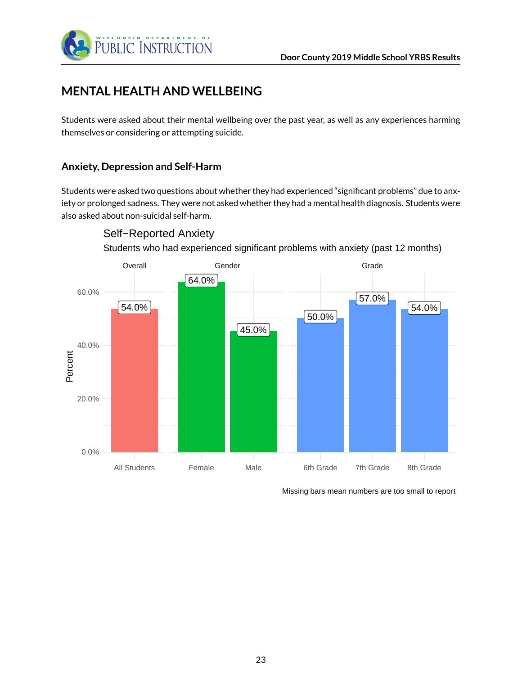

# <span id="page-22-0"></span>**MENTAL HEALTH AND WELLBEING**

Students were asked about their mental wellbeing over the past year, as well as any experiences harming themselves or considering or attempting suicide.

#### <span id="page-22-1"></span>**Anxiety, Depression and Self-Harm**

Students were asked two questions about whether they had experienced "significant problems" due to anxiety or prolonged sadness. They were not asked whether they had a mental health diagnosis. Students were also asked about non-suicidal self-harm.



Self−Reported Anxiety

Students who had experienced significant problems with anxiety (past 12 months)

Missing bars mean numbers are too small to report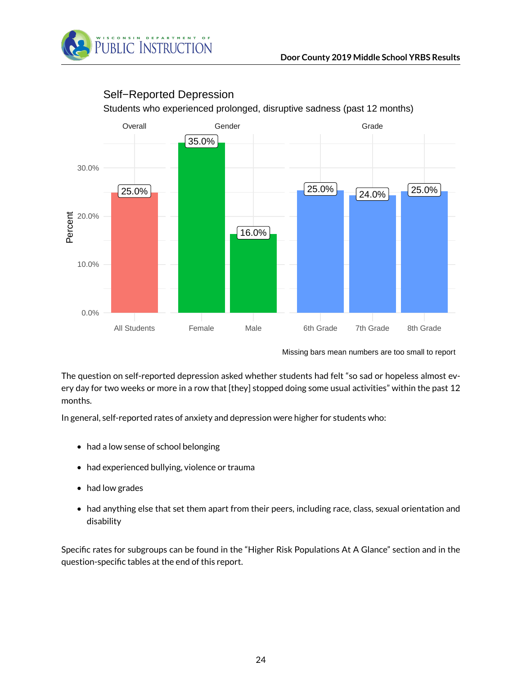



#### Self−Reported Depression

The question on self-reported depression asked whether students had felt "so sad or hopeless almost every day for two weeks or more in a row that [they] stopped doing some usual activities" within the past 12 months.

In general, self-reported rates of anxiety and depression were higher for students who:

- had a low sense of school belonging
- had experienced bullying, violence or trauma
- had low grades
- had anything else that set them apart from their peers, including race, class, sexual orientation and disability

Specific rates for subgroups can be found in the "Higher Risk Populations At A Glance" section and in the question-specific tables at the end of this report.

Missing bars mean numbers are too small to report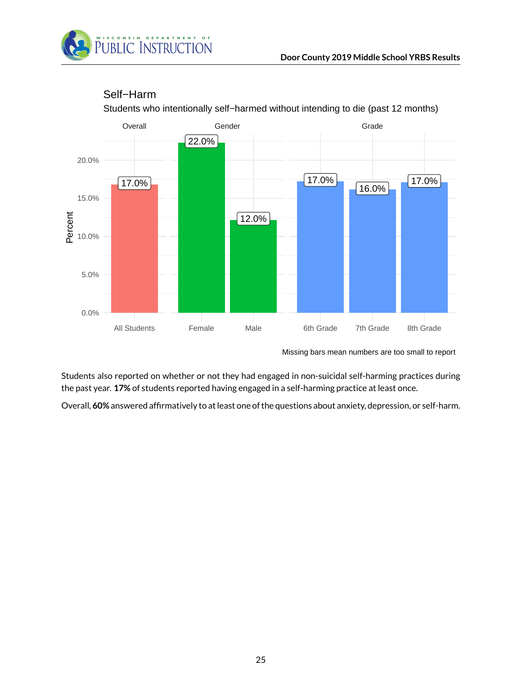



#### Self−Harm

Students who intentionally self−harmed without intending to die (past 12 months)

Students also reported on whether or not they had engaged in non-suicidal self-harming practices during the past year. **17%** of students reported having engaged in a self-harming practice at least once.

Overall, **60%** answered affirmatively to at least one of the questions about anxiety, depression, or self-harm.

Missing bars mean numbers are too small to report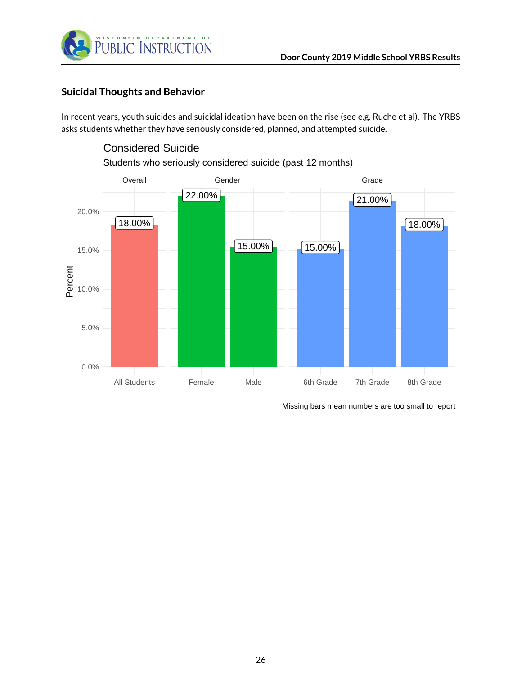



#### <span id="page-25-0"></span>**Suicidal Thoughts and Behavior**

In recent years, youth suicides and suicidal ideation have been on the rise (see e.g. Ruche et al). The YRBS asks students whether they have seriously considered, planned, and attempted suicide.

# 18.00% 15.00% 22.00% 15.00% 21.00% 18.00% Overall Gender Gender Grade All Students Female Male 6th Grade 7th Grade 8th Grade 0.0% 5.0% te<br>e<br>C 10.0% 15.0% 20.0% Students who seriously considered suicide (past 12 months)

Considered Suicide

Missing bars mean numbers are too small to report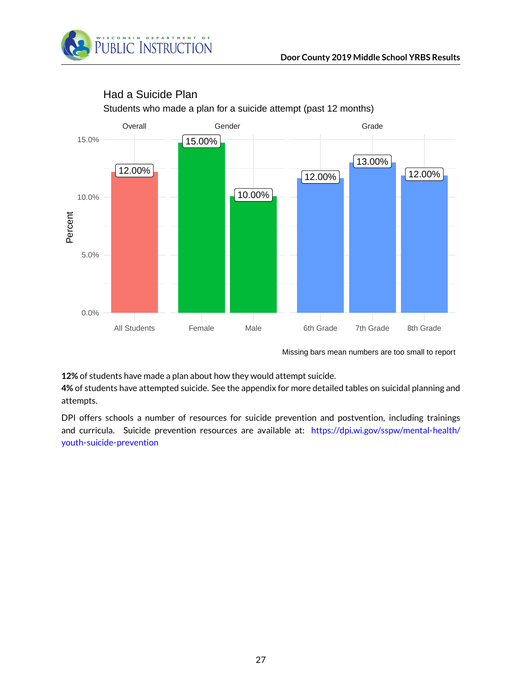



#### Had a Suicide Plan

Students who made a plan for a suicide attempt (past 12 months)

Missing bars mean numbers are too small to report

**12%** of students have made a plan about how they would attempt suicide.

**4%** of students have attempted suicide. See the appendix for more detailed tables on suicidal planning and attempts.

DPI offers schools a number of resources for suicide prevention and postvention, including trainings and curricula. Suicide prevention resources are available at: [https://dpi.wi.gov/sspw/mental-health/](https://dpi.wi.gov/sspw/mental-health/youth-suicide-prevention) [youth-suicide-prevention](https://dpi.wi.gov/sspw/mental-health/youth-suicide-prevention)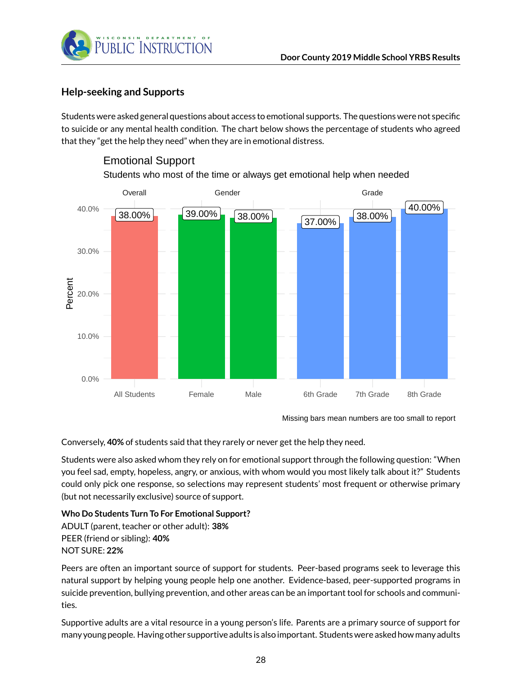

#### <span id="page-27-0"></span>**Help-seeking and Supports**

Students were asked general questions about access to emotional supports. The questions were not specific to suicide or any mental health condition. The chart below shows the percentage of students who agreed that they "get the help they need" when they are in emotional distress.



#### Emotional Support

Students who most of the time or always get emotional help when needed

Conversely, **40%** of students said that they rarely or never get the help they need.

Students were also asked whom they rely on for emotional support through the following question: "When you feel sad, empty, hopeless, angry, or anxious, with whom would you most likely talk about it?" Students could only pick one response, so selections may represent students' most frequent or otherwise primary (but not necessarily exclusive) source of support.

#### **Who Do Students Turn To For Emotional Support?**

ADULT (parent, teacher or other adult): **38%** PEER (friend or sibling): **40%** NOT SURE: **22%**

Peers are often an important source of support for students. Peer-based programs seek to leverage this natural support by helping young people help one another. Evidence-based, peer-supported programs in suicide prevention, bullying prevention, and other areas can be an important tool for schools and communities.

Supportive adults are a vital resource in a young person's life. Parents are a primary source of support for many young people. Having other supportive adults is also important. Students were asked how many adults

Missing bars mean numbers are too small to report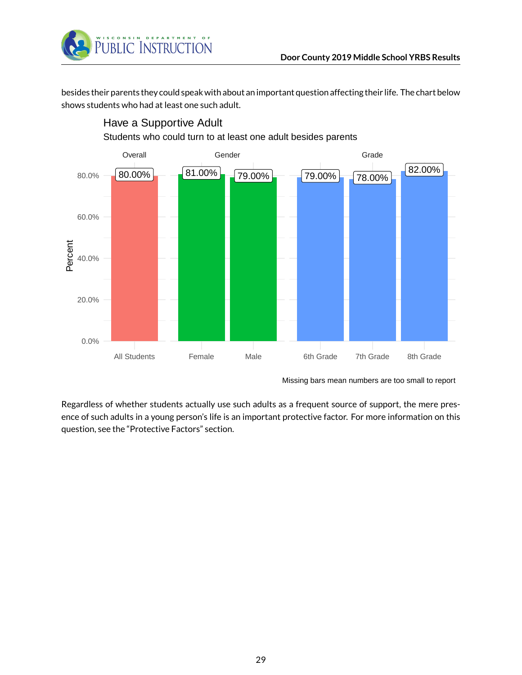

Have a Supportive Adult

besides their parents they could speak with about an important question affecting their life. The chart below shows students who had at least one such adult.



Regardless of whether students actually use such adults as a frequent source of support, the mere presence of such adults in a young person's life is an important protective factor. For more information on this question, see the "Protective Factors" section.

Missing bars mean numbers are too small to report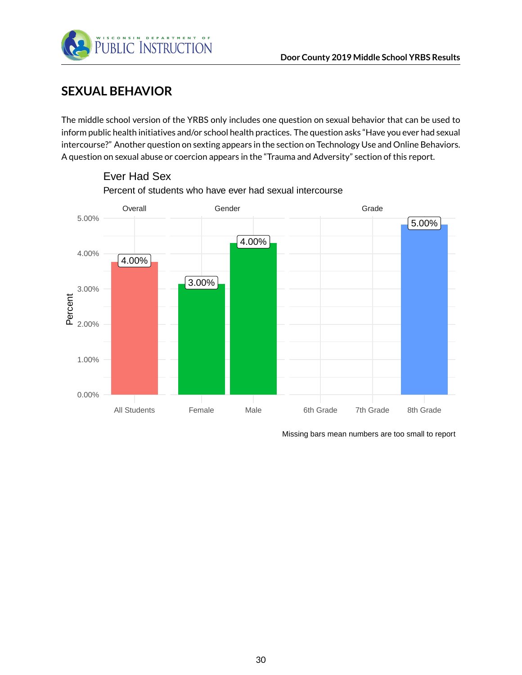

# <span id="page-29-0"></span>**SEXUAL BEHAVIOR**

The middle school version of the YRBS only includes one question on sexual behavior that can be used to inform public health initiatives and/or school health practices. The question asks "Have you ever had sexual intercourse?" Another question on sexting appears in the section on Technology Use and Online Behaviors. A question on sexual abuse or coercion appears in the "Trauma and Adversity" section of this report.



Percent of students who have ever had sexual intercourse Ever Had Sex

Missing bars mean numbers are too small to report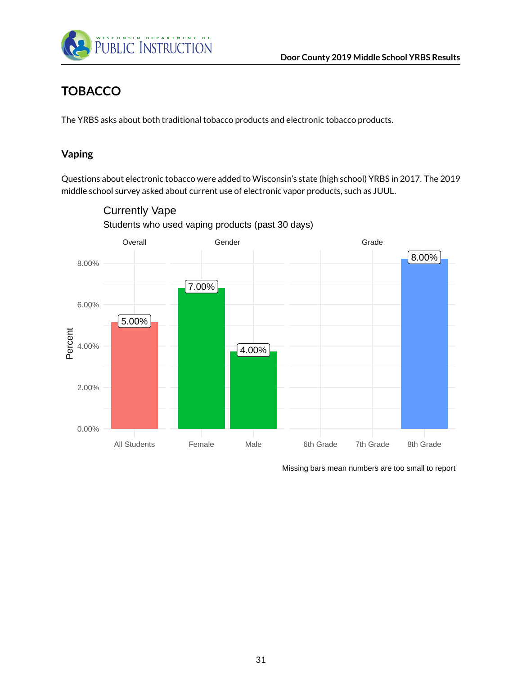

# <span id="page-30-0"></span>**TOBACCO**

The YRBS asks about both traditional tobacco products and electronic tobacco products.

#### <span id="page-30-1"></span>**Vaping**

Questions about electronic tobacco were added to Wisconsin's state (high school) YRBS in 2017. The 2019 middle school survey asked about current use of electronic vapor products, such as JUUL.



Students who used vaping products (past 30 days) Currently Vape

Missing bars mean numbers are too small to report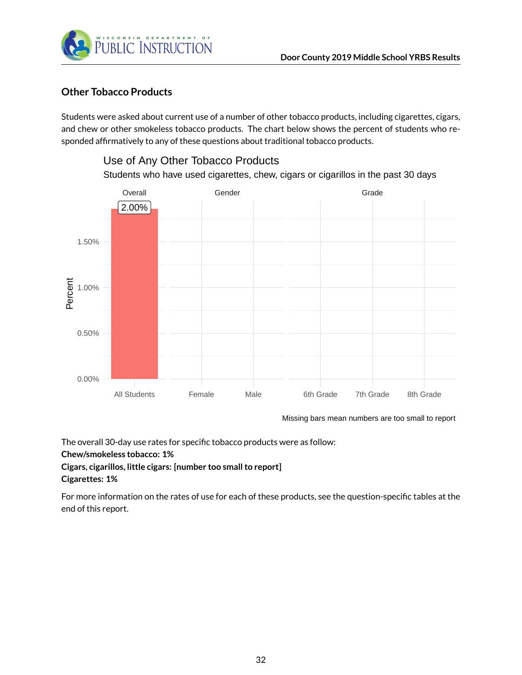

#### <span id="page-31-0"></span>**Other Tobacco Products**

Students were asked about current use of a number of other tobacco products, including cigarettes, cigars, and chew or other smokeless tobacco products. The chart below shows the percent of students who responded affirmatively to any of these questions about traditional tobacco products.



Use of Any Other Tobacco Products

Missing bars mean numbers are too small to report

The overall 30-day use rates for specific tobacco products were as follow:

**Chew/smokeless tobacco: 1%**

**Cigars, cigarillos, little cigars: [number too small to report] Cigarettes: 1%**

For more information on the rates of use for each of these products, see the question-specific tables at the end of this report.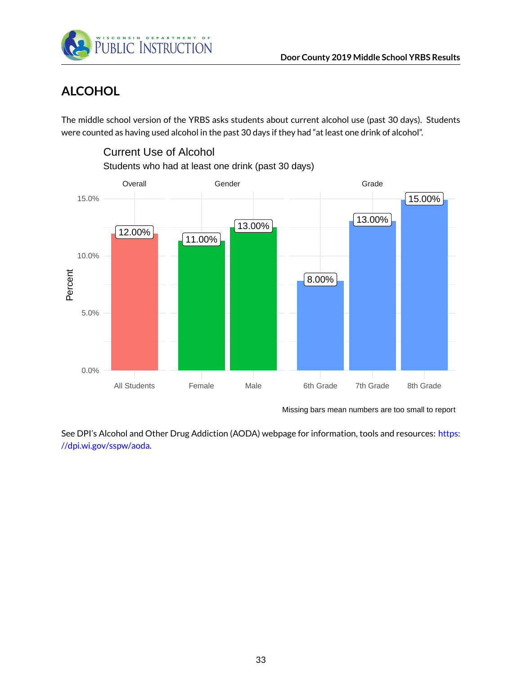

Current Use of Alcohol

# <span id="page-32-0"></span>**ALCOHOL**

The middle school version of the YRBS asks students about current alcohol use (past 30 days). Students were counted as having used alcohol in the past 30 days if they had "at least one drink of alcohol".



Missing bars mean numbers are too small to report

See DPI's Alcohol and Other Drug Addiction (AODA) webpage for information, tools and resources: [https:](https://dpi.wi.gov/sspw/aoda) [//dpi.wi.gov/sspw/aoda.](https://dpi.wi.gov/sspw/aoda)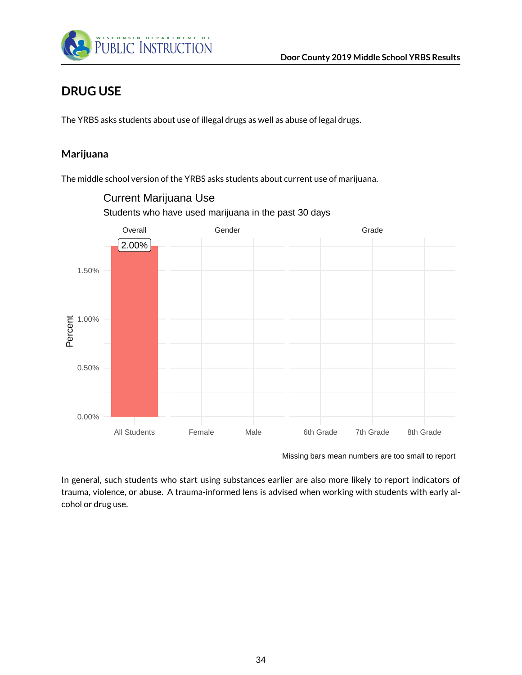

# <span id="page-33-0"></span>**DRUG USE**

The YRBS asks students about use of illegal drugs as well as abuse of legal drugs.

#### <span id="page-33-1"></span>**Marijuana**

The middle school version of the YRBS asks students about current use of marijuana.



Students who have used marijuana in the past 30 days Current Marijuana Use

Missing bars mean numbers are too small to report

In general, such students who start using substances earlier are also more likely to report indicators of trauma, violence, or abuse. A trauma-informed lens is advised when working with students with early alcohol or drug use.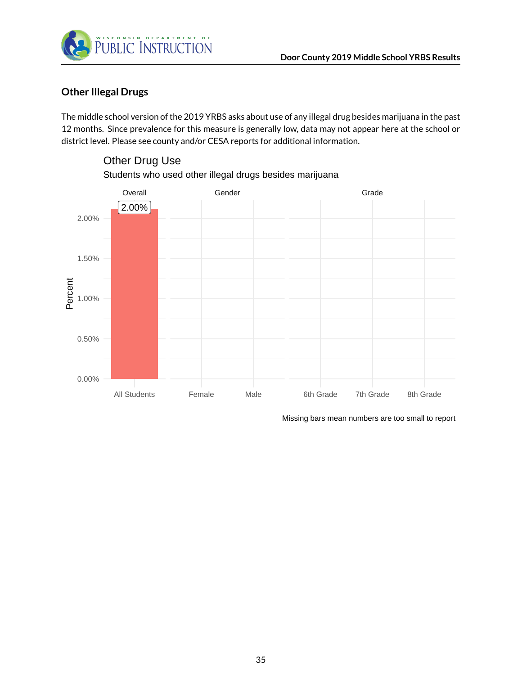

#### <span id="page-34-0"></span>**Other Illegal Drugs**

The middle school version of the 2019 YRBS asks about use of any illegal drug besides marijuana in the past 12 months. Since prevalence for this measure is generally low, data may not appear here at the school or district level. Please see county and/or CESA reports for additional information.



# Other Drug Use

Students who used other illegal drugs besides marijuana

Missing bars mean numbers are too small to report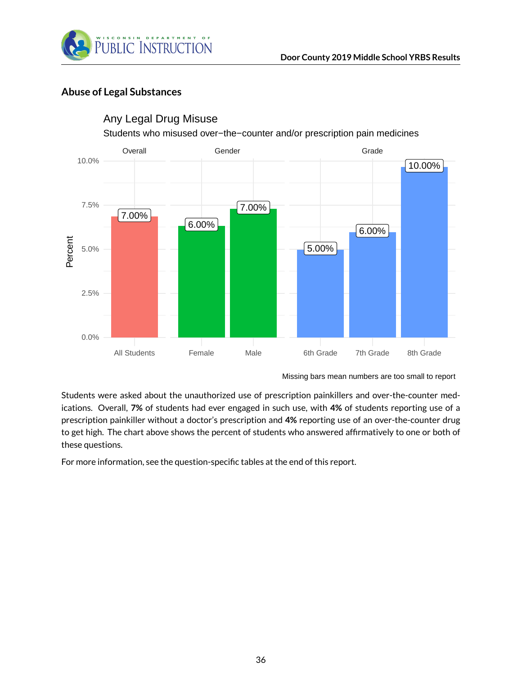

#### <span id="page-35-0"></span>**Abuse of Legal Substances**



#### Any Legal Drug Misuse

Students who misused over−the−counter and/or prescription pain medicines

Students were asked about the unauthorized use of prescription painkillers and over-the-counter medications. Overall, **7%** of students had ever engaged in such use, with **4%** of students reporting use of a prescription painkiller without a doctor's prescription and **4%** reporting use of an over-the-counter drug to get high. The chart above shows the percent of students who answered affirmatively to one or both of these questions.

For more information, see the question-specific tables at the end of this report.

Missing bars mean numbers are too small to report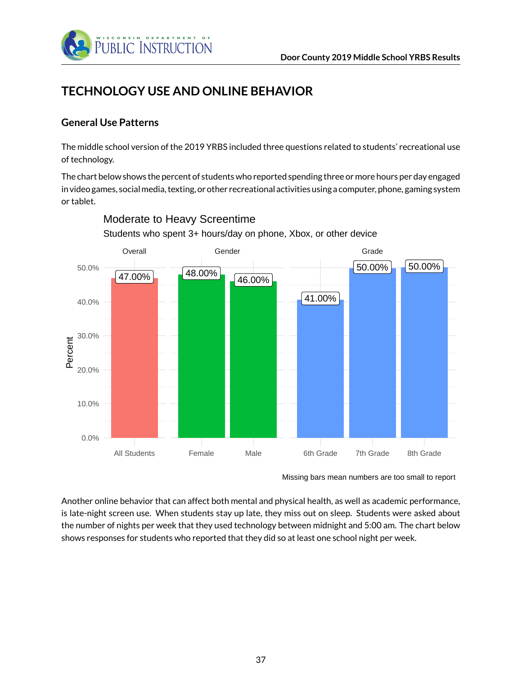

# **TECHNOLOGY USE AND ONLINE BEHAVIOR**

## **General Use Patterns**

The middle school version of the 2019 YRBS included three questions related to students' recreational use of technology.

The chart below shows the percent of students who reported spending three or more hours per day engaged in video games, socialmedia, texting, or other recreational activities using a computer, phone, gaming system or tablet.



## Moderate to Heavy Screentime

Students who spent 3+ hours/day on phone, Xbox, or other device

Another online behavior that can affect both mental and physical health, as well as academic performance, is late-night screen use. When students stay up late, they miss out on sleep. Students were asked about the number of nights per week that they used technology between midnight and 5:00 am. The chart below shows responses for students who reported that they did so at least one school night per week.

Missing bars mean numbers are too small to report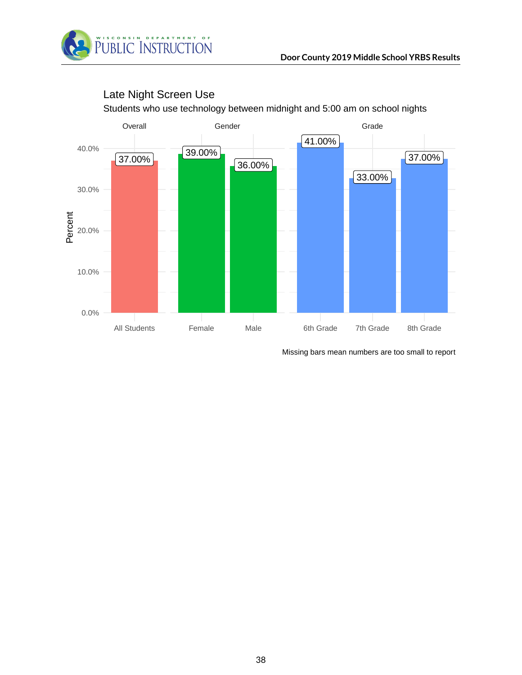



## Late Night Screen Use

Missing bars mean numbers are too small to report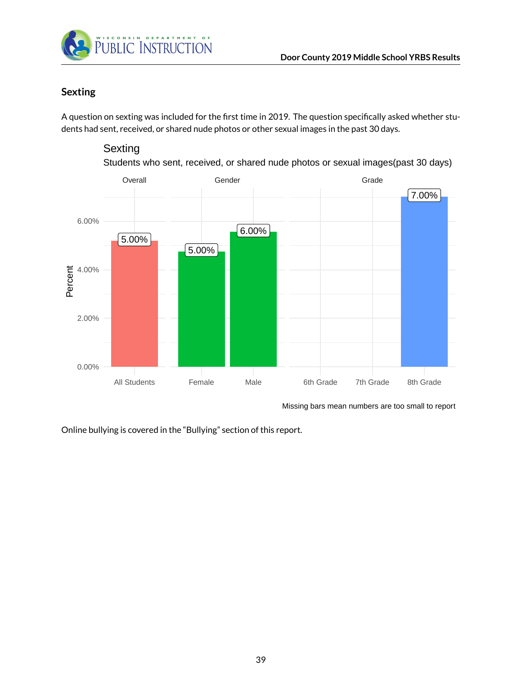

## **Sexting**

A question on sexting was included for the first time in 2019. The question specifically asked whether students had sent, received, or shared nude photos or other sexual images in the past 30 days.

## **Sexting**

Students who sent, received, or shared nude photos or sexual images(past 30 days)



Missing bars mean numbers are too small to report

Online bullying is covered in the "Bullying" section of this report.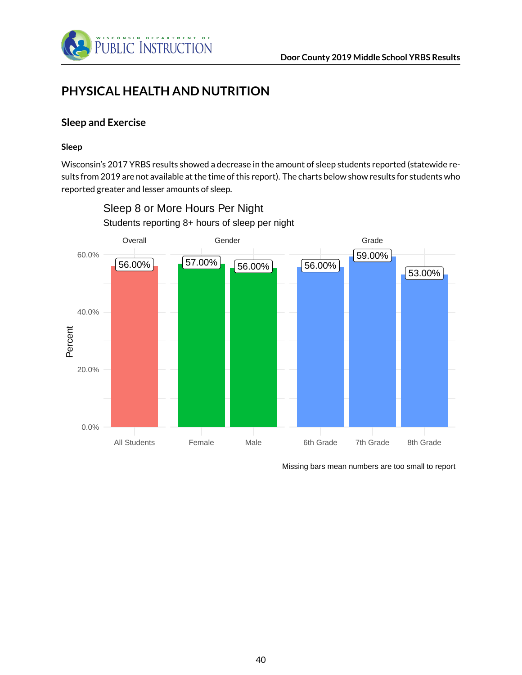

# **PHYSICAL HEALTH AND NUTRITION**

## **Sleep and Exercise**

#### **Sleep**

Wisconsin's 2017 YRBS results showed a decrease in the amount of sleep students reported (statewide results from 2019 are not available at the time of this report). The charts below show results for students who reported greater and lesser amounts of sleep.



Students reporting 8+ hours of sleep per night Sleep 8 or More Hours Per Night

Missing bars mean numbers are too small to report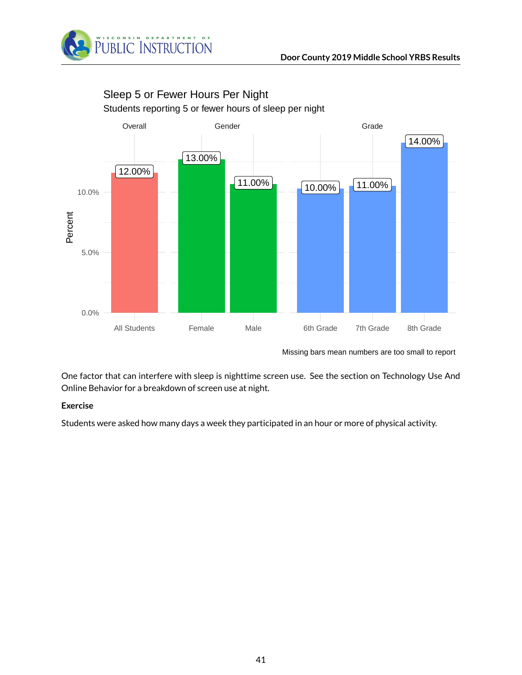



## Sleep 5 or Fewer Hours Per Night

Students reporting 5 or fewer hours of sleep per night

Missing bars mean numbers are too small to report

One factor that can interfere with sleep is nighttime screen use. See the section on Technology Use And Online Behavior for a breakdown of screen use at night.

#### **Exercise**

Students were asked how many days a week they participated in an hour or more of physical activity.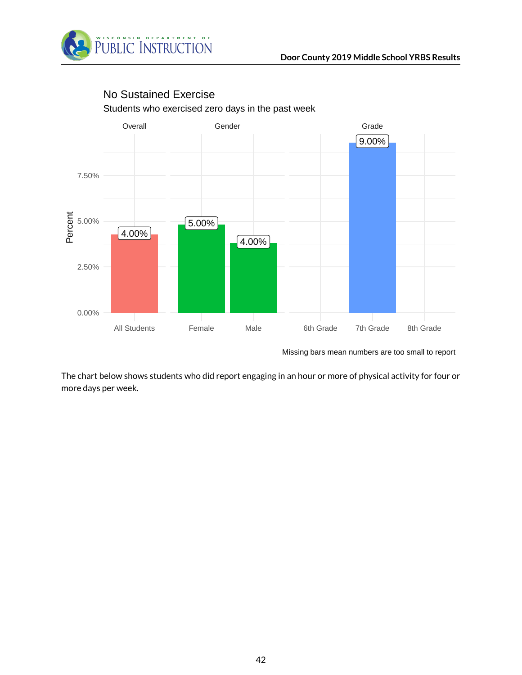



## No Sustained Exercise

Students who exercised zero days in the past week

Missing bars mean numbers are too small to report

The chart below shows students who did report engaging in an hour or more of physical activity for four or more days per week.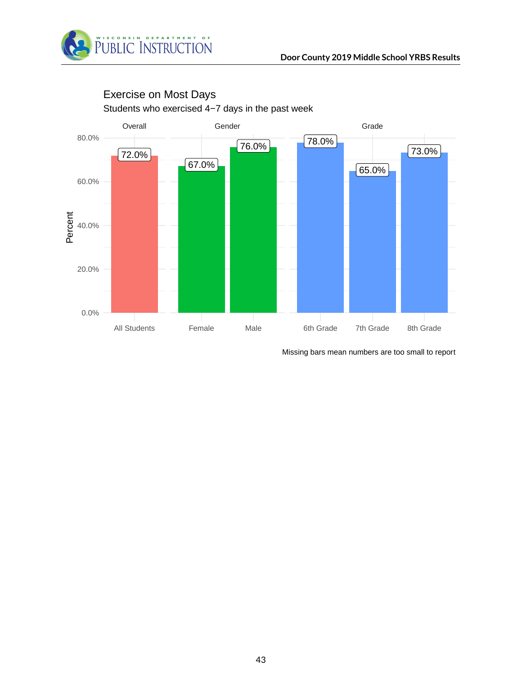



## Students who exercised 4−7 days in the past week Exercise on Most Days

Missing bars mean numbers are too small to report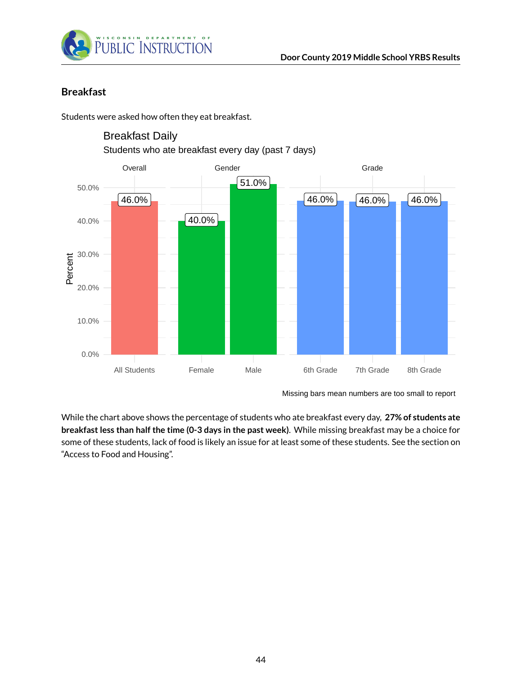

## **Breakfast**

Students were asked how often they eat breakfast.



Students who ate breakfast every day (past 7 days) Breakfast Daily

While the chart above shows the percentage of students who ate breakfast every day, **27% of students ate breakfast less than half the time (0-3 days in the past week)**. While missing breakfast may be a choice for some of these students, lack of food is likely an issue for at least some of these students. See the section on "Access to Food and Housing".

Missing bars mean numbers are too small to report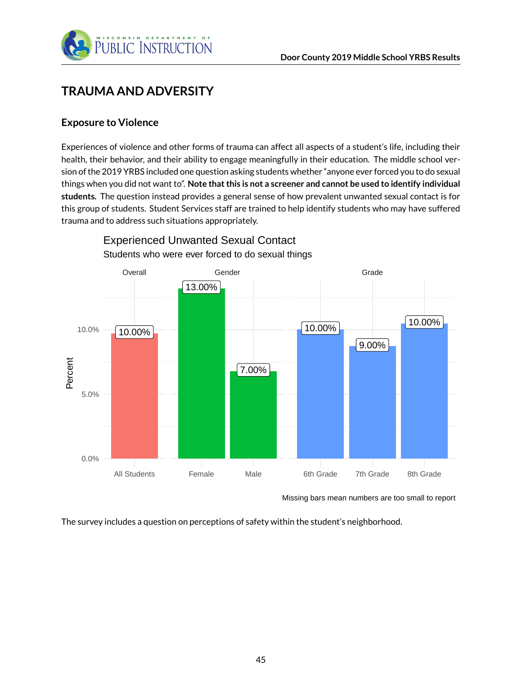

# **TRAUMA AND ADVERSITY**

#### **Exposure to Violence**

Experiences of violence and other forms of trauma can affect all aspects of a student's life, including their health, their behavior, and their ability to engage meaningfully in their education. The middle school version of the 2019 YRBS included one question asking students whether "anyone ever forced you to do sexual things when you did not want to". **Note that this is not a screener and cannot be used to identify individual students.** The question instead provides a general sense of how prevalent unwanted sexual contact is for this group of students. Student Services staff are trained to help identify students who may have suffered trauma and to address such situations appropriately.



Experienced Unwanted Sexual Contact

Missing bars mean numbers are too small to report

The survey includes a question on perceptions of safety within the student's neighborhood.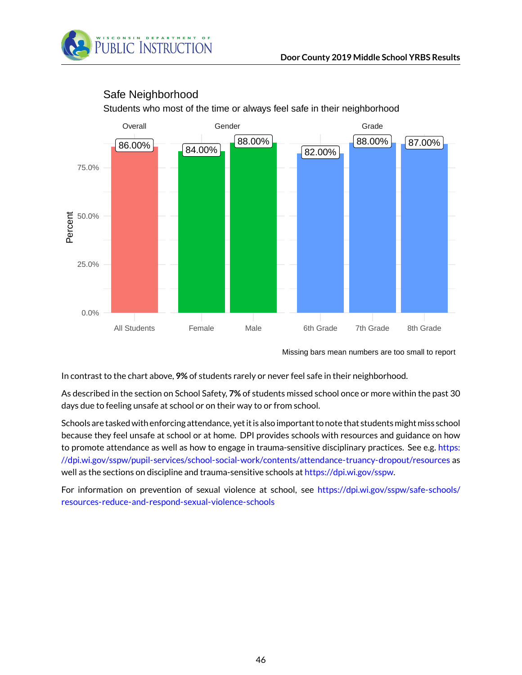

## Safe Neighborhood

Students who most of the time or always feel safe in their neighborhood

Missing bars mean numbers are too small to report

In contrast to the chart above, **9%** of students rarely or never feel safe in their neighborhood.

As described in the section on School Safety, **7%** of students missed school once or more within the past 30 days due to feeling unsafe at school or on their way to or from school.

Schools are tasked with enforcing attendance, yet it is also important to note that students might miss school because they feel unsafe at school or at home. DPI provides schools with resources and guidance on how to promote attendance as well as how to engage in trauma-sensitive disciplinary practices. See e.g. [https:](https://dpi.wi.gov/sspw/pupil-services/school-social-work/contents/attendance-truancy-dropout/resources) [//dpi.wi.gov/sspw/pupil-services/school-social-work/contents/attendance-truancy-dropout/resources](https://dpi.wi.gov/sspw/pupil-services/school-social-work/contents/attendance-truancy-dropout/resources) as well as the sections on discipline and trauma-sensitive schools at [https://dpi.wi.gov/sspw.](https://dpi.wi.gov/sspw)

For information on prevention of sexual violence at school, see [https://dpi.wi.gov/sspw/safe-schools/](https://dpi.wi.gov/sspw/safe-schools/resources-reduce-and-respond-sexual-violence-schools) [resources-reduce-and-respond-sexual-violence-schools](https://dpi.wi.gov/sspw/safe-schools/resources-reduce-and-respond-sexual-violence-schools)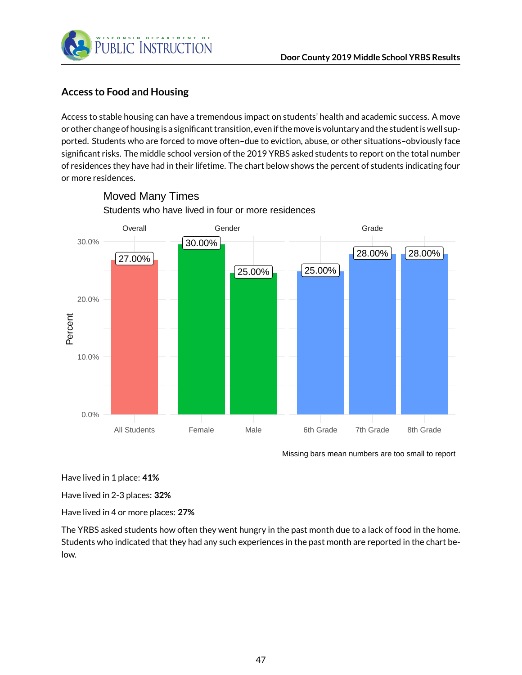

## **Access to Food and Housing**

Access to stable housing can have a tremendous impact on students' health and academic success. A move or other change of housing is a significant transition, even if the move is voluntary and the student is well supported. Students who are forced to move often–due to eviction, abuse, or other situations–obviously face significant risks. The middle school version of the 2019 YRBS asked students to report on the total number of residences they have had in their lifetime. The chart below shows the percent of students indicating four or more residences.



## Students who have lived in four or more residences Moved Many Times

Missing bars mean numbers are too small to report

Have lived in 1 place: **41%**

Have lived in 2-3 places: **32%**

Have lived in 4 or more places: **27%**

The YRBS asked students how often they went hungry in the past month due to a lack of food in the home. Students who indicated that they had any such experiences in the past month are reported in the chart below.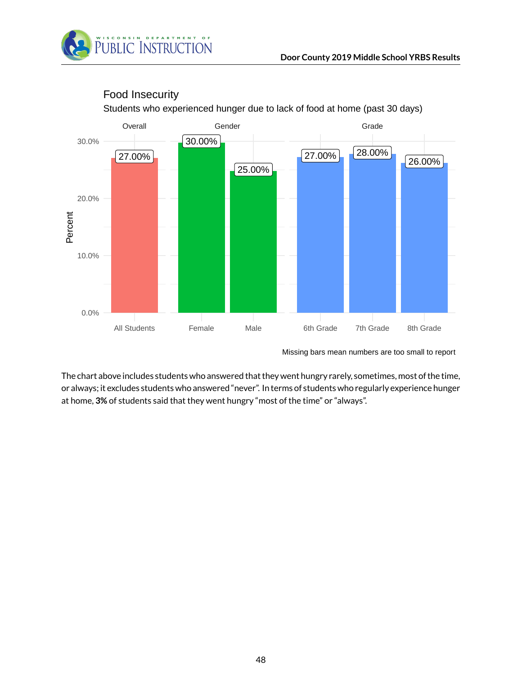



## Food Insecurity

Students who experienced hunger due to lack of food at home (past 30 days)

Missing bars mean numbers are too small to report

The chart above includes students who answered that they went hungry rarely, sometimes, most of the time, or always; it excludes students who answered "never". In terms of students who regularly experience hunger at home, **3%** of students said that they went hungry "most of the time" or "always".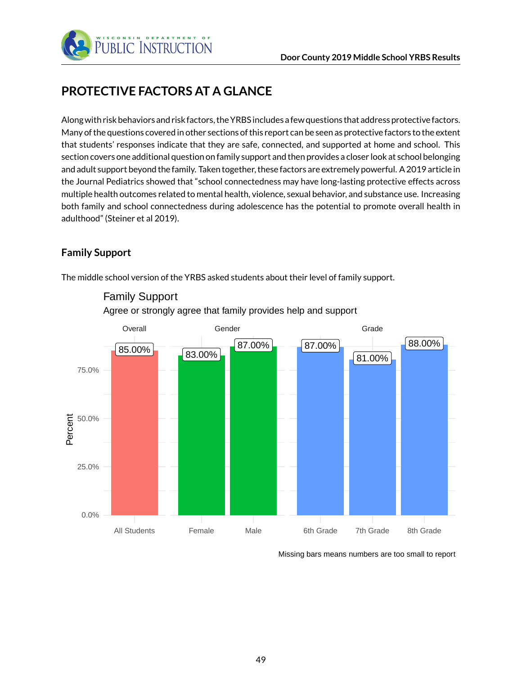

# **PROTECTIVE FACTORS AT A GLANCE**

Along with risk behaviors and risk factors, the YRBS includes a few questions that address protective factors. Many of the questions covered in other sections of this report can be seen as protective factors to the extent that students' responses indicate that they are safe, connected, and supported at home and school. This section covers one additional question on family support and then provides a closer look at school belonging and adult support beyond the family. Taken together, these factors are extremely powerful. A 2019 article in the Journal Pediatrics showed that "school connectedness may have long-lasting protective effects across multiple health outcomes related to mental health, violence, sexual behavior, and substance use. Increasing both family and school connectedness during adolescence has the potential to promote overall health in adulthood" (Steiner et al 2019).

## **Family Support**

The middle school version of the YRBS asked students about their level of family support.



## Agree or strongly agree that family provides help and support Family Support

Missing bars means numbers are too small to report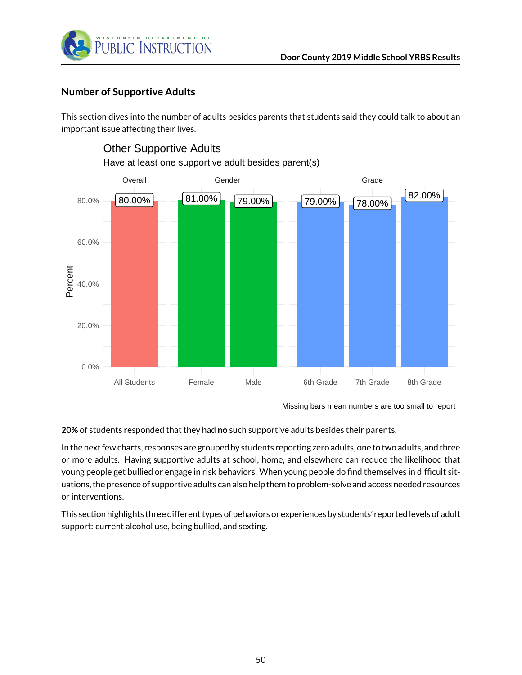

## **Number of Supportive Adults**

This section dives into the number of adults besides parents that students said they could talk to about an important issue affecting their lives.



## Other Supportive Adults

Have at least one supportive adult besides parent(s)

Missing bars mean numbers are too small to report

**20%** of students responded that they had **no** such supportive adults besides their parents.

In the next few charts, responses are grouped by students reporting zero adults, one to two adults, and three or more adults. Having supportive adults at school, home, and elsewhere can reduce the likelihood that young people get bullied or engage in risk behaviors. When young people do find themselves in difficult situations, the presence of supportive adults can also help them to problem-solve and access needed resources or interventions.

This section highlights three different types of behaviors or experiences by students' reported levels of adult support: current alcohol use, being bullied, and sexting.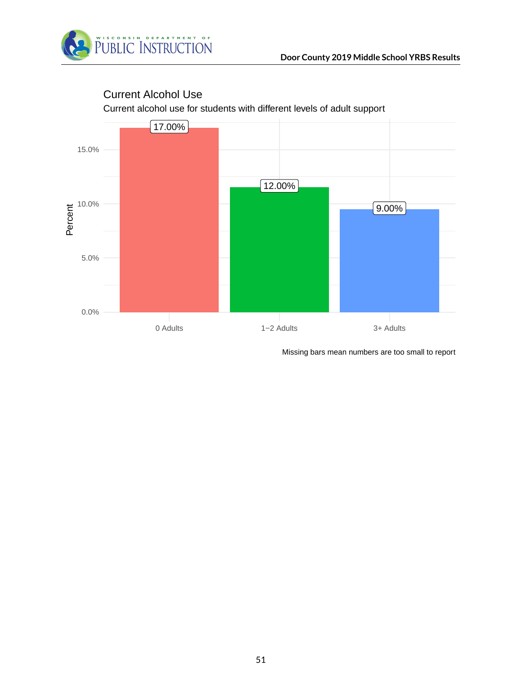



## Current Alcohol Use

Current alcohol use for students with different levels of adult support

Missing bars mean numbers are too small to report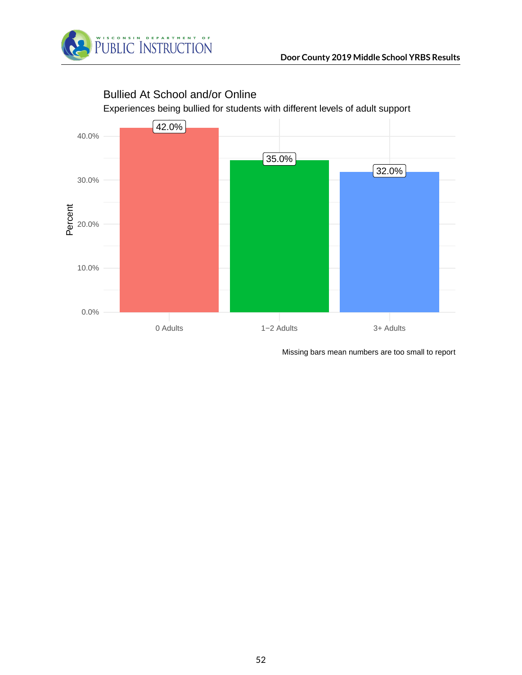

# $\sqrt{42.0\%}$ 35.0% 32.0% 0.0% 10.0% te<br>al<br>A 20.0% 30.0% 40.0% 0 Adults 1−2 Adults 3+ Adults

Bullied At School and/or Online

Experiences being bullied for students with different levels of adult support

Missing bars mean numbers are too small to report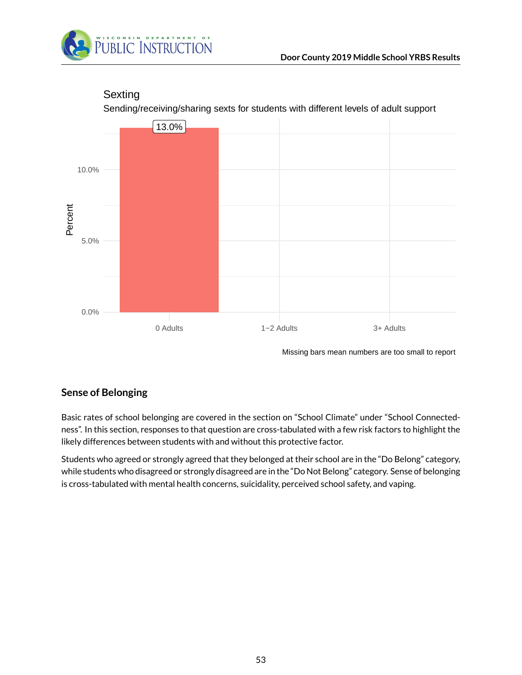



## Sexting

Sending/receiving/sharing sexts for students with different levels of adult support

Missing bars mean numbers are too small to report

## **Sense of Belonging**

Basic rates of school belonging are covered in the section on "School Climate" under "School Connectedness". In this section, responses to that question are cross-tabulated with a few risk factors to highlight the likely differences between students with and without this protective factor.

Students who agreed or strongly agreed that they belonged at their school are in the "Do Belong" category, while students who disagreed or strongly disagreed are in the "Do Not Belong" category. Sense of belonging is cross-tabulated with mental health concerns, suicidality, perceived school safety, and vaping.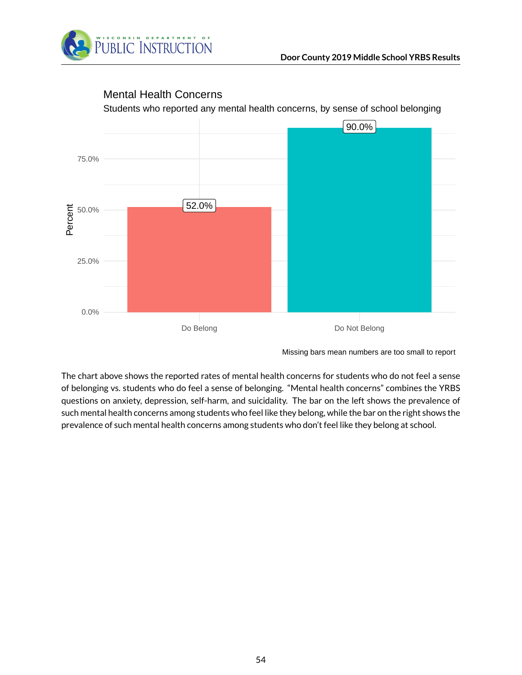



#### Mental Health Concerns

The chart above shows the reported rates of mental health concerns for students who do not feel a sense of belonging vs. students who do feel a sense of belonging. "Mental health concerns" combines the YRBS questions on anxiety, depression, self-harm, and suicidality. The bar on the left shows the prevalence of such mental health concerns among students who feel like they belong, while the bar on the right shows the prevalence of such mental health concerns among students who don't feel like they belong at school.

Missing bars mean numbers are too small to report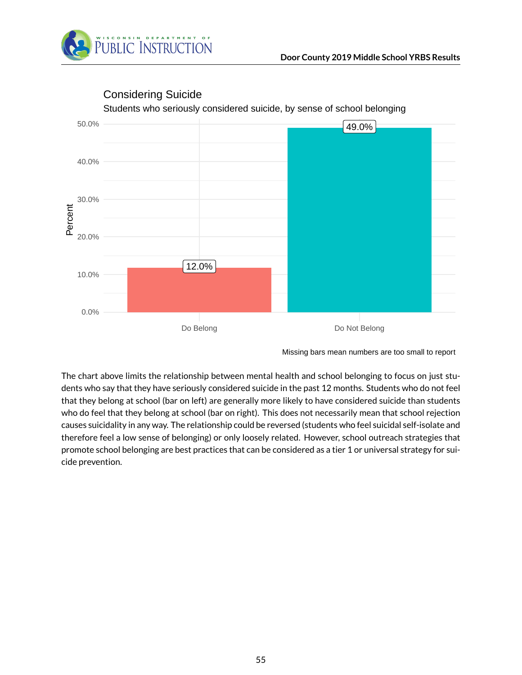



## Considering Suicide

Students who seriously considered suicide, by sense of school belonging

The chart above limits the relationship between mental health and school belonging to focus on just students who say that they have seriously considered suicide in the past 12 months. Students who do not feel that they belong at school (bar on left) are generally more likely to have considered suicide than students who do feel that they belong at school (bar on right). This does not necessarily mean that school rejection causes suicidality in any way. The relationship could be reversed (students who feel suicidal self-isolate and therefore feel a low sense of belonging) or only loosely related. However, school outreach strategies that promote school belonging are best practices that can be considered as a tier 1 or universal strategy for suicide prevention.

Missing bars mean numbers are too small to report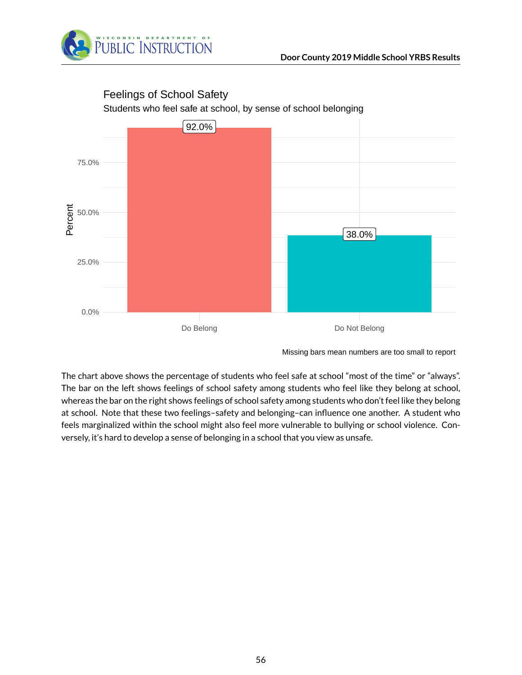



#### Feelings of School Safety

The chart above shows the percentage of students who feel safe at school "most of the time" or "always". The bar on the left shows feelings of school safety among students who feel like they belong at school, whereas the bar on the right shows feelings of school safety among students who don't feel like they belong at school. Note that these two feelings–safety and belonging–can influence one another. A student who feels marginalized within the school might also feel more vulnerable to bullying or school violence. Conversely, it's hard to develop a sense of belonging in a school that you view as unsafe.

Missing bars mean numbers are too small to report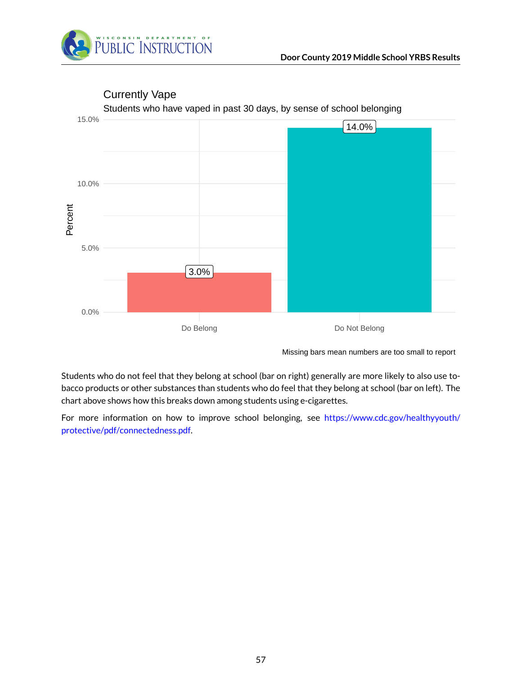



Currently Vape

Students who have vaped in past 30 days, by sense of school belonging

Missing bars mean numbers are too small to report

Students who do not feel that they belong at school (bar on right) generally are more likely to also use tobacco products or other substances than students who do feel that they belong at school (bar on left). The chart above shows how this breaks down among students using e-cigarettes.

For more information on how to improve school belonging, see [https://www.cdc.gov/healthyyouth/](https://www.cdc.gov/healthyyouth/protective/pdf/connectedness.pdf) [protective/pdf/connectedness.pdf.](https://www.cdc.gov/healthyyouth/protective/pdf/connectedness.pdf)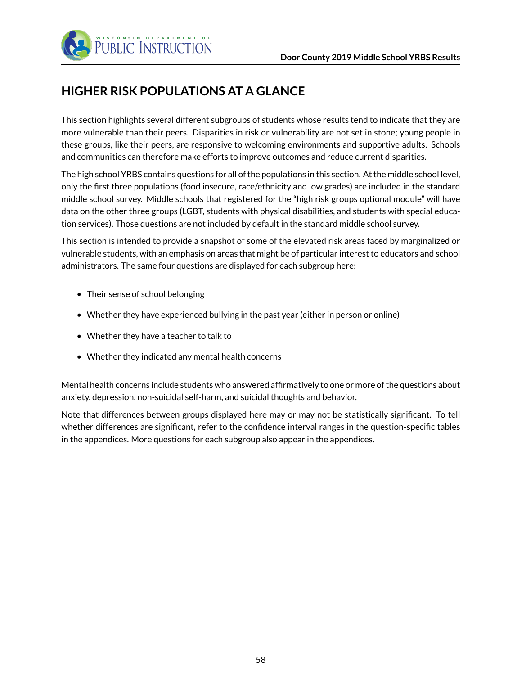

# **HIGHER RISK POPULATIONS AT A GLANCE**

This section highlights several different subgroups of students whose results tend to indicate that they are more vulnerable than their peers. Disparities in risk or vulnerability are not set in stone; young people in these groups, like their peers, are responsive to welcoming environments and supportive adults. Schools and communities can therefore make efforts to improve outcomes and reduce current disparities.

The high school YRBS contains questions for all of the populations in this section. At the middle school level, only the first three populations (food insecure, race/ethnicity and low grades) are included in the standard middle school survey. Middle schools that registered for the "high risk groups optional module" will have data on the other three groups (LGBT, students with physical disabilities, and students with special education services). Those questions are not included by default in the standard middle school survey.

This section is intended to provide a snapshot of some of the elevated risk areas faced by marginalized or vulnerable students, with an emphasis on areas that might be of particular interest to educators and school administrators. The same four questions are displayed for each subgroup here:

- Their sense of school belonging
- Whether they have experienced bullying in the past year (either in person or online)
- Whether they have a teacher to talk to
- Whether they indicated any mental health concerns

Mental health concerns include students who answered affirmatively to one or more of the questions about anxiety, depression, non-suicidal self-harm, and suicidal thoughts and behavior.

Note that differences between groups displayed here may or may not be statistically significant. To tell whether differences are significant, refer to the confidence interval ranges in the question-specific tables in the appendices. More questions for each subgroup also appear in the appendices.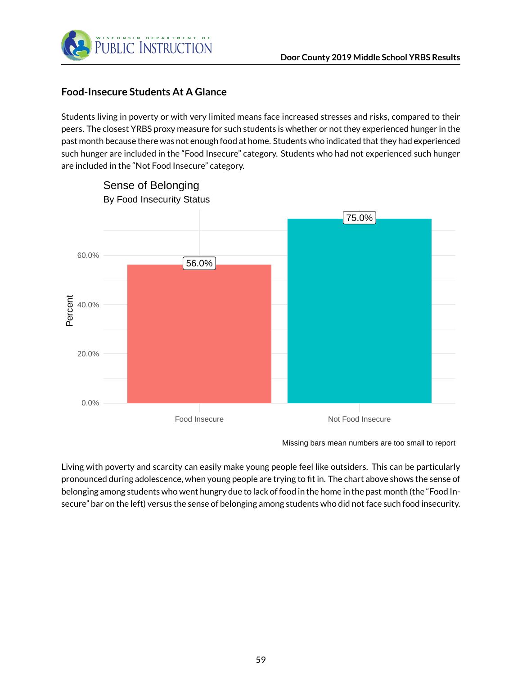

## **Food-Insecure Students At A Glance**

Students living in poverty or with very limited means face increased stresses and risks, compared to their peers. The closest YRBS proxy measure for such students is whether or not they experienced hunger in the past month because there was not enough food at home. Students who indicated that they had experienced such hunger are included in the "Food Insecure" category. Students who had not experienced such hunger are included in the "Not Food Insecure" category.



Missing bars mean numbers are too small to report

Living with poverty and scarcity can easily make young people feel like outsiders. This can be particularly pronounced during adolescence, when young people are trying to fit in. The chart above shows the sense of belonging among students who went hungry due to lack of food in the home in the past month (the "Food Insecure" bar on the left) versus the sense of belonging among students who did not face such food insecurity.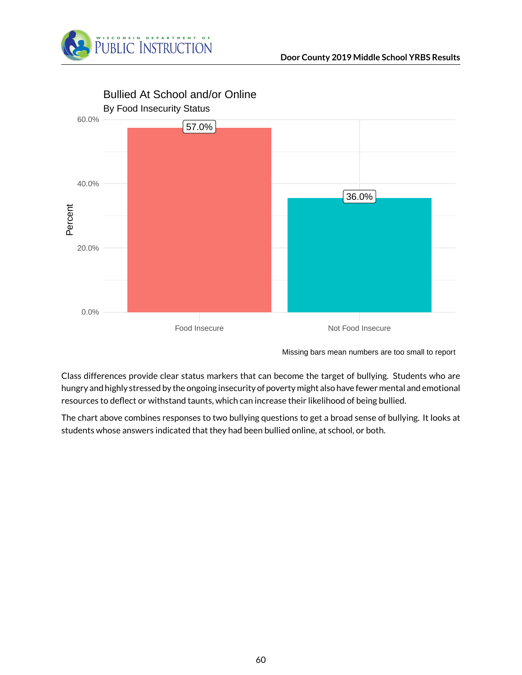



Bullied At School and/or Online

Missing bars mean numbers are too small to report

Class differences provide clear status markers that can become the target of bullying. Students who are hungry and highly stressed by the ongoing insecurity of poverty might also have fewer mental and emotional resources to deflect or withstand taunts, which can increase their likelihood of being bullied.

The chart above combines responses to two bullying questions to get a broad sense of bullying. It looks at students whose answers indicated that they had been bullied online, at school, or both.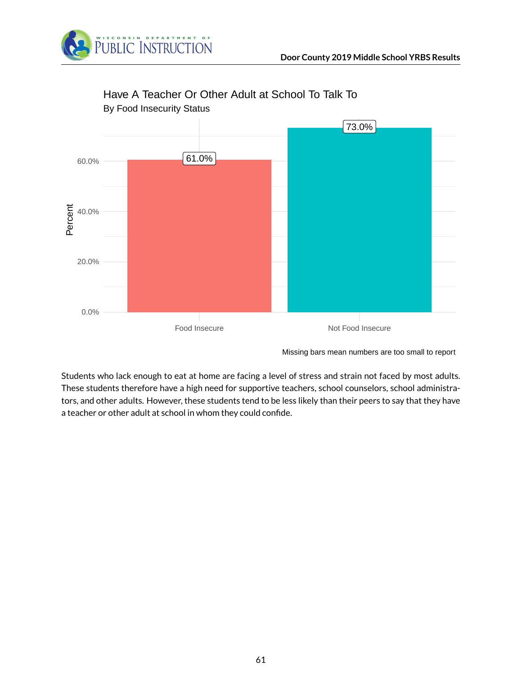



## Have A Teacher Or Other Adult at School To Talk To

Missing bars mean numbers are too small to report

Students who lack enough to eat at home are facing a level of stress and strain not faced by most adults. These students therefore have a high need for supportive teachers, school counselors, school administrators, and other adults. However, these students tend to be less likely than their peers to say that they have a teacher or other adult at school in whom they could confide.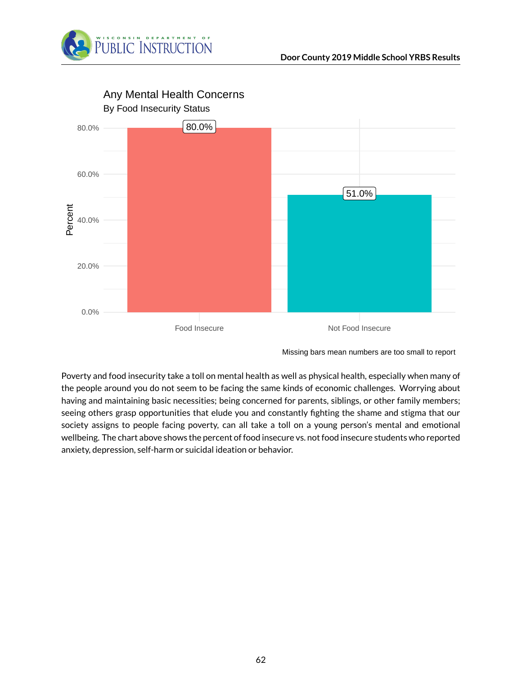



Any Mental Health Concerns

Missing bars mean numbers are too small to report

Poverty and food insecurity take a toll on mental health as well as physical health, especially when many of the people around you do not seem to be facing the same kinds of economic challenges. Worrying about having and maintaining basic necessities; being concerned for parents, siblings, or other family members; seeing others grasp opportunities that elude you and constantly fighting the shame and stigma that our society assigns to people facing poverty, can all take a toll on a young person's mental and emotional wellbeing. The chart above shows the percent of food insecure vs. not food insecure students who reported anxiety, depression, self-harm or suicidal ideation or behavior.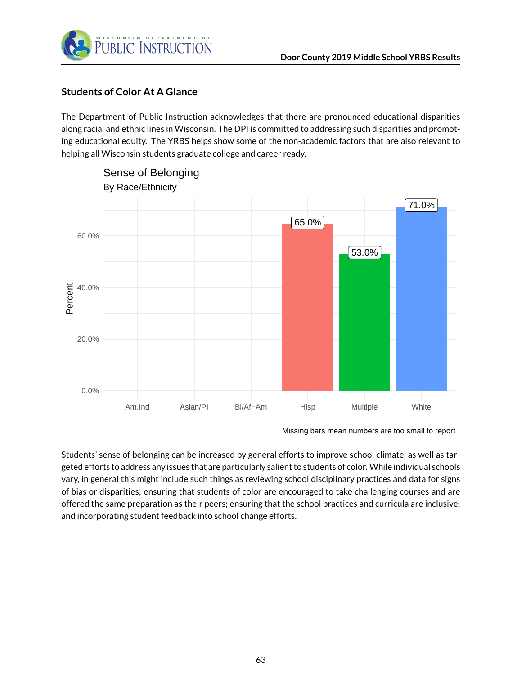

## **Students of Color At A Glance**

The Department of Public Instruction acknowledges that there are pronounced educational disparities along racial and ethnic lines in Wisconsin. The DPI is committed to addressing such disparities and promoting educational equity. The YRBS helps show some of the non-academic factors that are also relevant to helping all Wisconsin students graduate college and career ready.



Missing bars mean numbers are too small to report

Students' sense of belonging can be increased by general efforts to improve school climate, as well as targeted efforts to address any issues that are particularly salient to students of color. While individual schools vary, in general this might include such things as reviewing school disciplinary practices and data for signs of bias or disparities; ensuring that students of color are encouraged to take challenging courses and are offered the same preparation as their peers; ensuring that the school practices and curricula are inclusive; and incorporating student feedback into school change efforts.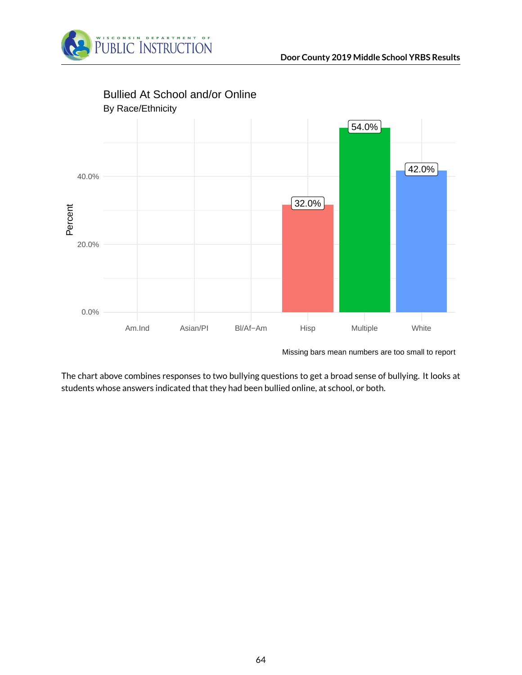



Missing bars mean numbers are too small to report

The chart above combines responses to two bullying questions to get a broad sense of bullying. It looks at students whose answers indicated that they had been bullied online, at school, or both.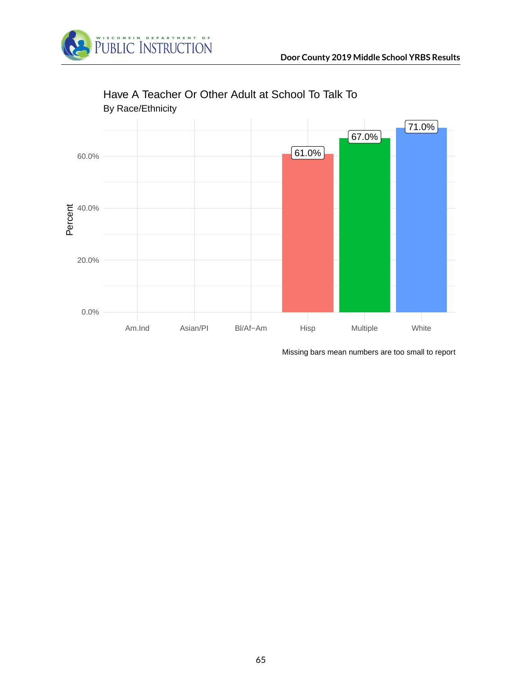



## Have A Teacher Or Other Adult at School To Talk To

Missing bars mean numbers are too small to report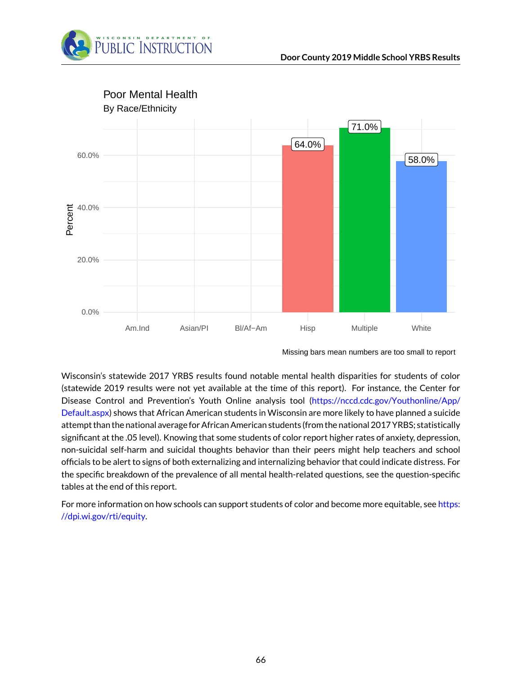



Missing bars mean numbers are too small to report

Wisconsin's statewide 2017 YRBS results found notable mental health disparities for students of color (statewide 2019 results were not yet available at the time of this report). For instance, the Center for Disease Control and Prevention's Youth Online analysis tool [\(https://nccd.cdc.gov/Youthonline/App/](https://nccd.cdc.gov/Youthonline/App/Default.aspx) [Default.aspx\)](https://nccd.cdc.gov/Youthonline/App/Default.aspx) shows that African American students in Wisconsin are more likely to have planned a suicide attempt than the national average for African American students (from the national 2017 YRBS; statistically significant at the .05 level). Knowing that some students of color report higher rates of anxiety, depression, non-suicidal self-harm and suicidal thoughts behavior than their peers might help teachers and school officials to be alert to signs of both externalizing and internalizing behavior that could indicate distress. For the specific breakdown of the prevalence of all mental health-related questions, see the question-specific tables at the end of this report.

For more information on how schools can support students of color and become more equitable, see [https:](https://dpi.wi.gov/rti/equity) [//dpi.wi.gov/rti/equity.](https://dpi.wi.gov/rti/equity)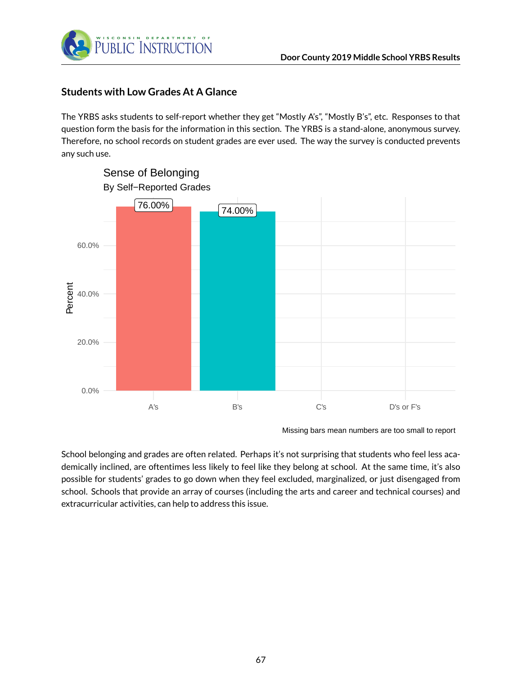

#### **Students with Low Grades At A Glance**

The YRBS asks students to self-report whether they get "Mostly A's", "Mostly B's", etc. Responses to that question form the basis for the information in this section. The YRBS is a stand-alone, anonymous survey. Therefore, no school records on student grades are ever used. The way the survey is conducted prevents any such use.



Missing bars mean numbers are too small to report

School belonging and grades are often related. Perhaps it's not surprising that students who feel less academically inclined, are oftentimes less likely to feel like they belong at school. At the same time, it's also possible for students' grades to go down when they feel excluded, marginalized, or just disengaged from school. Schools that provide an array of courses (including the arts and career and technical courses) and extracurricular activities, can help to address this issue.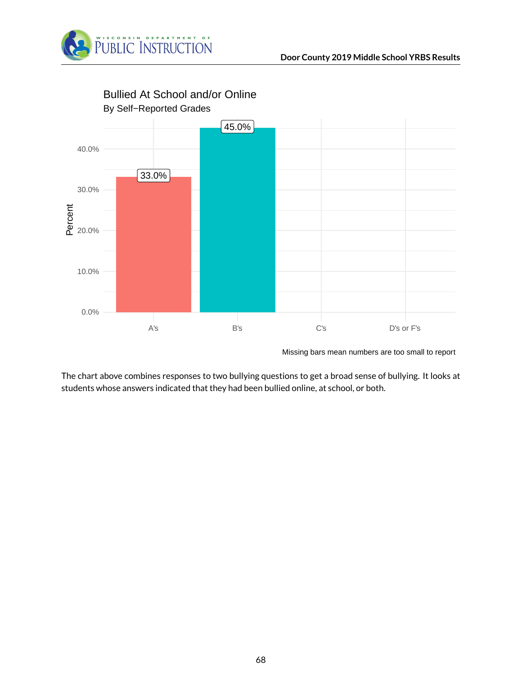



Missing bars mean numbers are too small to report

The chart above combines responses to two bullying questions to get a broad sense of bullying. It looks at students whose answers indicated that they had been bullied online, at school, or both.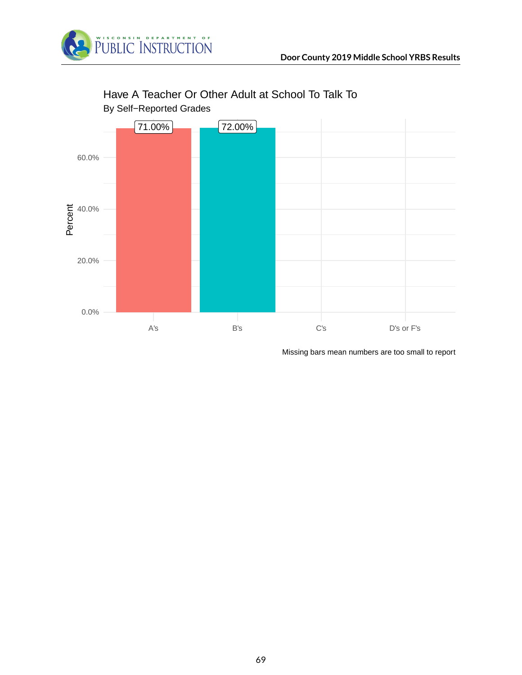



# Have A Teacher Or Other Adult at School To Talk To

Missing bars mean numbers are too small to report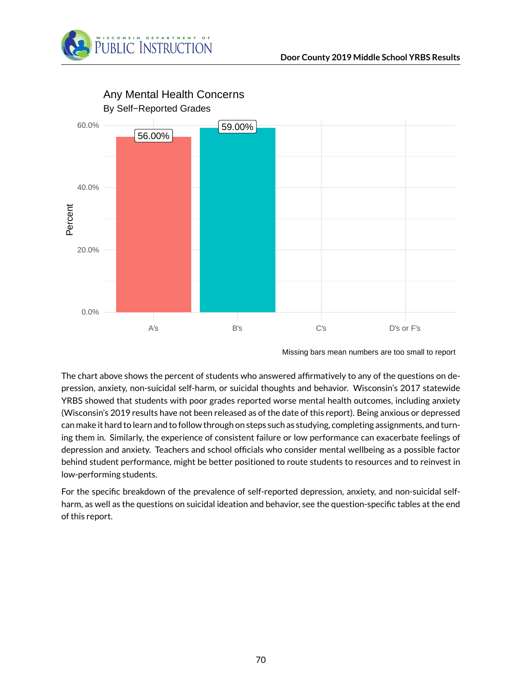



Any Mental Health Concerns

Missing bars mean numbers are too small to report

The chart above shows the percent of students who answered affirmatively to any of the questions on depression, anxiety, non-suicidal self-harm, or suicidal thoughts and behavior. Wisconsin's 2017 statewide YRBS showed that students with poor grades reported worse mental health outcomes, including anxiety (Wisconsin's 2019 results have not been released as of the date of this report). Being anxious or depressed can make it hard to learn and to follow through on steps such as studying, completing assignments, and turning them in. Similarly, the experience of consistent failure or low performance can exacerbate feelings of depression and anxiety. Teachers and school officials who consider mental wellbeing as a possible factor behind student performance, might be better positioned to route students to resources and to reinvest in low-performing students.

For the specific breakdown of the prevalence of self-reported depression, anxiety, and non-suicidal selfharm, as well as the questions on suicidal ideation and behavior, see the question-specific tables at the end of this report.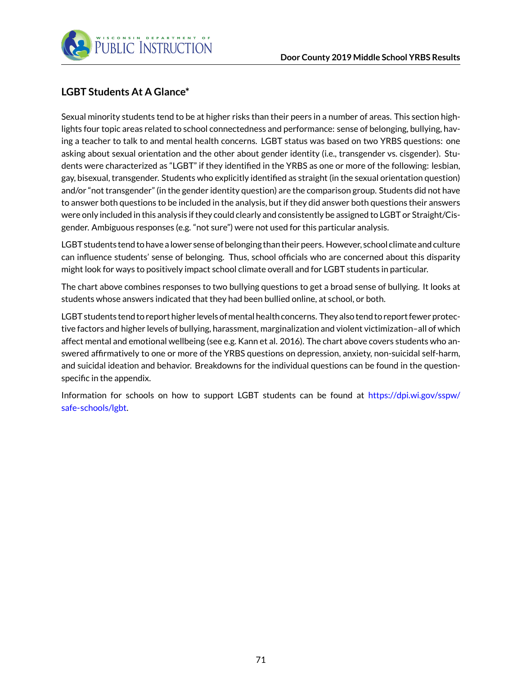

## **LGBT Students At A Glance\***

Sexual minority students tend to be at higher risks than their peers in a number of areas. This section highlights four topic areas related to school connectedness and performance: sense of belonging, bullying, having a teacher to talk to and mental health concerns. LGBT status was based on two YRBS questions: one asking about sexual orientation and the other about gender identity (i.e., transgender vs. cisgender). Students were characterized as "LGBT" if they identified in the YRBS as one or more of the following: lesbian, gay, bisexual, transgender. Students who explicitly identified as straight (in the sexual orientation question) and/or "not transgender" (in the gender identity question) are the comparison group. Students did not have to answer both questions to be included in the analysis, but if they did answer both questions their answers were only included in this analysis if they could clearly and consistently be assigned to LGBT or Straight/Cisgender. Ambiguous responses (e.g. "not sure") were not used for this particular analysis.

LGBT students tend to have a lower sense of belonging than their peers. However, school climate and culture can influence students' sense of belonging. Thus, school officials who are concerned about this disparity might look for ways to positively impact school climate overall and for LGBT students in particular.

The chart above combines responses to two bullying questions to get a broad sense of bullying. It looks at students whose answers indicated that they had been bullied online, at school, or both.

LGBT students tend to report higher levels of mental health concerns. They also tend to report fewer protective factors and higher levels of bullying, harassment, marginalization and violent victimization–all of which affect mental and emotional wellbeing (see e.g. Kann et al. 2016). The chart above covers students who answered affirmatively to one or more of the YRBS questions on depression, anxiety, non-suicidal self-harm, and suicidal ideation and behavior. Breakdowns for the individual questions can be found in the questionspecific in the appendix.

Information for schools on how to support LGBT students can be found at [https://dpi.wi.gov/sspw/](https://dpi.wi.gov/sspw/safe-schools/lgbt) [safe-schools/lgbt.](https://dpi.wi.gov/sspw/safe-schools/lgbt)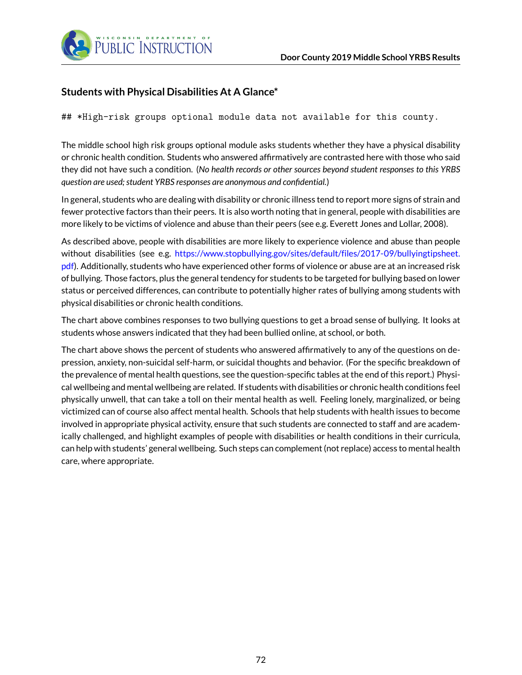

## **Students with Physical Disabilities At A Glance\***

## \*High-risk groups optional module data not available for this county.

The middle school high risk groups optional module asks students whether they have a physical disability or chronic health condition. Students who answered affirmatively are contrasted here with those who said they did not have such a condition. (*No health records or other sources beyond student responses to this YRBS question are used; student YRBS responses are anonymous and confidential.*)

In general, students who are dealing with disability or chronic illness tend to report more signs of strain and fewer protective factors than their peers. It is also worth noting that in general, people with disabilities are more likely to be victims of violence and abuse than their peers (see e.g. Everett Jones and Lollar, 2008).

As described above, people with disabilities are more likely to experience violence and abuse than people without disabilities (see e.g. [https://www.stopbullying.gov/sites/default/files/2017-09/bullyingtipsheet.](https://www.stopbullying.gov/sites/default/files/2017-09/bullyingtipsheet.pdf) [pdf\)](https://www.stopbullying.gov/sites/default/files/2017-09/bullyingtipsheet.pdf). Additionally, students who have experienced other forms of violence or abuse are at an increased risk of bullying. Those factors, plus the general tendency for students to be targeted for bullying based on lower status or perceived differences, can contribute to potentially higher rates of bullying among students with physical disabilities or chronic health conditions.

The chart above combines responses to two bullying questions to get a broad sense of bullying. It looks at students whose answers indicated that they had been bullied online, at school, or both.

The chart above shows the percent of students who answered affirmatively to any of the questions on depression, anxiety, non-suicidal self-harm, or suicidal thoughts and behavior. (For the specific breakdown of the prevalence of mental health questions, see the question-specific tables at the end of this report.) Physical wellbeing and mental wellbeing are related. If students with disabilities or chronic health conditions feel physically unwell, that can take a toll on their mental health as well. Feeling lonely, marginalized, or being victimized can of course also affect mental health. Schools that help students with health issues to become involved in appropriate physical activity, ensure that such students are connected to staff and are academically challenged, and highlight examples of people with disabilities or health conditions in their curricula, can help with students' general wellbeing. Such steps can complement (not replace) access to mental health care, where appropriate.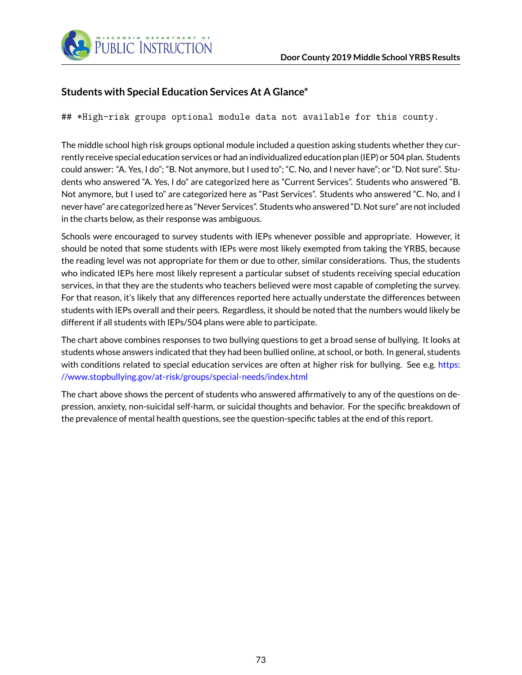

### **Students with Special Education Services At A Glance\***

## \*High-risk groups optional module data not available for this county.

The middle school high risk groups optional module included a question asking students whether they currently receive special education services or had an individualized education plan (IEP) or 504 plan. Students could answer: "A. Yes, I do"; "B. Not anymore, but I used to"; "C. No, and I never have"; or "D. Not sure". Students who answered "A. Yes, I do" are categorized here as "Current Services". Students who answered "B. Not anymore, but I used to" are categorized here as "Past Services". Students who answered "C. No, and I never have" are categorized here as "Never Services". Students who answered "D. Not sure" are not included in the charts below, as their response was ambiguous.

Schools were encouraged to survey students with IEPs whenever possible and appropriate. However, it should be noted that some students with IEPs were most likely exempted from taking the YRBS, because the reading level was not appropriate for them or due to other, similar considerations. Thus, the students who indicated IEPs here most likely represent a particular subset of students receiving special education services, in that they are the students who teachers believed were most capable of completing the survey. For that reason, it's likely that any differences reported here actually understate the differences between students with IEPs overall and their peers. Regardless, it should be noted that the numbers would likely be different if all students with IEPs/504 plans were able to participate.

The chart above combines responses to two bullying questions to get a broad sense of bullying. It looks at students whose answers indicated that they had been bullied online, at school, or both. In general, students with conditions related to special education services are often at higher risk for bullying. See e.g. [https:](https://www.stopbullying.gov/at-risk/groups/special-needs/index.html) [//www.stopbullying.gov/at-risk/groups/special-needs/index.html](https://www.stopbullying.gov/at-risk/groups/special-needs/index.html)

The chart above shows the percent of students who answered affirmatively to any of the questions on depression, anxiety, non-suicidal self-harm, or suicidal thoughts and behavior. For the specific breakdown of the prevalence of mental health questions, see the question-specific tables at the end of this report.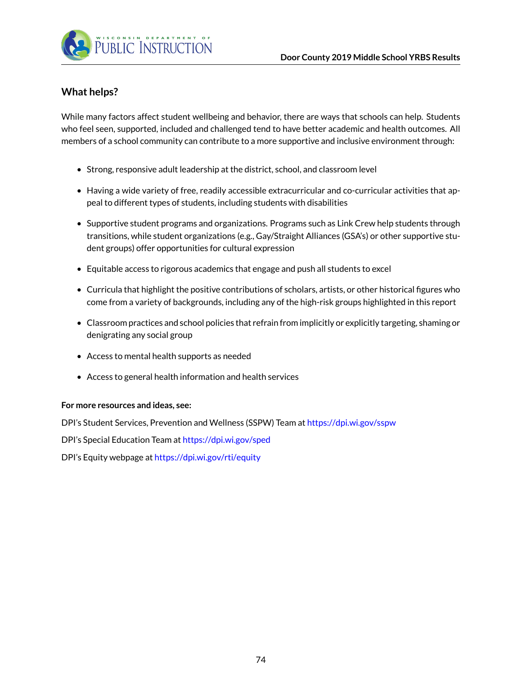

### **What helps?**

While many factors affect student wellbeing and behavior, there are ways that schools can help. Students who feel seen, supported, included and challenged tend to have better academic and health outcomes. All members of a school community can contribute to a more supportive and inclusive environment through:

- Strong, responsive adult leadership at the district, school, and classroom level
- Having a wide variety of free, readily accessible extracurricular and co-curricular activities that appeal to different types of students, including students with disabilities
- Supportive student programs and organizations. Programs such as Link Crew help students through transitions, while student organizations (e.g., Gay/Straight Alliances (GSA's) or other supportive student groups) offer opportunities for cultural expression
- Equitable access to rigorous academics that engage and push all students to excel
- Curricula that highlight the positive contributions of scholars, artists, or other historical figures who come from a variety of backgrounds, including any of the high-risk groups highlighted in this report
- Classroom practices and school policies that refrain from implicitly or explicitly targeting, shaming or denigrating any social group
- Access to mental health supports as needed
- Access to general health information and health services

#### **For more resources and ideas, see:**

DPI's Student Services, Prevention and Wellness (SSPW) Team at <https://dpi.wi.gov/sspw>

DPI's Special Education Team at <https://dpi.wi.gov/sped>

DPI's Equity webpage at <https://dpi.wi.gov/rti/equity>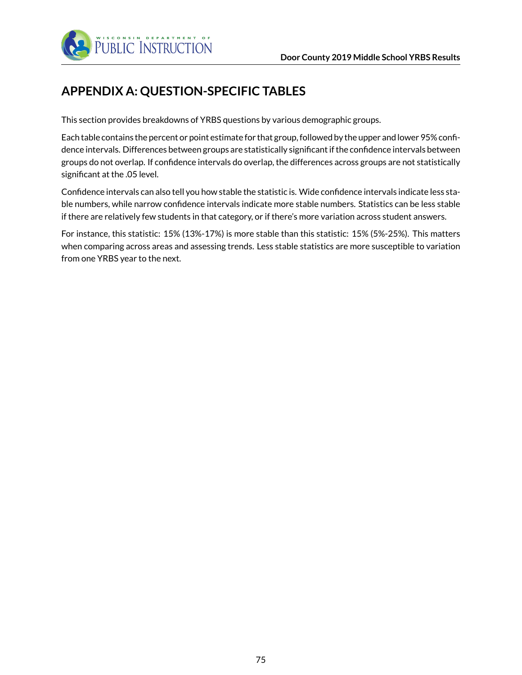

# **APPENDIX A: QUESTION-SPECIFIC TABLES**

This section provides breakdowns of YRBS questions by various demographic groups.

Each table contains the percent or point estimate for that group, followed by the upper and lower 95% confidence intervals. Differences between groups are statistically significant if the confidence intervals between groups do not overlap. If confidence intervals do overlap, the differences across groups are not statistically significant at the .05 level.

Confidence intervals can also tell you how stable the statistic is. Wide confidence intervals indicate less stable numbers, while narrow confidence intervals indicate more stable numbers. Statistics can be less stable if there are relatively few students in that category, or if there's more variation across student answers.

For instance, this statistic: 15% (13%-17%) is more stable than this statistic: 15% (5%-25%). This matters when comparing across areas and assessing trends. Less stable statistics are more susceptible to variation from one YRBS year to the next.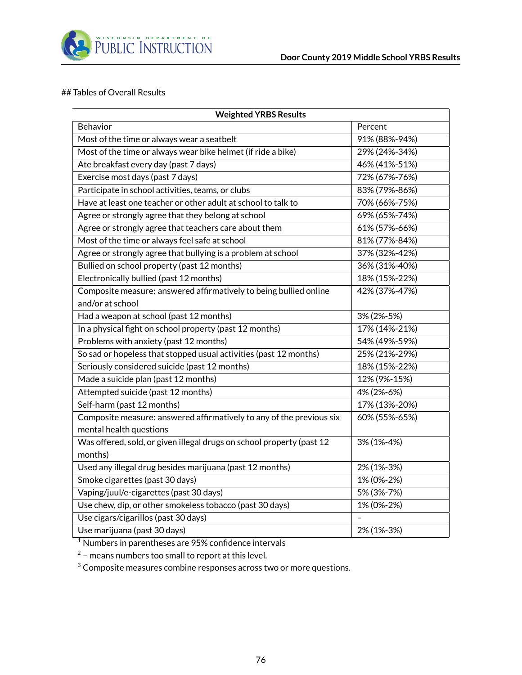

#### ## Tables of Overall Results

| <b>Weighted YRBS Results</b>                                          |               |  |  |  |  |
|-----------------------------------------------------------------------|---------------|--|--|--|--|
| Behavior                                                              | Percent       |  |  |  |  |
| Most of the time or always wear a seatbelt                            | 91% (88%-94%) |  |  |  |  |
| Most of the time or always wear bike helmet (if ride a bike)          | 29% (24%-34%) |  |  |  |  |
| Ate breakfast every day (past 7 days)                                 | 46% (41%-51%) |  |  |  |  |
| Exercise most days (past 7 days)                                      | 72% (67%-76%) |  |  |  |  |
| Participate in school activities, teams, or clubs                     | 83% (79%-86%) |  |  |  |  |
| Have at least one teacher or other adult at school to talk to         | 70% (66%-75%) |  |  |  |  |
| Agree or strongly agree that they belong at school                    | 69% (65%-74%) |  |  |  |  |
| Agree or strongly agree that teachers care about them                 | 61% (57%-66%) |  |  |  |  |
| Most of the time or always feel safe at school                        | 81% (77%-84%) |  |  |  |  |
| Agree or strongly agree that bullying is a problem at school          | 37% (32%-42%) |  |  |  |  |
| Bullied on school property (past 12 months)                           | 36% (31%-40%) |  |  |  |  |
| Electronically bullied (past 12 months)                               | 18% (15%-22%) |  |  |  |  |
| Composite measure: answered affirmatively to being bullied online     | 42% (37%-47%) |  |  |  |  |
| and/or at school                                                      |               |  |  |  |  |
| Had a weapon at school (past 12 months)                               | 3% (2%-5%)    |  |  |  |  |
| In a physical fight on school property (past 12 months)               | 17% (14%-21%) |  |  |  |  |
| Problems with anxiety (past 12 months)                                | 54% (49%-59%) |  |  |  |  |
| So sad or hopeless that stopped usual activities (past 12 months)     | 25% (21%-29%) |  |  |  |  |
| Seriously considered suicide (past 12 months)                         | 18% (15%-22%) |  |  |  |  |
| Made a suicide plan (past 12 months)                                  | 12% (9%-15%)  |  |  |  |  |
| Attempted suicide (past 12 months)                                    | 4% (2%-6%)    |  |  |  |  |
| Self-harm (past 12 months)                                            | 17% (13%-20%) |  |  |  |  |
| Composite measure: answered affirmatively to any of the previous six  | 60% (55%-65%) |  |  |  |  |
| mental health questions                                               |               |  |  |  |  |
| Was offered, sold, or given illegal drugs on school property (past 12 | 3% (1%-4%)    |  |  |  |  |
| months)                                                               |               |  |  |  |  |
| Used any illegal drug besides marijuana (past 12 months)              | 2% (1%-3%)    |  |  |  |  |
| Smoke cigarettes (past 30 days)                                       | 1% (0%-2%)    |  |  |  |  |
| Vaping/juul/e-cigarettes (past 30 days)                               | 5% (3%-7%)    |  |  |  |  |
| Use chew, dip, or other smokeless tobacco (past 30 days)              | 1% (0%-2%)    |  |  |  |  |
| Use cigars/cigarillos (past 30 days)                                  |               |  |  |  |  |
| Use marijuana (past 30 days)                                          | 2% (1%-3%)    |  |  |  |  |

<sup>1</sup> Numbers in parentheses are 95% confidence intervals

 $^2$  – means numbers too small to report at this level.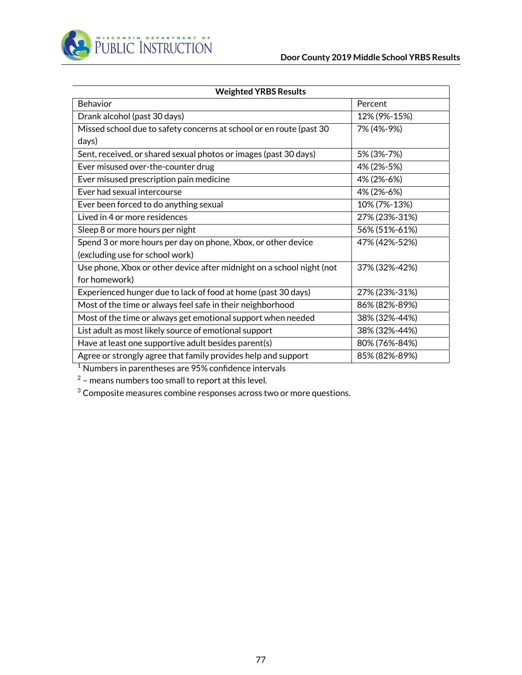

| <b>Weighted YRBS Results</b>                                          |               |  |  |  |  |
|-----------------------------------------------------------------------|---------------|--|--|--|--|
| Behavior                                                              | Percent       |  |  |  |  |
| Drank alcohol (past 30 days)                                          | 12% (9%-15%)  |  |  |  |  |
| Missed school due to safety concerns at school or en route (past 30   | 7% (4%-9%)    |  |  |  |  |
| days)                                                                 |               |  |  |  |  |
| Sent, received, or shared sexual photos or images (past 30 days)      | 5% (3%-7%)    |  |  |  |  |
| Ever misused over-the-counter drug                                    | 4% (2%-5%)    |  |  |  |  |
| Ever misused prescription pain medicine                               | 4% (2%-6%)    |  |  |  |  |
| Ever had sexual intercourse                                           | 4% (2%-6%)    |  |  |  |  |
| Ever been forced to do anything sexual                                | 10% (7%-13%)  |  |  |  |  |
| Lived in 4 or more residences                                         | 27% (23%-31%) |  |  |  |  |
| Sleep 8 or more hours per night                                       | 56% (51%-61%) |  |  |  |  |
| Spend 3 or more hours per day on phone, Xbox, or other device         | 47% (42%-52%) |  |  |  |  |
| (excluding use for school work)                                       |               |  |  |  |  |
| Use phone, Xbox or other device after midnight on a school night (not | 37% (32%-42%) |  |  |  |  |
| for homework)                                                         |               |  |  |  |  |
| Experienced hunger due to lack of food at home (past 30 days)         | 27% (23%-31%) |  |  |  |  |
| Most of the time or always feel safe in their neighborhood            | 86% (82%-89%) |  |  |  |  |
| Most of the time or always get emotional support when needed          | 38% (32%-44%) |  |  |  |  |
| List adult as most likely source of emotional support                 | 38% (32%-44%) |  |  |  |  |
| Have at least one supportive adult besides parent(s)                  | 80% (76%-84%) |  |  |  |  |
| Agree or strongly agree that family provides help and support         | 85% (82%-89%) |  |  |  |  |

 $1$  Numbers in parentheses are 95% confidence intervals

 $^2$  – means numbers too small to report at this level.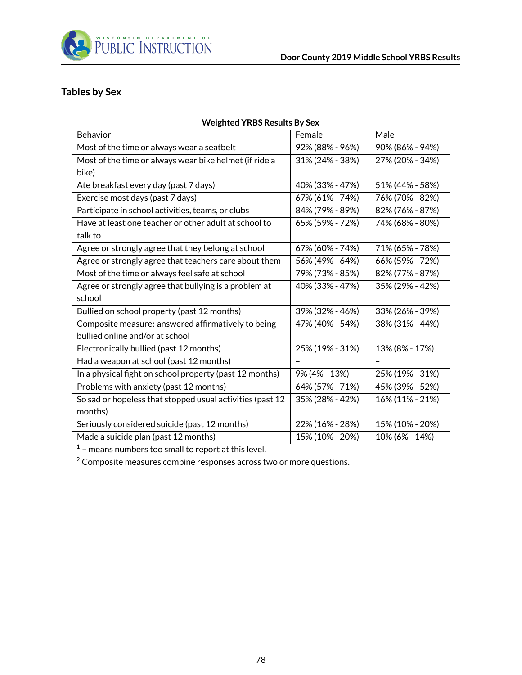

## **Tables by Sex**

| <b>Weighted YRBS Results By Sex</b>                       |                 |                 |  |  |  |  |
|-----------------------------------------------------------|-----------------|-----------------|--|--|--|--|
| <b>Behavior</b>                                           | Female          | Male            |  |  |  |  |
| Most of the time or always wear a seatbelt                | 92% (88% - 96%) | 90% (86% - 94%) |  |  |  |  |
| Most of the time or always wear bike helmet (if ride a    | 31% (24% - 38%) | 27% (20% - 34%) |  |  |  |  |
| bike)                                                     |                 |                 |  |  |  |  |
| Ate breakfast every day (past 7 days)                     | 40% (33% - 47%) | 51% (44% - 58%) |  |  |  |  |
| Exercise most days (past 7 days)                          | 67% (61% - 74%) | 76% (70% - 82%) |  |  |  |  |
| Participate in school activities, teams, or clubs         | 84% (79% - 89%) | 82% (76% - 87%) |  |  |  |  |
| Have at least one teacher or other adult at school to     | 65% (59% - 72%) | 74% (68% - 80%) |  |  |  |  |
| talk to                                                   |                 |                 |  |  |  |  |
| Agree or strongly agree that they belong at school        | 67% (60% - 74%) | 71% (65% - 78%) |  |  |  |  |
| Agree or strongly agree that teachers care about them     | 56% (49% - 64%) | 66% (59% - 72%) |  |  |  |  |
| Most of the time or always feel safe at school            | 79% (73% - 85%) | 82% (77% - 87%) |  |  |  |  |
| Agree or strongly agree that bullying is a problem at     | 40% (33% - 47%) | 35% (29% - 42%) |  |  |  |  |
| school                                                    |                 |                 |  |  |  |  |
| Bullied on school property (past 12 months)               | 39% (32% - 46%) | 33% (26% - 39%) |  |  |  |  |
| Composite measure: answered affirmatively to being        | 47% (40% - 54%) | 38% (31% - 44%) |  |  |  |  |
| bullied online and/or at school                           |                 |                 |  |  |  |  |
| Electronically bullied (past 12 months)                   | 25% (19% - 31%) | 13% (8% - 17%)  |  |  |  |  |
| Had a weapon at school (past 12 months)                   |                 |                 |  |  |  |  |
| In a physical fight on school property (past 12 months)   | 9% (4% - 13%)   | 25% (19% - 31%) |  |  |  |  |
| Problems with anxiety (past 12 months)                    | 64% (57% - 71%) | 45% (39% - 52%) |  |  |  |  |
| So sad or hopeless that stopped usual activities (past 12 | 35% (28% - 42%) | 16% (11% - 21%) |  |  |  |  |
| months)                                                   |                 |                 |  |  |  |  |
| Seriously considered suicide (past 12 months)             | 22% (16% - 28%) | 15% (10% - 20%) |  |  |  |  |
| Made a suicide plan (past 12 months)                      | 15% (10% - 20%) | 10% (6% - 14%)  |  |  |  |  |

 $1$  – means numbers too small to report at this level.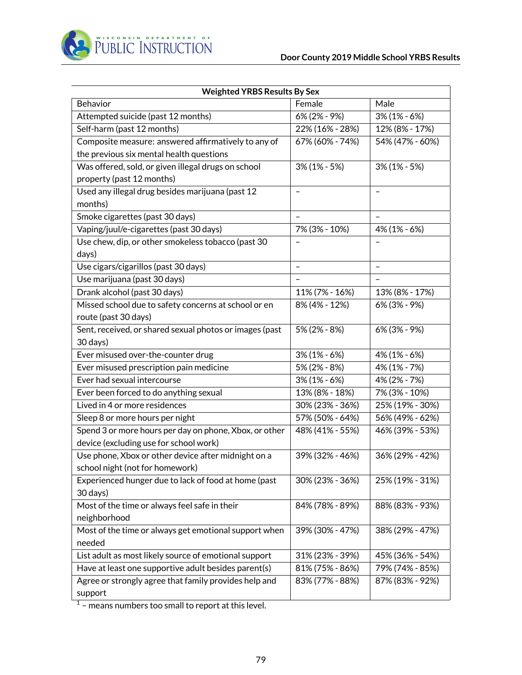

| <b>Weighted YRBS Results By Sex</b>                     |                   |                          |  |  |  |  |
|---------------------------------------------------------|-------------------|--------------------------|--|--|--|--|
| Behavior                                                | Female            | Male                     |  |  |  |  |
| Attempted suicide (past 12 months)                      | 6% (2% - 9%)      | $3\%$ (1% - 6%)          |  |  |  |  |
| Self-harm (past 12 months)                              | 22% (16% - 28%)   | 12% (8% - 17%)           |  |  |  |  |
| Composite measure: answered affirmatively to any of     | 67% (60% - 74%)   | 54% (47% - 60%)          |  |  |  |  |
| the previous six mental health questions                |                   |                          |  |  |  |  |
| Was offered, sold, or given illegal drugs on school     | $3\%$ (1% - 5%)   | $3\%$ (1% - 5%)          |  |  |  |  |
| property (past 12 months)                               |                   |                          |  |  |  |  |
| Used any illegal drug besides marijuana (past 12        |                   |                          |  |  |  |  |
| months)                                                 |                   |                          |  |  |  |  |
| Smoke cigarettes (past 30 days)                         |                   |                          |  |  |  |  |
| Vaping/juul/e-cigarettes (past 30 days)                 | 7% (3% - 10%)     | 4% (1% - 6%)             |  |  |  |  |
| Use chew, dip, or other smokeless tobacco (past 30      |                   |                          |  |  |  |  |
| days)                                                   |                   |                          |  |  |  |  |
| Use cigars/cigarillos (past 30 days)                    | $\qquad \qquad -$ | $\overline{\phantom{0}}$ |  |  |  |  |
| Use marijuana (past 30 days)                            |                   | $\overline{\phantom{0}}$ |  |  |  |  |
| Drank alcohol (past 30 days)                            | 11% (7% - 16%)    | 13% (8% - 17%)           |  |  |  |  |
| Missed school due to safety concerns at school or en    | 8% (4% - 12%)     | 6% (3% - 9%)             |  |  |  |  |
| route (past 30 days)                                    |                   |                          |  |  |  |  |
| Sent, received, or shared sexual photos or images (past | 5% (2% - 8%)      | 6% (3% - 9%)             |  |  |  |  |
| 30 days)                                                |                   |                          |  |  |  |  |
| Ever misused over-the-counter drug                      | $3\%$ (1% - 6%)   | 4% (1% - 6%)             |  |  |  |  |
| Ever misused prescription pain medicine                 | 5% (2% - 8%)      | 4% (1% - 7%)             |  |  |  |  |
| Ever had sexual intercourse                             | $3\%$ (1% - 6%)   | 4% (2% - 7%)             |  |  |  |  |
| Ever been forced to do anything sexual                  | 13% (8% - 18%)    | 7% (3% - 10%)            |  |  |  |  |
| Lived in 4 or more residences                           | 30% (23% - 36%)   | 25% (19% - 30%)          |  |  |  |  |
| Sleep 8 or more hours per night                         | 57% (50% - 64%)   | 56% (49% - 62%)          |  |  |  |  |
| Spend 3 or more hours per day on phone, Xbox, or other  | 48% (41% - 55%)   | 46% (39% - 53%)          |  |  |  |  |
| device (excluding use for school work)                  |                   |                          |  |  |  |  |
| Use phone, Xbox or other device after midnight on a     | 39% (32% - 46%)   | 36% (29% - 42%)          |  |  |  |  |
| school night (not for homework)                         |                   |                          |  |  |  |  |
| Experienced hunger due to lack of food at home (past    | 30% (23% - 36%)   | 25% (19% - 31%)          |  |  |  |  |
| 30 days)                                                |                   |                          |  |  |  |  |
| Most of the time or always feel safe in their           | 84% (78% - 89%)   | 88% (83% - 93%)          |  |  |  |  |
| neighborhood                                            |                   |                          |  |  |  |  |
| Most of the time or always get emotional support when   | 39% (30% - 47%)   | 38% (29% - 47%)          |  |  |  |  |
| needed                                                  |                   |                          |  |  |  |  |
| List adult as most likely source of emotional support   | 31% (23% - 39%)   | 45% (36% - 54%)          |  |  |  |  |
| Have at least one supportive adult besides parent(s)    | 81% (75% - 86%)   | 79% (74% - 85%)          |  |  |  |  |
| Agree or strongly agree that family provides help and   | 83% (77% - 88%)   | 87% (83% - 92%)          |  |  |  |  |
| support                                                 |                   |                          |  |  |  |  |

 $^{\rm 1}$  – means numbers too small to report at this level.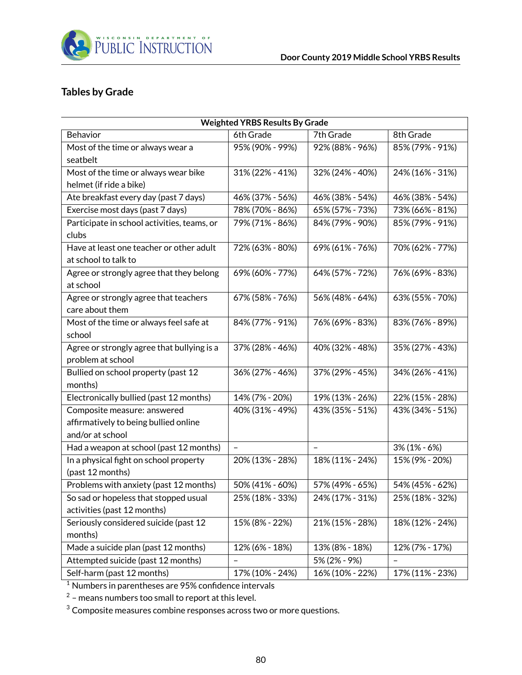

### **Tables by Grade**

|                                             |                 | <b>Weighted YRBS Results By Grade</b> |                 |  |  |  |  |  |  |
|---------------------------------------------|-----------------|---------------------------------------|-----------------|--|--|--|--|--|--|
| Behavior                                    | 6th Grade       | 7th Grade                             | 8th Grade       |  |  |  |  |  |  |
| Most of the time or always wear a           | 95% (90% - 99%) | 92% (88% - 96%)                       | 85% (79% - 91%) |  |  |  |  |  |  |
| seatbelt                                    |                 |                                       |                 |  |  |  |  |  |  |
| Most of the time or always wear bike        | 31% (22% - 41%) | 32% (24% - 40%)                       | 24% (16% - 31%) |  |  |  |  |  |  |
| helmet (if ride a bike)                     |                 |                                       |                 |  |  |  |  |  |  |
| Ate breakfast every day (past 7 days)       | 46% (37% - 56%) | 46% (38% - 54%)                       | 46% (38% - 54%) |  |  |  |  |  |  |
| Exercise most days (past 7 days)            | 78% (70% - 86%) | 65% (57% - 73%)                       | 73% (66% - 81%) |  |  |  |  |  |  |
| Participate in school activities, teams, or | 79% (71% - 86%) | 84% (79% - 90%)                       | 85% (79% - 91%) |  |  |  |  |  |  |
| clubs                                       |                 |                                       |                 |  |  |  |  |  |  |
| Have at least one teacher or other adult    | 72% (63% - 80%) | 69% (61% - 76%)                       | 70% (62% - 77%) |  |  |  |  |  |  |
| at school to talk to                        |                 |                                       |                 |  |  |  |  |  |  |
| Agree or strongly agree that they belong    | 69% (60% - 77%) | 64% (57% - 72%)                       | 76% (69% - 83%) |  |  |  |  |  |  |
| at school                                   |                 |                                       |                 |  |  |  |  |  |  |
| Agree or strongly agree that teachers       | 67% (58% - 76%) | 56% (48% - 64%)                       | 63% (55% - 70%) |  |  |  |  |  |  |
| care about them                             |                 |                                       |                 |  |  |  |  |  |  |
| Most of the time or always feel safe at     | 84% (77% - 91%) | 76% (69% - 83%)                       | 83% (76% - 89%) |  |  |  |  |  |  |
| school                                      |                 |                                       |                 |  |  |  |  |  |  |
| Agree or strongly agree that bullying is a  | 37% (28% - 46%) | 40% (32% - 48%)                       | 35% (27% - 43%) |  |  |  |  |  |  |
| problem at school                           |                 |                                       |                 |  |  |  |  |  |  |
| Bullied on school property (past 12         | 36% (27% - 46%) | 37% (29% - 45%)                       | 34% (26% - 41%) |  |  |  |  |  |  |
| months)                                     |                 |                                       |                 |  |  |  |  |  |  |
| Electronically bullied (past 12 months)     | 14% (7% - 20%)  | 19% (13% - 26%)                       | 22% (15% - 28%) |  |  |  |  |  |  |
| Composite measure: answered                 | 40% (31% - 49%) | 43% (35% - 51%)                       | 43% (34% - 51%) |  |  |  |  |  |  |
| affirmatively to being bullied online       |                 |                                       |                 |  |  |  |  |  |  |
| and/or at school                            |                 |                                       |                 |  |  |  |  |  |  |
| Had a weapon at school (past 12 months)     | $\equiv$        | $\equiv$                              | $3\%$ (1% - 6%) |  |  |  |  |  |  |
| In a physical fight on school property      | 20% (13% - 28%) | 18% (11% - 24%)                       | 15% (9% - 20%)  |  |  |  |  |  |  |
| (past 12 months)                            |                 |                                       |                 |  |  |  |  |  |  |
| Problems with anxiety (past 12 months)      | 50% (41% - 60%) | 57% (49% - 65%)                       | 54% (45% - 62%) |  |  |  |  |  |  |
| So sad or hopeless that stopped usual       | 25% (18% - 33%) | 24% (17% - 31%)                       | 25% (18% - 32%) |  |  |  |  |  |  |
| activities (past 12 months)                 |                 |                                       |                 |  |  |  |  |  |  |
| Seriously considered suicide (past 12       | 15% (8% - 22%)  | 21% (15% - 28%)                       | 18% (12% - 24%) |  |  |  |  |  |  |
| months)                                     |                 |                                       |                 |  |  |  |  |  |  |
| Made a suicide plan (past 12 months)        | 12% (6% - 18%)  | 13% (8% - 18%)                        | 12% (7% - 17%)  |  |  |  |  |  |  |
| Attempted suicide (past 12 months)          |                 | 5% (2% - 9%)                          |                 |  |  |  |  |  |  |
| Self-harm (past 12 months)                  | 17% (10% - 24%) | 16% (10% - 22%)                       | 17% (11% - 23%) |  |  |  |  |  |  |

<sup>1</sup> Numbers in parentheses are 95% confidence intervals

 $^2$  – means numbers too small to report at this level.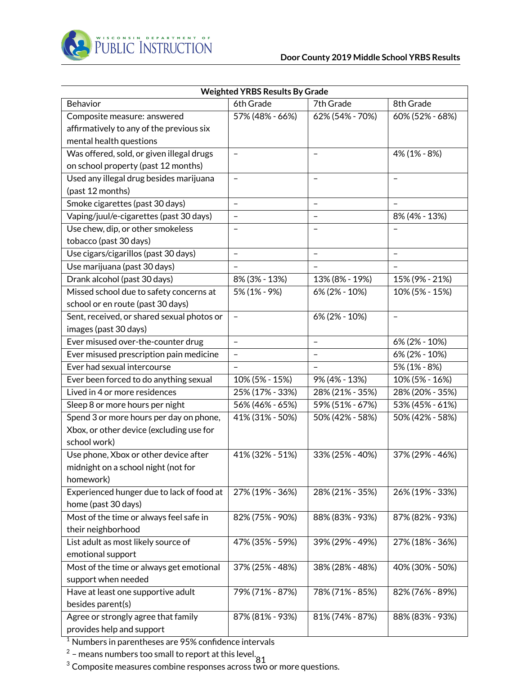

|                                            | <b>Weighted YRBS Results By Grade</b> |                          |                          |
|--------------------------------------------|---------------------------------------|--------------------------|--------------------------|
| Behavior                                   | 6th Grade                             | 7th Grade                | 8th Grade                |
| Composite measure: answered                | 57% (48% - 66%)                       | 62% (54% - 70%)          | 60% (52% - 68%)          |
| affirmatively to any of the previous six   |                                       |                          |                          |
| mental health questions                    |                                       |                          |                          |
| Was offered, sold, or given illegal drugs  | $\overline{\phantom{m}}$              | $\qquad \qquad -$        | 4% (1% - 8%)             |
| on school property (past 12 months)        |                                       |                          |                          |
| Used any illegal drug besides marijuana    | $\qquad \qquad -$                     | $\qquad \qquad -$        | $\overline{\phantom{0}}$ |
| (past 12 months)                           |                                       |                          |                          |
| Smoke cigarettes (past 30 days)            | $\equiv$                              | $\overline{\phantom{a}}$ |                          |
| Vaping/juul/e-cigarettes (past 30 days)    | $\overline{\phantom{a}}$              | $\qquad \qquad -$        | 8% (4% - 13%)            |
| Use chew, dip, or other smokeless          |                                       | $\overline{\phantom{0}}$ |                          |
| tobacco (past 30 days)                     |                                       |                          |                          |
| Use cigars/cigarillos (past 30 days)       | $\overline{\phantom{0}}$              | $\overline{\phantom{0}}$ | $\equiv$                 |
| Use marijuana (past 30 days)               | $\qquad \qquad -$                     | $\frac{1}{2}$            |                          |
| Drank alcohol (past 30 days)               | 8% (3% - 13%)                         | 13% (8% - 19%)           | 15% (9% - 21%)           |
| Missed school due to safety concerns at    | 5% (1% - 9%)                          | 6% (2% - 10%)            | 10% (5% - 15%)           |
| school or en route (past 30 days)          |                                       |                          |                          |
| Sent, received, or shared sexual photos or | $\qquad \qquad -$                     | 6% (2% - 10%)            | $\overline{\phantom{a}}$ |
| images (past 30 days)                      |                                       |                          |                          |
| Ever misused over-the-counter drug         | $\equiv$                              | $\qquad \qquad -$        | 6% (2% - 10%)            |
| Ever misused prescription pain medicine    | $\qquad \qquad -$                     | $\qquad \qquad -$        | 6% (2% - 10%)            |
| Ever had sexual intercourse                |                                       | $\overline{\phantom{a}}$ | 5% (1% - 8%)             |
| Ever been forced to do anything sexual     | 10% (5% - 15%)                        | 9% (4% - 13%)            | 10% (5% - 16%)           |
| Lived in 4 or more residences              | 25% (17% - 33%)                       | 28% (21% - 35%)          | 28% (20% - 35%)          |
| Sleep 8 or more hours per night            | 56% (46% - 65%)                       | 59% (51% - 67%)          | 53% (45% - 61%)          |
| Spend 3 or more hours per day on phone,    | 41% (31% - 50%)                       | 50% (42% - 58%)          | 50% (42% - 58%)          |
| Xbox, or other device (excluding use for   |                                       |                          |                          |
| school work)                               |                                       |                          |                          |
| Use phone, Xbox or other device after      | 41% (32% - 51%)                       | 33% (25% - 40%)          | 37% (29% - 46%)          |
| midnight on a school night (not for        |                                       |                          |                          |
| homework)                                  |                                       |                          |                          |
| Experienced hunger due to lack of food at  | 27% (19% - 36%)                       | 28% (21% - 35%)          | 26% (19% - 33%)          |
| home (past 30 days)                        |                                       |                          |                          |
| Most of the time or always feel safe in    | 82% (75% - 90%)                       | 88% (83% - 93%)          | 87% (82% - 93%)          |
| their neighborhood                         |                                       |                          |                          |
| List adult as most likely source of        | 47% (35% - 59%)                       | 39% (29% - 49%)          | 27% (18% - 36%)          |
| emotional support                          |                                       |                          |                          |
| Most of the time or always get emotional   | 37% (25% - 48%)                       | 38% (28% - 48%)          | 40% (30% - 50%)          |
| support when needed                        |                                       |                          |                          |
| Have at least one supportive adult         | 79% (71% - 87%)                       | 78% (71% - 85%)          | 82% (76% - 89%)          |
| besides parent(s)                          |                                       |                          |                          |
| Agree or strongly agree that family        | 87% (81% - 93%)                       | 81% (74% - 87%)          | 88% (83% - 93%)          |
| provides help and support                  |                                       |                          |                          |

<sup>1</sup> Numbers in parentheses are 95% confidence intervals

 $^2$  – means numbers too small to report at this level. $\frac{81}{101}$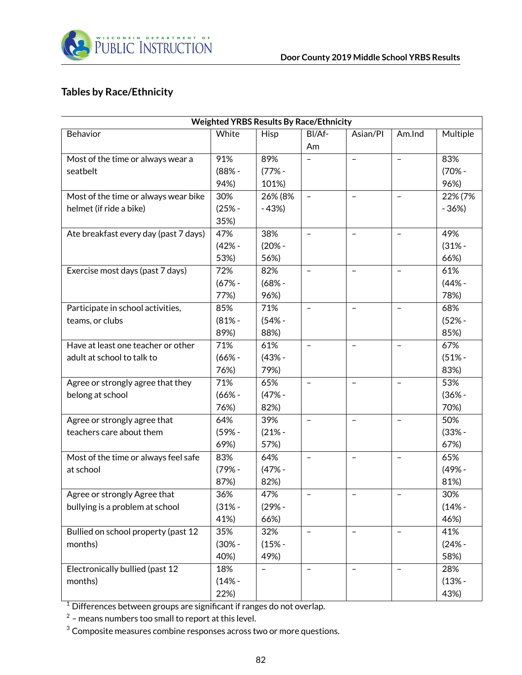

## **Tables by Race/Ethnicity**

|                                       |          | <b>Weighted YRBS Results By Race/Ethnicity</b> |                          |                          |                          |          |
|---------------------------------------|----------|------------------------------------------------|--------------------------|--------------------------|--------------------------|----------|
| Behavior                              | White    | Hisp                                           | BI/Af-                   | Asian/Pl                 | Am.Ind                   | Multiple |
|                                       |          |                                                | Am                       |                          |                          |          |
| Most of the time or always wear a     | 91%      | 89%                                            |                          | $\qquad \qquad -$        | $\overline{\phantom{m}}$ | 83%      |
| seatbelt                              | $(88% -$ | $(77% -$                                       |                          |                          |                          | $(70% -$ |
|                                       | 94%)     | 101%)                                          |                          |                          |                          | 96%)     |
| Most of the time or always wear bike  | 30%      | 26% (8%                                        | $\qquad \qquad -$        | $\qquad \qquad -$        | $\qquad \qquad -$        | 22% (7%  |
| helmet (if ride a bike)               | $(25% -$ | $-43%$                                         |                          |                          |                          | $-36%$   |
|                                       | 35%)     |                                                |                          |                          |                          |          |
| Ate breakfast every day (past 7 days) | 47%      | 38%                                            | $\qquad \qquad -$        | $\overline{\phantom{0}}$ |                          | 49%      |
|                                       | $(42% -$ | $(20% -$                                       |                          |                          |                          | $(31% -$ |
|                                       | 53%)     | 56%)                                           |                          |                          |                          | 66%)     |
| Exercise most days (past 7 days)      | 72%      | 82%                                            | $\qquad \qquad -$        | $\qquad \qquad -$        | $\overline{\phantom{a}}$ | 61%      |
|                                       | $(67% -$ | $(68% -$                                       |                          |                          |                          | $(44% -$ |
|                                       | 77%)     | 96%)                                           |                          |                          |                          | 78%)     |
| Participate in school activities,     | 85%      | 71%                                            | $\overline{\phantom{m}}$ | $\qquad \qquad -$        | $\overline{\phantom{m}}$ | 68%      |
| teams, or clubs                       | $(81% -$ | $(54% -$                                       |                          |                          |                          | $(52% -$ |
|                                       | 89%)     | 88%)                                           |                          |                          |                          | 85%)     |
| Have at least one teacher or other    | 71%      | 61%                                            | $\qquad \qquad -$        | $\qquad \qquad -$        | $\qquad \qquad -$        | 67%      |
| adult at school to talk to            | $(66% -$ | $(43% -$                                       |                          |                          |                          | $(51% -$ |
|                                       | 76%)     | 79%)                                           |                          |                          |                          | 83%)     |
| Agree or strongly agree that they     | 71%      | 65%                                            | $\overline{\phantom{0}}$ | $\overline{\phantom{0}}$ | $\equiv$                 | 53%      |
| belong at school                      | $(66% -$ | $(47% -$                                       |                          |                          |                          | $(36% -$ |
|                                       | 76%)     | 82%)                                           |                          |                          |                          | 70%)     |
| Agree or strongly agree that          | 64%      | 39%                                            | $\qquad \qquad -$        | $\qquad \qquad -$        | $\equiv$                 | 50%      |
| teachers care about them              | $(59% -$ | $(21% -$                                       |                          |                          |                          | $(33% -$ |
|                                       | 69%)     | 57%)                                           |                          |                          |                          | 67%)     |
| Most of the time or always feel safe  | 83%      | 64%                                            | $\qquad \qquad -$        | $\overline{\phantom{a}}$ | $\overline{\phantom{a}}$ | 65%      |
| at school                             | $(79% -$ | $(47% -$                                       |                          |                          |                          | $(49% -$ |
|                                       | 87%)     | 82%)                                           |                          |                          |                          | 81%)     |
| Agree or strongly Agree that          | 36%      | 47%                                            |                          |                          |                          | 30%      |
| bullying is a problem at school       | $(31% -$ | $(29% -$                                       |                          |                          |                          | $(14% -$ |
|                                       | 41%)     | 66%)                                           |                          |                          |                          | 46%)     |
| Bullied on school property (past 12   | 35%      | 32%                                            | $\qquad \qquad -$        | $\qquad \qquad -$        | $\overline{\phantom{0}}$ | 41%      |
| months)                               | $(30% -$ | $(15% -$                                       |                          |                          |                          | $(24% -$ |
|                                       | 40%)     | 49%)                                           |                          |                          |                          | 58%)     |
| Electronically bullied (past 12       | 18%      | $\qquad \qquad -$                              | $\overline{\phantom{a}}$ | $\qquad \qquad -$        | $\overline{\phantom{a}}$ | 28%      |
| months)                               | $(14% -$ |                                                |                          |                          |                          | $(13% -$ |
|                                       | 22%)     |                                                |                          |                          |                          | 43%)     |

 $^1$  Differences between groups are significant if ranges do not overlap.

 $^2$  – means numbers too small to report at this level.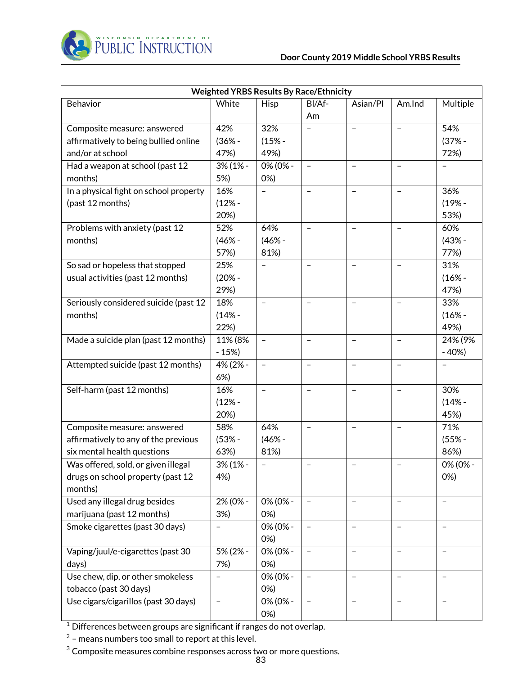

| <b>Weighted YRBS Results By Race/Ethnicity</b> |                          |                          |                          |                          |                          |                          |
|------------------------------------------------|--------------------------|--------------------------|--------------------------|--------------------------|--------------------------|--------------------------|
| Behavior                                       | White                    | <b>Hisp</b>              | BI/Af-                   | Asian/Pl                 | Am.Ind                   | Multiple                 |
|                                                |                          |                          | Am                       |                          |                          |                          |
| Composite measure: answered                    | 42%                      | 32%                      |                          | $\qquad \qquad -$        | $\qquad \qquad -$        | 54%                      |
| affirmatively to being bullied online          | $(36% -$                 | $(15% -$                 |                          |                          |                          | $(37% -$                 |
| and/or at school                               | 47%)                     | 49%)                     |                          |                          |                          | 72%)                     |
| Had a weapon at school (past 12                | 3% (1% -                 | 0% (0% -                 |                          |                          |                          |                          |
| months)                                        | 5%)                      | 0%                       |                          |                          |                          |                          |
| In a physical fight on school property         | 16%                      |                          | $\qquad \qquad -$        | $\qquad \qquad -$        | $\equiv$                 | 36%                      |
| (past 12 months)                               | $(12% -$                 |                          |                          |                          |                          | $(19% -$                 |
|                                                | 20%)                     |                          |                          |                          |                          | 53%)                     |
| Problems with anxiety (past 12                 | 52%                      | 64%                      | $\overline{\phantom{0}}$ | $\overline{\phantom{0}}$ |                          | 60%                      |
| months)                                        | $(46% -$                 | $(46% -$                 |                          |                          |                          | $(43% -$                 |
|                                                | 57%)                     | 81%)                     |                          |                          |                          | 77%)                     |
| So sad or hopeless that stopped                | 25%                      | -                        | $\qquad \qquad -$        | $\qquad \qquad -$        | $\overline{\phantom{0}}$ | 31%                      |
| usual activities (past 12 months)              | $(20% -$                 |                          |                          |                          |                          | $(16% -$                 |
|                                                | 29%)                     |                          |                          |                          |                          | 47%)                     |
| Seriously considered suicide (past 12          | 18%                      | $\overline{\phantom{0}}$ | $\qquad \qquad -$        | $\qquad \qquad -$        | $\overline{\phantom{0}}$ | 33%                      |
| months)                                        | $(14% -$                 |                          |                          |                          |                          | $(16% -$                 |
|                                                | 22%)                     |                          |                          |                          |                          | 49%)                     |
| Made a suicide plan (past 12 months)           | 11% (8%                  |                          |                          |                          |                          | 24% (9%                  |
|                                                | $-15%$                   |                          |                          |                          |                          | $-40%$                   |
| Attempted suicide (past 12 months)             | 4% (2% -                 | $\overline{\phantom{0}}$ | $\qquad \qquad -$        | $\overline{\phantom{0}}$ |                          |                          |
|                                                | 6%)                      |                          |                          |                          |                          |                          |
| Self-harm (past 12 months)                     | 16%                      | $\overline{\phantom{0}}$ | $\qquad \qquad -$        | $\qquad \qquad -$        | $\rightarrow$            | 30%                      |
|                                                | $(12% -$                 |                          |                          |                          |                          | $(14% -$                 |
|                                                | 20%)                     |                          |                          |                          |                          | 45%)                     |
| Composite measure: answered                    | 58%                      | 64%                      |                          |                          |                          | 71%                      |
| affirmatively to any of the previous           | $(53% -$                 | $(46% -$                 |                          |                          |                          | $(55% -$                 |
| six mental health questions                    | 63%)                     | 81%)                     |                          |                          |                          | 86%)                     |
| Was offered, sold, or given illegal            | $3\%$ (1% -              | $\overline{\phantom{0}}$ | $\qquad \qquad -$        | $\qquad \qquad -$        |                          | 0% (0% -                 |
| drugs on school property (past 12              | 4%)                      |                          |                          |                          |                          | 0%                       |
| months)                                        |                          |                          |                          |                          |                          |                          |
| Used any illegal drug besides                  | 2% (0% -                 | 0% (0% -                 | $\qquad \qquad -$        | $\qquad \qquad -$        | $\qquad \qquad -$        | $\qquad \qquad -$        |
| marijuana (past 12 months)                     | 3%)                      | 0%                       |                          |                          |                          |                          |
| Smoke cigarettes (past 30 days)                | -                        | 0% (0% -                 | $\qquad \qquad -$        | $\qquad \qquad -$        | $\qquad \qquad -$        | $\qquad \qquad -$        |
|                                                |                          | 0%                       |                          |                          |                          |                          |
| Vaping/juul/e-cigarettes (past 30              | 5% (2% -                 | 0% (0% -                 | $\overline{\phantom{0}}$ | $\qquad \qquad -$        | $\qquad \qquad -$        | $\qquad \qquad -$        |
| days)                                          | 7%)                      | 0%                       |                          |                          |                          |                          |
| Use chew, dip, or other smokeless              |                          | 0% (0% -                 |                          | $\qquad \qquad -$        | $\qquad \qquad -$        | $\qquad \qquad -$        |
| tobacco (past 30 days)                         |                          | 0%)                      |                          |                          |                          |                          |
| Use cigars/cigarillos (past 30 days)           | $\overline{\phantom{0}}$ | 0% (0% -                 | $\qquad \qquad -$        | $\overline{\phantom{0}}$ | $\overline{\phantom{0}}$ | $\overline{\phantom{0}}$ |
|                                                |                          | 0%)                      |                          |                          |                          |                          |

 $^1$  Differences between groups are significant if ranges do not overlap.

 $^2$  – means numbers too small to report at this level.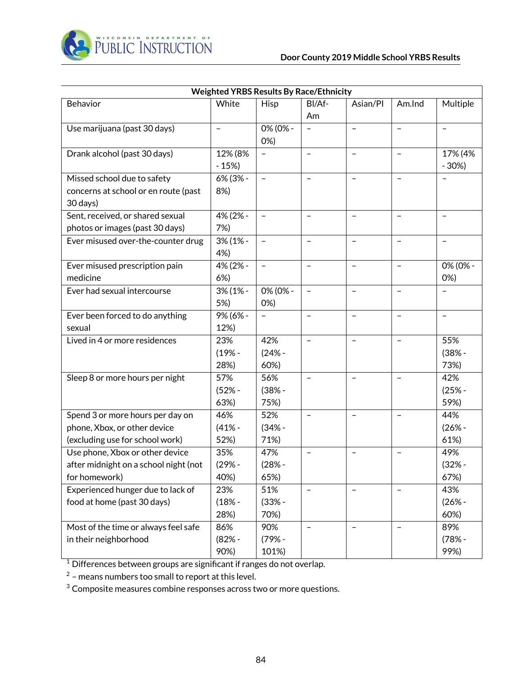

|                                       | <b>Weighted YRBS Results By Race/Ethnicity</b> |                          |                          |                          |                          |                          |
|---------------------------------------|------------------------------------------------|--------------------------|--------------------------|--------------------------|--------------------------|--------------------------|
| Behavior                              | White                                          | Hisp                     | BI/Af-                   | Asian/Pl                 | Am.Ind                   | Multiple                 |
|                                       |                                                |                          | Am                       |                          |                          |                          |
| Use marijuana (past 30 days)          | $\overline{\phantom{0}}$                       | 0% (0% -                 | $\overline{\phantom{0}}$ | $\qquad \qquad -$        | $\frac{1}{2}$            | $\overline{\phantom{0}}$ |
|                                       |                                                | 0%                       |                          |                          |                          |                          |
| Drank alcohol (past 30 days)          | 12% (8%                                        | $\qquad \qquad -$        | $\equiv$                 | $\equiv$                 | $\overline{\phantom{a}}$ | 17% (4%                  |
|                                       | $-15%$                                         |                          |                          |                          |                          | $-30%$                   |
| Missed school due to safety           | 6% (3% -                                       | $\overline{\phantom{a}}$ | $\qquad \qquad -$        | $\overline{\phantom{a}}$ | $\qquad \qquad -$        |                          |
| concerns at school or en route (past  | 8%)                                            |                          |                          |                          |                          |                          |
| 30 days)                              |                                                |                          |                          |                          |                          |                          |
| Sent, received, or shared sexual      | 4% (2% -                                       | $\overline{\phantom{0}}$ | $\overline{\phantom{0}}$ | $\overline{\phantom{0}}$ | $\overline{\phantom{a}}$ | $\overline{\phantom{0}}$ |
| photos or images (past 30 days)       | 7%)                                            |                          |                          |                          |                          |                          |
| Ever misused over-the-counter drug    | 3% (1% -                                       | $\qquad \qquad -$        | $\overline{\phantom{a}}$ | $\blacksquare$           | $\blacksquare$           | $\overline{\phantom{a}}$ |
|                                       | 4%)                                            |                          |                          |                          |                          |                          |
| Ever misused prescription pain        | 4% (2% -                                       | $\qquad \qquad -$        | $\qquad \qquad -$        | $\overline{\phantom{a}}$ | $\overline{\phantom{a}}$ | 0% (0% -                 |
| medicine                              | 6%)                                            |                          |                          |                          |                          | 0%                       |
| Ever had sexual intercourse           | 3% (1% -                                       | 0% (0% -                 | $\overline{\phantom{a}}$ | $\equiv$                 | $\frac{1}{2}$            | $\equiv$                 |
|                                       | 5%)                                            | 0%                       |                          |                          |                          |                          |
| Ever been forced to do anything       | 9% (6% -                                       | $\qquad \qquad -$        | $\overline{\phantom{0}}$ | $\overline{\phantom{a}}$ | $\overline{\phantom{a}}$ | $\overline{\phantom{m}}$ |
| sexual                                | 12%)                                           |                          |                          |                          |                          |                          |
| Lived in 4 or more residences         | 23%                                            | 42%                      | $\qquad \qquad -$        | $\qquad \qquad -$        | $\overline{\phantom{0}}$ | 55%                      |
|                                       | $(19% -$                                       | $(24% -$                 |                          |                          |                          | $(38% -$                 |
|                                       | 28%)                                           | 60%)                     |                          |                          |                          | 73%)                     |
| Sleep 8 or more hours per night       | 57%                                            | 56%                      | $\qquad \qquad -$        | $\qquad \qquad -$        | $\qquad \qquad -$        | 42%                      |
|                                       | $(52% -$                                       | $(38% -$                 |                          |                          |                          | $(25% -$                 |
|                                       | 63%)                                           | 75%)                     |                          |                          |                          | 59%)                     |
| Spend 3 or more hours per day on      | 46%                                            | 52%                      | $\overline{\phantom{0}}$ | $\qquad \qquad -$        | $\frac{1}{2}$            | 44%                      |
| phone, Xbox, or other device          | $(41% -$                                       | $(34% -$                 |                          |                          |                          | $(26% -$                 |
| (excluding use for school work)       | 52%)                                           | 71%)                     |                          |                          |                          | 61%)                     |
| Use phone, Xbox or other device       | 35%                                            | 47%                      |                          |                          |                          | 49%                      |
| after midnight on a school night (not | $(29% -$                                       | $(28% -$                 |                          |                          |                          | $(32% -$                 |
| for homework)                         | 40%)                                           | 65%)                     |                          |                          |                          | 67%)                     |
| Experienced hunger due to lack of     | 23%                                            | 51%                      | $\qquad \qquad -$        | $\overline{\phantom{a}}$ | $\overline{\phantom{a}}$ | 43%                      |
| food at home (past 30 days)           | $(18% -$                                       | $(33% -$                 |                          |                          |                          | $(26% -$                 |
|                                       | 28%)                                           | 70%)                     |                          |                          |                          | 60%)                     |
| Most of the time or always feel safe  | 86%                                            | 90%                      | $\overline{\phantom{a}}$ | $\blacksquare$           | $\blacksquare$           | 89%                      |
| in their neighborhood                 | $(82% -$                                       | $(79% -$                 |                          |                          |                          | $(78% -$                 |
|                                       | 90%)                                           | 101%)                    |                          |                          |                          | 99%)                     |

 $^1$  Differences between groups are significant if ranges do not overlap.

 $^2$  – means numbers too small to report at this level.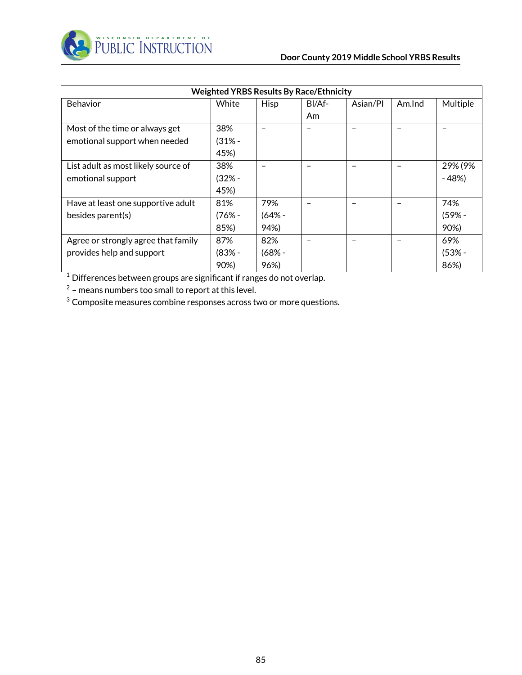

| <b>Weighted YRBS Results By Race/Ethnicity</b> |          |             |        |          |        |          |
|------------------------------------------------|----------|-------------|--------|----------|--------|----------|
| Behavior                                       | White    | <b>Hisp</b> | BI/Af- | Asian/Pl | Am.Ind | Multiple |
|                                                |          |             | Am     |          |        |          |
| Most of the time or always get                 | 38%      |             |        |          |        |          |
| emotional support when needed                  | (31% -   |             |        |          |        |          |
|                                                | 45%)     |             |        |          |        |          |
| List adult as most likely source of            | 38%      |             |        |          |        | 29% (9%  |
| emotional support                              | (32% -   |             |        |          |        | $-48%$   |
|                                                | 45%)     |             |        |          |        |          |
| Have at least one supportive adult             | 81%      | 79%         |        |          |        | 74%      |
| besides parent(s)                              | $(76% -$ | $(64% -$    |        |          |        | $(59% -$ |
|                                                | 85%)     | 94%)        |        |          |        | 90%)     |
| Agree or strongly agree that family            | 87%      | 82%         |        |          |        | 69%      |
| provides help and support                      | $(83% -$ | $(68% -$    |        |          |        | $(53% -$ |
|                                                | 90%)     | 96%)        |        |          |        | 86%)     |

 $1$  Differences between groups are significant if ranges do not overlap.

 $2$  – means numbers too small to report at this level.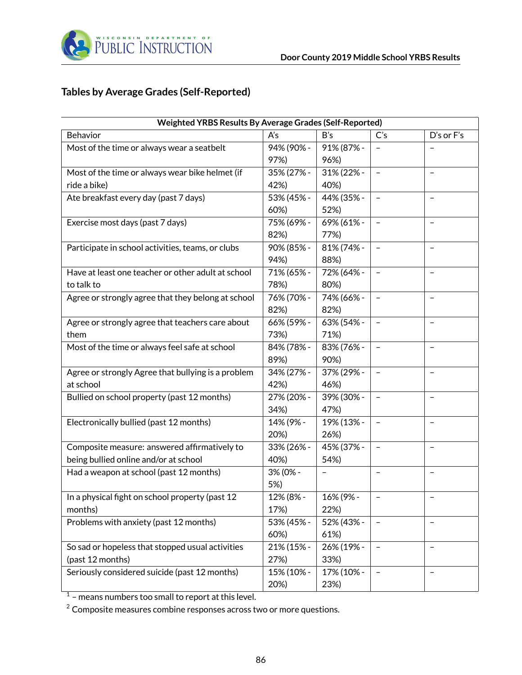

## **Tables by Average Grades (Self-Reported)**

| Weighted YRBS Results By Average Grades (Self-Reported) |            |                          |                          |                          |  |  |
|---------------------------------------------------------|------------|--------------------------|--------------------------|--------------------------|--|--|
| Behavior                                                | A's        | B's                      | C's                      | D's or F's               |  |  |
| Most of the time or always wear a seatbelt              | 94% (90% - | 91% (87% -               |                          |                          |  |  |
|                                                         | 97%)       | 96%)                     |                          |                          |  |  |
| Most of the time or always wear bike helmet (if         | 35% (27% - | 31% (22% -               |                          |                          |  |  |
| ride a bike)                                            | 42%)       | 40%)                     |                          |                          |  |  |
| Ate breakfast every day (past 7 days)                   | 53% (45% - | 44% (35% -               |                          | $\equiv$                 |  |  |
|                                                         | 60%)       | 52%)                     |                          |                          |  |  |
| Exercise most days (past 7 days)                        | 75% (69% - | 69% (61% -               | $\overline{\phantom{0}}$ | $\overline{\phantom{0}}$ |  |  |
|                                                         | 82%)       | 77%)                     |                          |                          |  |  |
| Participate in school activities, teams, or clubs       | 90% (85% - | 81% (74% -               | $\overline{\phantom{a}}$ | $\qquad \qquad -$        |  |  |
|                                                         | 94%)       | 88%)                     |                          |                          |  |  |
| Have at least one teacher or other adult at school      | 71% (65% - | 72% (64% -               | $\blacksquare$           | $\qquad \qquad -$        |  |  |
| to talk to                                              | 78%)       | 80%)                     |                          |                          |  |  |
| Agree or strongly agree that they belong at school      | 76% (70% - | 74% (66% -               | $\qquad \qquad -$        | $\qquad \qquad -$        |  |  |
|                                                         | 82%)       | 82%)                     |                          |                          |  |  |
| Agree or strongly agree that teachers care about        | 66% (59% - | 63% (54% -               | $\qquad \qquad -$        | $\qquad \qquad -$        |  |  |
| them                                                    | 73%)       | 71%)                     |                          |                          |  |  |
| Most of the time or always feel safe at school          | 84% (78% - | 83% (76% -               |                          | $\qquad \qquad -$        |  |  |
|                                                         | 89%)       | 90%)                     |                          |                          |  |  |
| Agree or strongly Agree that bullying is a problem      | 34% (27% - | 37% (29% -               |                          | $\overline{\phantom{0}}$ |  |  |
| at school                                               | 42%)       | 46%)                     |                          |                          |  |  |
| Bullied on school property (past 12 months)             | 27% (20% - | 39% (30% -               |                          | $\overline{\phantom{0}}$ |  |  |
|                                                         | 34%)       | 47%)                     |                          |                          |  |  |
| Electronically bullied (past 12 months)                 | 14% (9% -  | 19% (13% -               | $\overline{\phantom{a}}$ | $\qquad \qquad -$        |  |  |
|                                                         | 20%)       | 26%)                     |                          |                          |  |  |
| Composite measure: answered affirmatively to            | 33% (26% - | 45% (37% -               | $\overline{\phantom{a}}$ | $\qquad \qquad -$        |  |  |
| being bullied online and/or at school                   | 40%)       | 54%)                     |                          |                          |  |  |
| Had a weapon at school (past 12 months)                 | 3% (0% -   | $\overline{\phantom{0}}$ | $\overline{\phantom{a}}$ | $\qquad \qquad -$        |  |  |
|                                                         | 5%)        |                          |                          |                          |  |  |
| In a physical fight on school property (past 12         | 12% (8% -  | 16% (9% -                | $\overline{\phantom{a}}$ | $\qquad \qquad -$        |  |  |
| months)                                                 | 17%)       | 22%)                     |                          |                          |  |  |
| Problems with anxiety (past 12 months)                  | 53% (45% - | 52% (43% -               |                          | $\qquad \qquad -$        |  |  |
|                                                         | 60%)       | 61%)                     |                          |                          |  |  |
| So sad or hopeless that stopped usual activities        | 21% (15% - | 26% (19% -               |                          | $\overline{\phantom{0}}$ |  |  |
| (past 12 months)                                        | 27%)       | 33%)                     |                          |                          |  |  |
| Seriously considered suicide (past 12 months)           | 15% (10% - | 17% (10% -               |                          | $\overline{\phantom{0}}$ |  |  |
|                                                         | 20%)       | 23%)                     |                          |                          |  |  |

 $1$  – means numbers too small to report at this level.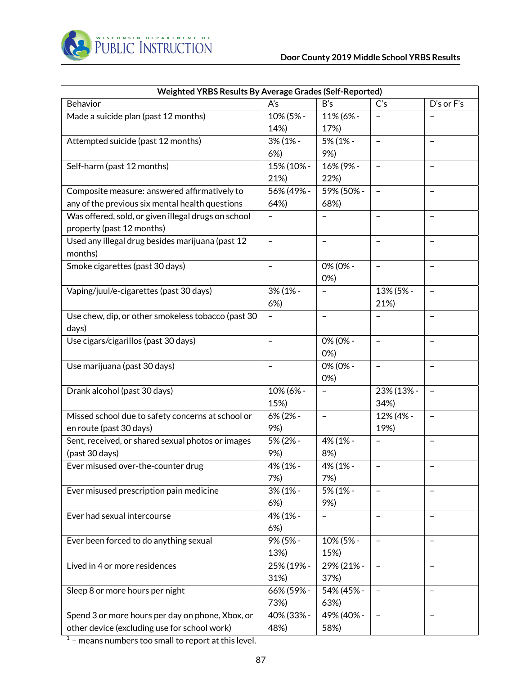

| Weighted YRBS Results By Average Grades (Self-Reported) |                          |                          |                          |                          |  |  |
|---------------------------------------------------------|--------------------------|--------------------------|--------------------------|--------------------------|--|--|
| Behavior                                                | A's                      | B's                      | C's                      | D's or F's               |  |  |
| Made a suicide plan (past 12 months)                    | 10% (5% -                | 11% (6% -                |                          |                          |  |  |
|                                                         | 14%)                     | 17%)                     |                          |                          |  |  |
| Attempted suicide (past 12 months)                      | 3% (1% -                 | 5% (1% -                 |                          |                          |  |  |
|                                                         | 6%                       | 9%)                      |                          |                          |  |  |
| Self-harm (past 12 months)                              | 15% (10% -               | 16% (9% -                |                          | $\qquad \qquad -$        |  |  |
|                                                         | 21%)                     | 22%)                     |                          |                          |  |  |
| Composite measure: answered affirmatively to            | 56% (49% -               | 59% (50% -               |                          |                          |  |  |
| any of the previous six mental health questions         | 64%)                     | 68%)                     |                          |                          |  |  |
| Was offered, sold, or given illegal drugs on school     | $\qquad \qquad -$        |                          |                          | $\overline{\phantom{0}}$ |  |  |
| property (past 12 months)                               |                          |                          |                          |                          |  |  |
| Used any illegal drug besides marijuana (past 12        | $\equiv$                 | $\overline{\phantom{0}}$ | $\overline{\phantom{0}}$ | $\overline{\phantom{0}}$ |  |  |
| months)                                                 |                          |                          |                          |                          |  |  |
| Smoke cigarettes (past 30 days)                         | $\overline{\phantom{a}}$ | 0% (0% -                 | $\overline{\phantom{a}}$ | $\qquad \qquad -$        |  |  |
|                                                         |                          | 0%                       |                          |                          |  |  |
| Vaping/juul/e-cigarettes (past 30 days)                 | 3% (1% -                 | $\overline{\phantom{0}}$ | 13% (5% -                | $\qquad \qquad -$        |  |  |
|                                                         | 6%                       |                          | 21%)                     |                          |  |  |
| Use chew, dip, or other smokeless tobacco (past 30      | $\overline{\phantom{a}}$ | $\overline{\phantom{0}}$ |                          | $\qquad \qquad -$        |  |  |
| days)                                                   |                          |                          |                          |                          |  |  |
| Use cigars/cigarillos (past 30 days)                    | $\overline{\phantom{m}}$ | 0% (0% -                 | $\equiv$                 | $\qquad \qquad -$        |  |  |
|                                                         |                          | 0%                       |                          |                          |  |  |
| Use marijuana (past 30 days)                            | $\qquad \qquad -$        | 0% (0% -                 |                          | $\overline{\phantom{0}}$ |  |  |
|                                                         |                          | 0%                       |                          |                          |  |  |
| Drank alcohol (past 30 days)                            | 10% (6% -                |                          | 23% (13% -               |                          |  |  |
|                                                         | 15%)                     |                          | 34%)                     |                          |  |  |
| Missed school due to safety concerns at school or       | 6% (2% -                 | $\overline{\phantom{0}}$ | 12% (4% -                | $\overline{\phantom{0}}$ |  |  |
| en route (past 30 days)                                 | 9%)                      |                          | 19%)                     |                          |  |  |
| Sent, received, or shared sexual photos or images       | 5% (2% -                 | 4% (1% -                 |                          | $\qquad \qquad -$        |  |  |
| (past 30 days)                                          | 9%)                      | 8%)                      |                          |                          |  |  |
| Ever misused over-the-counter drug                      | 4% (1% -                 | 4% (1% -                 |                          |                          |  |  |
|                                                         | 7%)                      | 7%)                      |                          |                          |  |  |
| Ever misused prescription pain medicine                 | 3% (1% -                 | 5% (1% -                 | $\qquad \qquad -$        | $\qquad \qquad -$        |  |  |
|                                                         | 6%                       | 9%)                      |                          |                          |  |  |
| Ever had sexual intercourse                             | 4% (1% -                 |                          |                          | $\qquad \qquad -$        |  |  |
|                                                         | 6%                       |                          |                          |                          |  |  |
| Ever been forced to do anything sexual                  | 9% (5% -                 | 10% (5% -                | $\equiv$                 | $\qquad \qquad -$        |  |  |
|                                                         | 13%)                     | 15%)                     |                          |                          |  |  |
| Lived in 4 or more residences                           | 25% (19% -               | 29% (21% -               |                          | $\overline{\phantom{0}}$ |  |  |
|                                                         | 31%)                     | 37%)                     |                          |                          |  |  |
| Sleep 8 or more hours per night                         | 66% (59% -               | 54% (45% -               |                          | $\qquad \qquad -$        |  |  |
|                                                         | 73%)                     | 63%)                     |                          |                          |  |  |
| Spend 3 or more hours per day on phone, Xbox, or        | 40% (33% -               | 49% (40% -               |                          |                          |  |  |
| other device (excluding use for school work)            | 48%)                     | 58%)                     |                          |                          |  |  |
|                                                         |                          |                          |                          |                          |  |  |

 $1$  – means numbers too small to report at this level.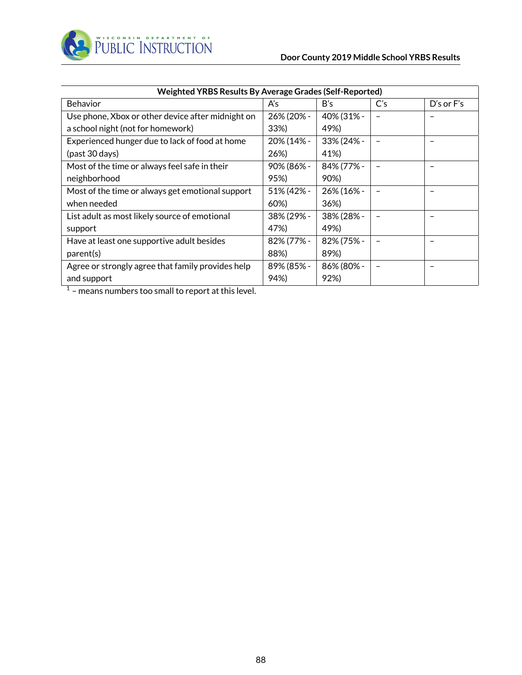

| Weighted YRBS Results By Average Grades (Self-Reported) |            |            |                |                          |  |  |
|---------------------------------------------------------|------------|------------|----------------|--------------------------|--|--|
| <b>Behavior</b>                                         | A's        | B's        | C <sub>S</sub> | $D's$ or $F's$           |  |  |
| Use phone, Xbox or other device after midnight on       | 26% (20% - | 40% (31% - |                |                          |  |  |
| a school night (not for homework)                       | 33%)       | 49%)       |                |                          |  |  |
| Experienced hunger due to lack of food at home          | 20% (14% - | 33% (24% - |                |                          |  |  |
| (past 30 days)                                          | 26%)       | 41%)       |                |                          |  |  |
| Most of the time or always feel safe in their           | 90% (86% - | 84% (77% - |                | $\overline{\phantom{0}}$ |  |  |
| neighborhood                                            | 95%)       | 90%)       |                |                          |  |  |
| Most of the time or always get emotional support        | 51% (42% - | 26% (16% - |                |                          |  |  |
| when needed                                             | 60%)       | 36%)       |                |                          |  |  |
| List adult as most likely source of emotional           | 38% (29% - | 38% (28% - |                |                          |  |  |
| support                                                 | 47%)       | 49%)       |                |                          |  |  |
| Have at least one supportive adult besides              | 82% (77% - | 82% (75% - |                |                          |  |  |
| parent(s)                                               | 88%)       | 89%)       |                |                          |  |  |
| Agree or strongly agree that family provides help       | 89% (85% - | 86% (80% - |                |                          |  |  |
| and support                                             | 94%)       | 92%)       |                |                          |  |  |

 $1$  – means numbers too small to report at this level.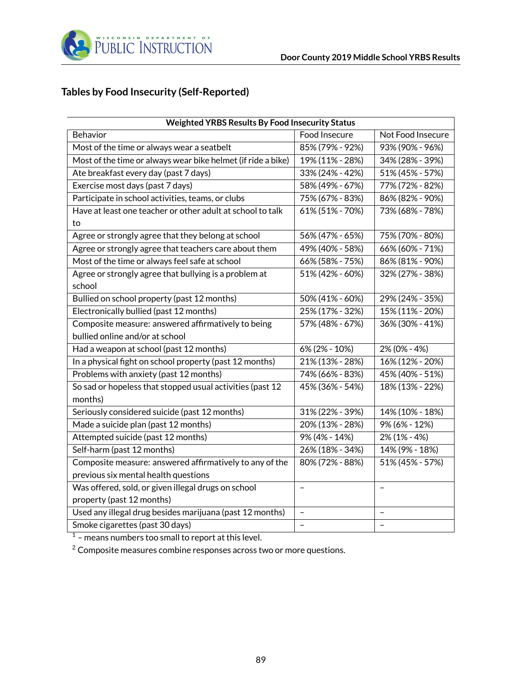

## **Tables by Food Insecurity (Self-Reported)**

| <b>Weighted YRBS Results By Food Insecurity Status</b>       |                          |                   |  |  |  |
|--------------------------------------------------------------|--------------------------|-------------------|--|--|--|
| Behavior                                                     | Food Insecure            | Not Food Insecure |  |  |  |
| Most of the time or always wear a seatbelt                   | 85% (79% - 92%)          | 93% (90% - 96%)   |  |  |  |
| Most of the time or always wear bike helmet (if ride a bike) | 19% (11% - 28%)          | 34% (28% - 39%)   |  |  |  |
| Ate breakfast every day (past 7 days)                        | 33% (24% - 42%)          | 51% (45% - 57%)   |  |  |  |
| Exercise most days (past 7 days)                             | 58% (49% - 67%)          | 77% (72% - 82%)   |  |  |  |
| Participate in school activities, teams, or clubs            | 75% (67% - 83%)          | 86% (82% - 90%)   |  |  |  |
| Have at least one teacher or other adult at school to talk   | 61% (51% - 70%)          | 73% (68% - 78%)   |  |  |  |
| to                                                           |                          |                   |  |  |  |
| Agree or strongly agree that they belong at school           | 56% (47% - 65%)          | 75% (70% - 80%)   |  |  |  |
| Agree or strongly agree that teachers care about them        | 49% (40% - 58%)          | 66% (60% - 71%)   |  |  |  |
| Most of the time or always feel safe at school               | 66% (58% - 75%)          | 86% (81% - 90%)   |  |  |  |
| Agree or strongly agree that bullying is a problem at        | 51% (42% - 60%)          | 32% (27% - 38%)   |  |  |  |
| school                                                       |                          |                   |  |  |  |
| Bullied on school property (past 12 months)                  | 50% (41% - 60%)          | 29% (24% - 35%)   |  |  |  |
| Electronically bullied (past 12 months)                      | 25% (17% - 32%)          | 15% (11% - 20%)   |  |  |  |
| Composite measure: answered affirmatively to being           | 57% (48% - 67%)          | 36% (30% - 41%)   |  |  |  |
| bullied online and/or at school                              |                          |                   |  |  |  |
| Had a weapon at school (past 12 months)                      | 6% (2% - 10%)            | 2% (0% - 4%)      |  |  |  |
| In a physical fight on school property (past 12 months)      | 21% (13% - 28%)          | 16% (12% - 20%)   |  |  |  |
| Problems with anxiety (past 12 months)                       | 74% (66% - 83%)          | 45% (40% - 51%)   |  |  |  |
| So sad or hopeless that stopped usual activities (past 12    | 45% (36% - 54%)          | 18% (13% - 22%)   |  |  |  |
| months)                                                      |                          |                   |  |  |  |
| Seriously considered suicide (past 12 months)                | 31% (22% - 39%)          | 14% (10% - 18%)   |  |  |  |
| Made a suicide plan (past 12 months)                         | 20% (13% - 28%)          | 9% (6% - 12%)     |  |  |  |
| Attempted suicide (past 12 months)                           | 9% (4% - 14%)            | 2% (1% - 4%)      |  |  |  |
| Self-harm (past 12 months)                                   | 26% (18% - 34%)          | 14% (9% - 18%)    |  |  |  |
| Composite measure: answered affirmatively to any of the      | 80% (72% - 88%)          | 51% (45% - 57%)   |  |  |  |
| previous six mental health questions                         |                          |                   |  |  |  |
| Was offered, sold, or given illegal drugs on school          | -                        | $\qquad \qquad -$ |  |  |  |
| property (past 12 months)                                    |                          |                   |  |  |  |
| Used any illegal drug besides marijuana (past 12 months)     | $\overline{\phantom{0}}$ | $\qquad \qquad -$ |  |  |  |
| Smoke cigarettes (past 30 days)                              | —                        |                   |  |  |  |

 $1$  – means numbers too small to report at this level.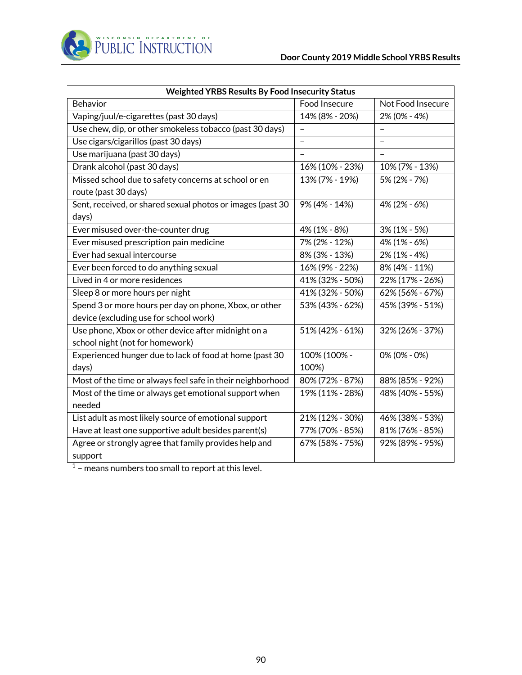

| <b>Weighted YRBS Results By Food Insecurity Status</b>                                           |                          |                   |  |  |  |
|--------------------------------------------------------------------------------------------------|--------------------------|-------------------|--|--|--|
| <b>Behavior</b>                                                                                  | Food Insecure            | Not Food Insecure |  |  |  |
| Vaping/juul/e-cigarettes (past 30 days)                                                          | 14% (8% - 20%)           | 2% (0% - 4%)      |  |  |  |
| Use chew, dip, or other smokeless tobacco (past 30 days)                                         | $\overline{\phantom{0}}$ |                   |  |  |  |
| Use cigars/cigarillos (past 30 days)                                                             | $\equiv$                 |                   |  |  |  |
| Use marijuana (past 30 days)                                                                     |                          |                   |  |  |  |
| Drank alcohol (past 30 days)                                                                     | 16% (10% - 23%)          | 10% (7% - 13%)    |  |  |  |
| Missed school due to safety concerns at school or en<br>route (past 30 days)                     | 13% (7% - 19%)           | 5% (2% - 7%)      |  |  |  |
| Sent, received, or shared sexual photos or images (past 30<br>days)                              | 9% (4% - 14%)            | 4% (2% - 6%)      |  |  |  |
| Ever misused over-the-counter drug                                                               | 4% (1% - 8%)             | $3\%$ (1% - 5%)   |  |  |  |
| Ever misused prescription pain medicine                                                          | 7% (2% - 12%)            | 4% (1% - 6%)      |  |  |  |
| Ever had sexual intercourse                                                                      | 8% (3% - 13%)            | 2% (1% - 4%)      |  |  |  |
| Ever been forced to do anything sexual                                                           | 16% (9% - 22%)           | 8% (4% - 11%)     |  |  |  |
| Lived in 4 or more residences                                                                    | 41% (32% - 50%)          | 22% (17% - 26%)   |  |  |  |
| Sleep 8 or more hours per night                                                                  | 41% (32% - 50%)          | 62% (56% - 67%)   |  |  |  |
| Spend 3 or more hours per day on phone, Xbox, or other<br>device (excluding use for school work) | 53% (43% - 62%)          | 45% (39% - 51%)   |  |  |  |
| Use phone, Xbox or other device after midnight on a<br>school night (not for homework)           | 51% (42% - 61%)          | 32% (26% - 37%)   |  |  |  |
| Experienced hunger due to lack of food at home (past 30<br>days)                                 | 100% (100% -<br>100%)    | 0% (0% - 0%)      |  |  |  |
| Most of the time or always feel safe in their neighborhood                                       | 80% (72% - 87%)          | 88% (85% - 92%)   |  |  |  |
| Most of the time or always get emotional support when<br>needed                                  | 19% (11% - 28%)          | 48% (40% - 55%)   |  |  |  |
| List adult as most likely source of emotional support                                            | 21% (12% - 30%)          | 46% (38% - 53%)   |  |  |  |
| Have at least one supportive adult besides parent(s)                                             | 77% (70% - 85%)          | 81% (76% - 85%)   |  |  |  |
| Agree or strongly agree that family provides help and<br>support                                 | 67% (58% - 75%)          | 92% (89% - 95%)   |  |  |  |

 $1$  – means numbers too small to report at this level.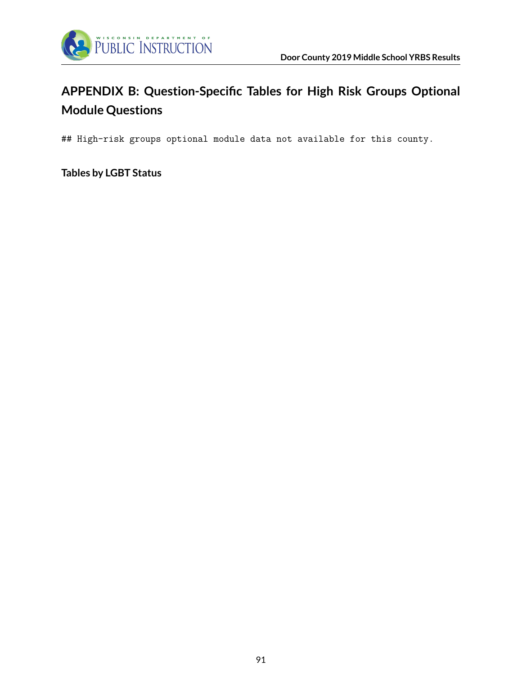

# **APPENDIX B: Question-Specific Tables for High Risk Groups Optional Module Questions**

## High-risk groups optional module data not available for this county.

**Tables by LGBT Status**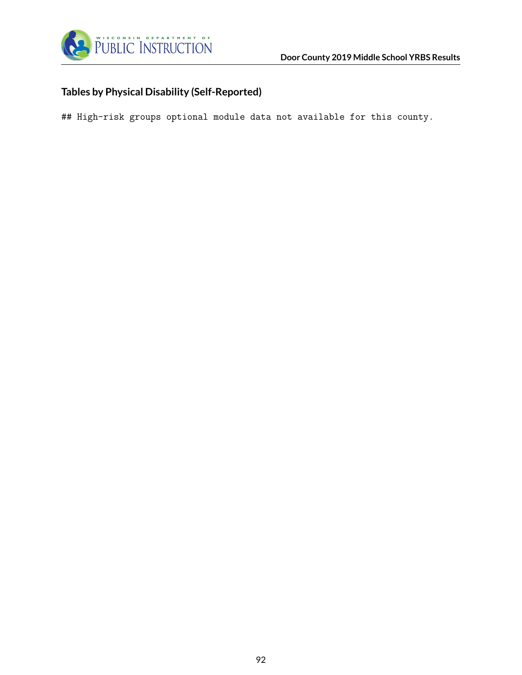

# **Tables by Physical Disability (Self-Reported)**

## High-risk groups optional module data not available for this county.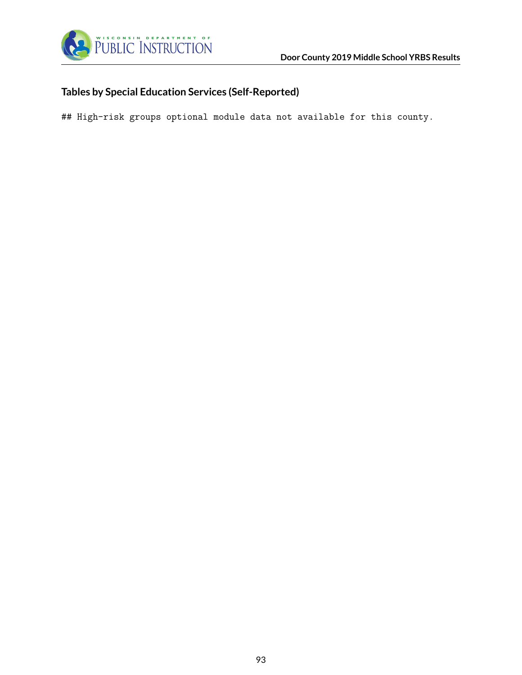

## **Tables by Special Education Services (Self-Reported)**

## High-risk groups optional module data not available for this county.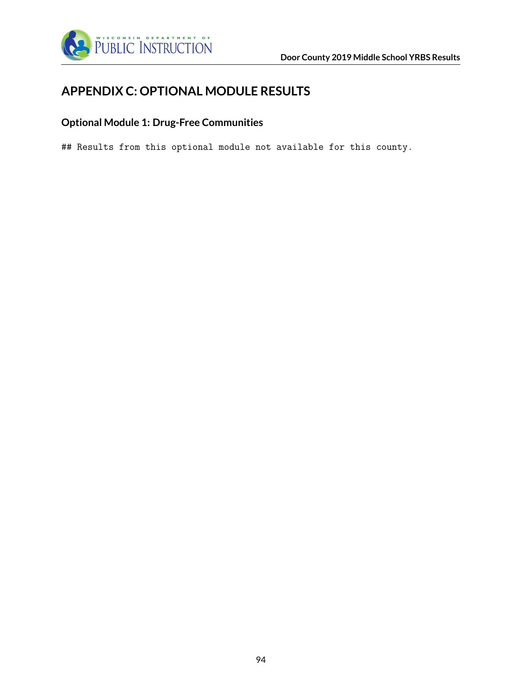

# **APPENDIX C: OPTIONAL MODULE RESULTS**

## **Optional Module 1: Drug-Free Communities**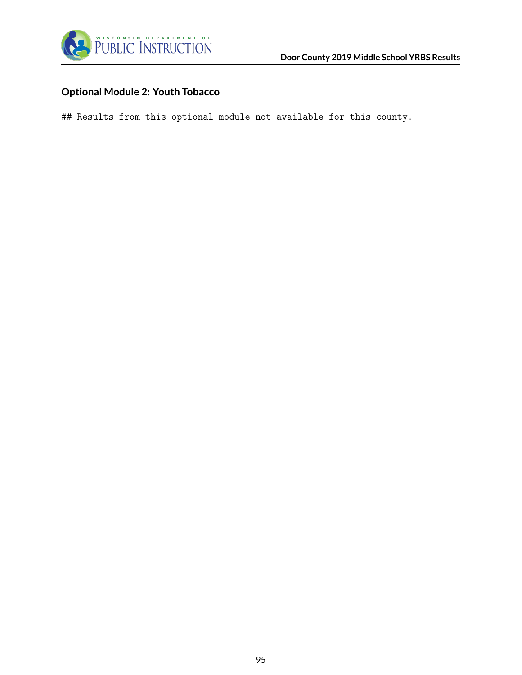

## **Optional Module 2: Youth Tobacco**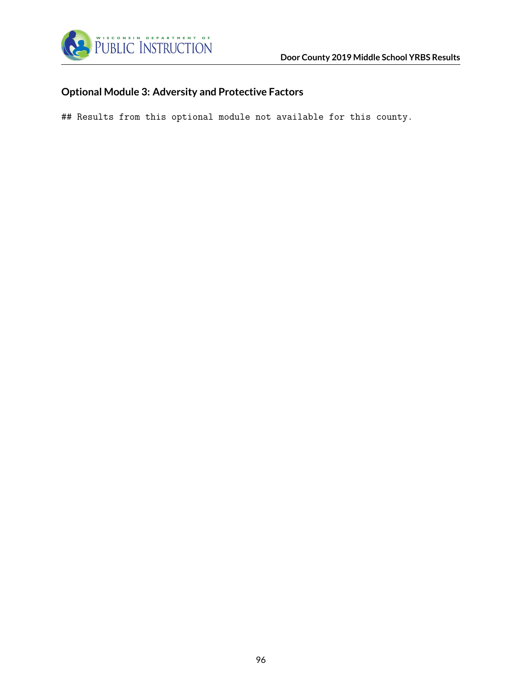

## **Optional Module 3: Adversity and Protective Factors**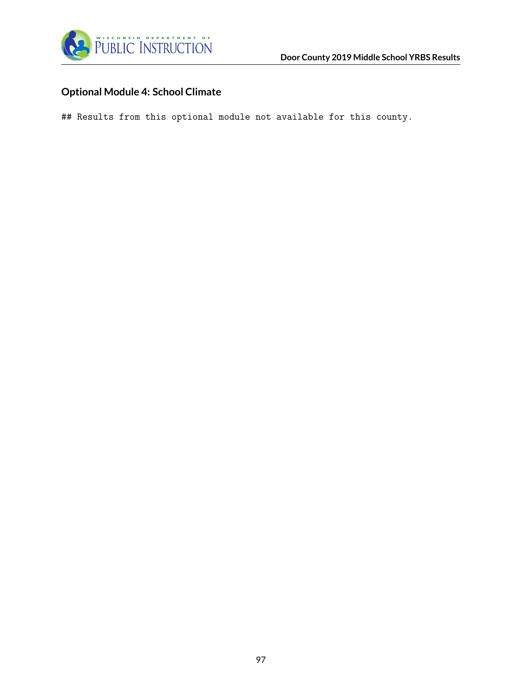

## **Optional Module 4: School Climate**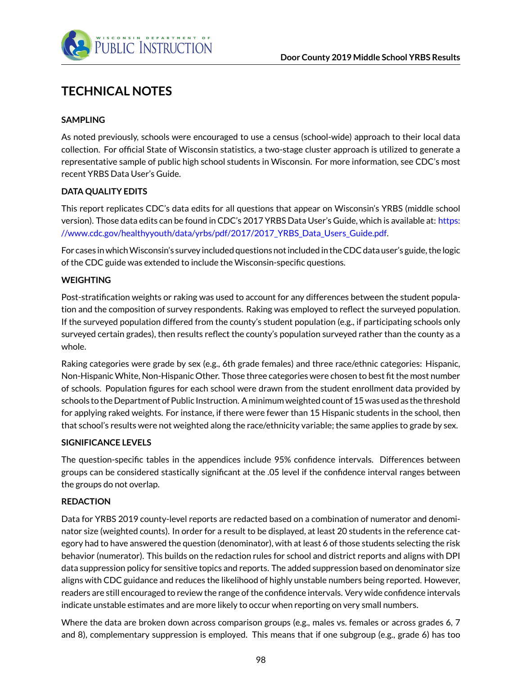

# **TECHNICAL NOTES**

### **SAMPLING**

As noted previously, schools were encouraged to use a census (school-wide) approach to their local data collection. For official State of Wisconsin statistics, a two-stage cluster approach is utilized to generate a representative sample of public high school students in Wisconsin. For more information, see CDC's most recent YRBS Data User's Guide.

#### **DATA QUALITY EDITS**

This report replicates CDC's data edits for all questions that appear on Wisconsin's YRBS (middle school version). Those data edits can be found in CDC's 2017 YRBS Data User's Guide, which is available at: [https:](https://www.cdc.gov/healthyyouth/data/yrbs/pdf/2017/2017_YRBS_Data_Users_Guide.pdf) [//www.cdc.gov/healthyyouth/data/yrbs/pdf/2017/2017\\_YRBS\\_Data\\_Users\\_Guide.pdf.](https://www.cdc.gov/healthyyouth/data/yrbs/pdf/2017/2017_YRBS_Data_Users_Guide.pdf)

For cases in whichWisconsin's survey included questions not included in the CDC data user's guide, the logic of the CDC guide was extended to include the Wisconsin-specific questions.

#### **WEIGHTING**

Post-stratification weights or raking was used to account for any differences between the student population and the composition of survey respondents. Raking was employed to reflect the surveyed population. If the surveyed population differed from the county's student population (e.g., if participating schools only surveyed certain grades), then results reflect the county's population surveyed rather than the county as a whole.

Raking categories were grade by sex (e.g., 6th grade females) and three race/ethnic categories: Hispanic, Non-Hispanic White, Non-Hispanic Other. Those three categories were chosen to best fit the most number of schools. Population figures for each school were drawn from the student enrollment data provided by schools to the Department of Public Instruction. A minimum weighted count of 15 was used as the threshold for applying raked weights. For instance, if there were fewer than 15 Hispanic students in the school, then that school's results were not weighted along the race/ethnicity variable; the same applies to grade by sex.

#### **SIGNIFICANCE LEVELS**

The question-specific tables in the appendices include 95% confidence intervals. Differences between groups can be considered stastically significant at the .05 level if the confidence interval ranges between the groups do not overlap.

#### **REDACTION**

Data for YRBS 2019 county-level reports are redacted based on a combination of numerator and denominator size (weighted counts). In order for a result to be displayed, at least 20 students in the reference category had to have answered the question (denominator), with at least 6 of those students selecting the risk behavior (numerator). This builds on the redaction rules for school and district reports and aligns with DPI data suppression policy for sensitive topics and reports. The added suppression based on denominator size aligns with CDC guidance and reduces the likelihood of highly unstable numbers being reported. However, readers are still encouraged to review the range of the confidence intervals. Very wide confidence intervals indicate unstable estimates and are more likely to occur when reporting on very small numbers.

Where the data are broken down across comparison groups (e.g., males vs. females or across grades 6, 7 and 8), complementary suppression is employed. This means that if one subgroup (e.g., grade 6) has too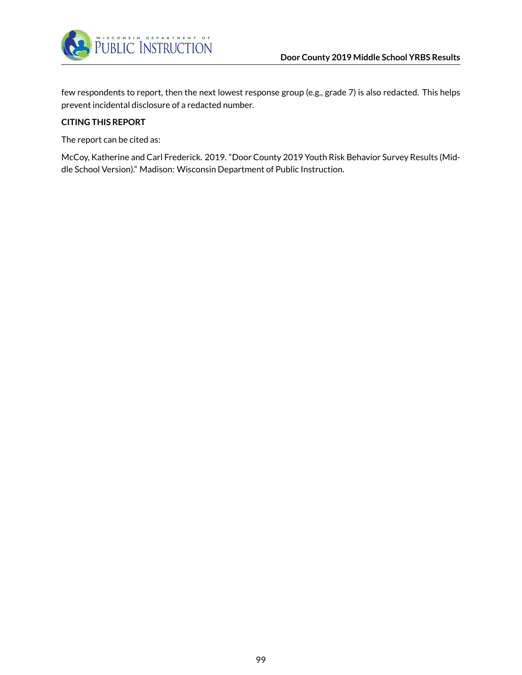

few respondents to report, then the next lowest response group (e.g., grade 7) is also redacted. This helps prevent incidental disclosure of a redacted number.

#### **CITING THIS REPORT**

The report can be cited as:

McCoy, Katherine and Carl Frederick. 2019. "Door County 2019 Youth Risk Behavior Survey Results (Middle School Version)." Madison: Wisconsin Department of Public Instruction.